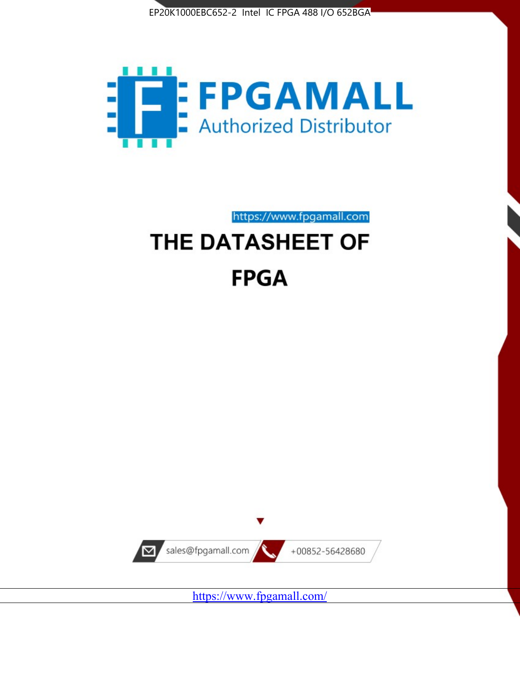



# https://www.fpgamall.com THE DATASHEET OF **FPGA**



<https://www.fpgamall.com/>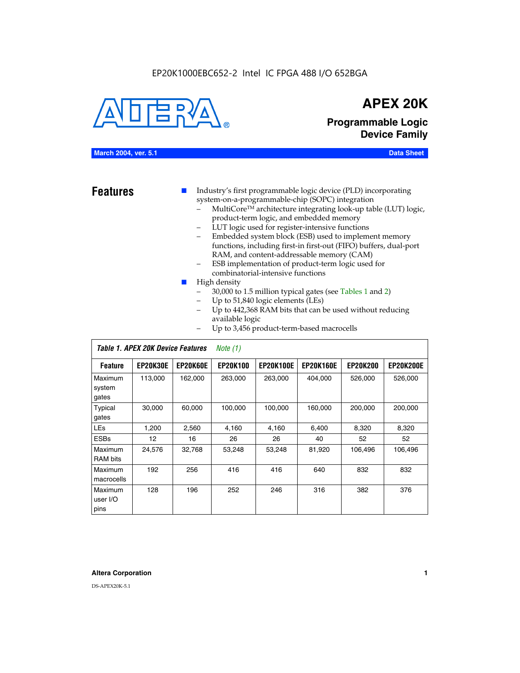

## **APEX 20K**

**Programmable Logic Device Family**

#### **March 2004, ver. 5.1 Data Sheet**

- **Features ■** Industry's first programmable logic device (PLD) incorporating system-on-a-programmable-chip (SOPC) integration
	- MultiCore™ architecture integrating look-up table (LUT) logic, product-term logic, and embedded memory
	- LUT logic used for register-intensive functions
	- Embedded system block (ESB) used to implement memory functions, including first-in first-out (FIFO) buffers, dual-port RAM, and content-addressable memory (CAM)
	- ESB implementation of product-term logic used for combinatorial-intensive functions
	- High density
		- 30,000 to 1.5 million typical gates (see Tables 1 and 2)
		- Up to 51,840 logic elements (LEs)
		- Up to 442,368 RAM bits that can be used without reducing available logic
		- Up to 3,456 product-term-based macrocells

|                             | Table 1. APEX 20K Device Features |                 | Note $(1)$      |                  |                  |                 |                  |
|-----------------------------|-----------------------------------|-----------------|-----------------|------------------|------------------|-----------------|------------------|
| <b>Feature</b>              | <b>EP20K30E</b>                   | <b>EP20K60E</b> | <b>EP20K100</b> | <b>EP20K100E</b> | <b>EP20K160E</b> | <b>EP20K200</b> | <b>EP20K200E</b> |
| Maximum<br>system<br>gates  | 113,000                           | 162,000         | 263.000         | 263,000          | 404.000          | 526,000         | 526,000          |
| Typical<br>gates            | 30,000                            | 60,000          | 100,000         | 100,000          | 160,000          | 200,000         | 200,000          |
| <b>LEs</b>                  | 1,200                             | 2,560           | 4,160           | 4,160            | 6.400            | 8,320           | 8,320            |
| <b>ESBs</b>                 | 12                                | 16              | 26              | 26               | 40               | 52              | 52               |
| Maximum<br><b>RAM</b> bits  | 24,576                            | 32,768          | 53,248          | 53,248           | 81,920           | 106,496         | 106,496          |
| Maximum<br>macrocells       | 192                               | 256             | 416             | 416              | 640              | 832             | 832              |
| Maximum<br>user I/O<br>pins | 128                               | 196             | 252             | 246              | 316              | 382             | 376              |

#### **Altera Corporation 1**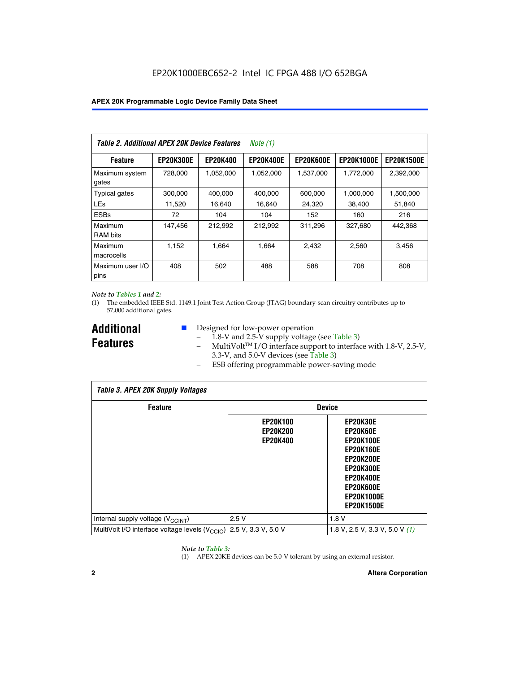| Table 2. Additional APEX 20K Device Features |                  |                 | <i>Note</i> $(1)$ |                  |                   |                   |
|----------------------------------------------|------------------|-----------------|-------------------|------------------|-------------------|-------------------|
| <b>Feature</b>                               | <b>EP20K300E</b> | <b>EP20K400</b> | <b>EP20K400E</b>  | <b>EP20K600E</b> | <b>EP20K1000E</b> | <b>EP20K1500E</b> |
| Maximum system<br>gates                      | 728,000          | 1,052,000       | 1,052,000         | 1,537,000        | 1,772,000         | 2,392,000         |
| <b>Typical gates</b>                         | 300,000          | 400,000         | 400,000           | 600,000          | 1,000,000         | 1,500,000         |
| <b>LEs</b>                                   | 11,520           | 16.640          | 16,640            | 24,320           | 38,400            | 51,840            |
| <b>ESBs</b>                                  | 72               | 104             | 104               | 152              | 160               | 216               |
| Maximum<br><b>RAM bits</b>                   | 147,456          | 212,992         | 212.992           | 311,296          | 327,680           | 442.368           |
| Maximum<br>macrocells                        | 1,152            | 1,664           | 1,664             | 2.432            | 2,560             | 3,456             |
| Maximum user I/O<br>pins                     | 408              | 502             | 488               | 588              | 708               | 808               |

#### *Note to Tables 1 and 2:*

(1) The embedded IEEE Std. 1149.1 Joint Test Action Group (JTAG) boundary-scan circuitry contributes up to 57,000 additional gates.

**Additional Features**

- Designed for low-power operation
	- 1.8-V and 2.5-V supply voltage (see Table 3)
	- $-$  MultiVolt<sup>TM</sup> I/O interface support to interface with 1.8-V, 2.5-V, 3.3-V, and 5.0-V devices (see Table 3)
	- ESB offering programmable power-saving mode

| <b>Table 3. APEX 20K Supply Voltages</b>                                       |                                                       |                                                                                                                                                                          |  |  |  |  |  |
|--------------------------------------------------------------------------------|-------------------------------------------------------|--------------------------------------------------------------------------------------------------------------------------------------------------------------------------|--|--|--|--|--|
| <b>Feature</b>                                                                 | <b>Device</b>                                         |                                                                                                                                                                          |  |  |  |  |  |
|                                                                                | <b>EP20K100</b><br><b>EP20K200</b><br><b>EP20K400</b> | EP20K30E<br>EP20K60E<br><b>EP20K100E</b><br><b>EP20K160E</b><br>EP20K200E<br><b>EP20K300E</b><br><b>EP20K400E</b><br>EP20K600E<br><b>EP20K1000E</b><br><b>EP20K1500E</b> |  |  |  |  |  |
| Internal supply voltage (V <sub>CCINT</sub> )                                  | 2.5V                                                  | 1.8V                                                                                                                                                                     |  |  |  |  |  |
| MultiVolt I/O interface voltage levels $(V_{\text{CCIO}})$ 2.5 V, 3.3 V, 5.0 V |                                                       | 1.8 V, 2.5 V, 3.3 V, 5.0 V $(1)$                                                                                                                                         |  |  |  |  |  |

#### *Note to Table 3:*

(1) APEX 20KE devices can be 5.0-V tolerant by using an external resistor.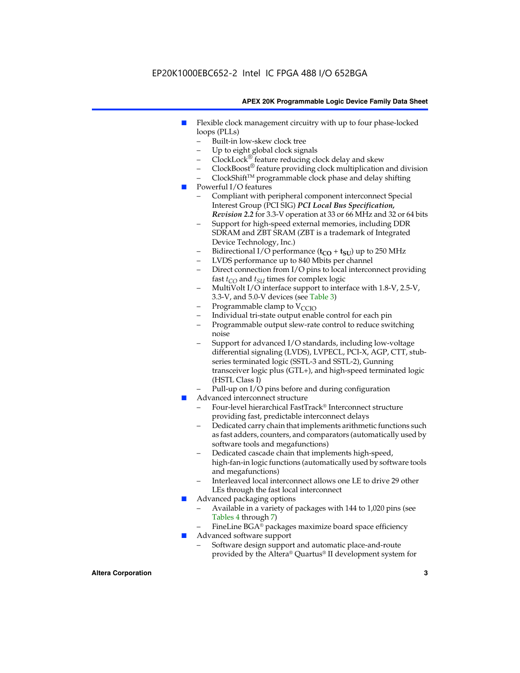### EP20K1000EBC652-2 Intel IC FPGA 488 I/O 652BGA

#### **APEX 20K Programmable Logic Device Family Data Sheet**

- Flexible clock management circuitry with up to four phase-locked loops (PLLs)
	- Built-in low-skew clock tree
	- Up to eight global clock signals
	- $ClockLock^{\circledR}$  feature reducing clock delay and skew
	- $ClockBoost^{\circledR}$  feature providing clock multiplication and division
	- ClockShiftTM programmable clock phase and delay shifting
- Powerful I/O features
	- Compliant with peripheral component interconnect Special Interest Group (PCI SIG) *PCI Local Bus Specification, Revision 2.2* for 3.3-V operation at 33 or 66 MHz and 32 or 64 bits
	- Support for high-speed external memories, including DDR SDRAM and ZBT SRAM (ZBT is a trademark of Integrated Device Technology, Inc.)
	- Bidirectional I/O performance  $(t_{CO} + t_{SU})$  up to 250 MHz
	- LVDS performance up to 840 Mbits per channel
	- Direct connection from I/O pins to local interconnect providing fast  $t_{CO}$  and  $t_{SU}$  times for complex logic
	- MultiVolt I/O interface support to interface with 1.8-V, 2.5-V, 3.3-V, and 5.0-V devices (see Table 3)
	- Programmable clamp to  $V_{\text{C}CD}$
	- Individual tri-state output enable control for each pin
	- Programmable output slew-rate control to reduce switching noise
	- Support for advanced I/O standards, including low-voltage differential signaling (LVDS), LVPECL, PCI-X, AGP, CTT, stubseries terminated logic (SSTL-3 and SSTL-2), Gunning transceiver logic plus (GTL+), and high-speed terminated logic (HSTL Class I)
	- Pull-up on I/O pins before and during configuration
- Advanced interconnect structure
	- Four-level hierarchical FastTrack® Interconnect structure providing fast, predictable interconnect delays
	- Dedicated carry chain that implements arithmetic functions such as fast adders, counters, and comparators (automatically used by software tools and megafunctions)
	- Dedicated cascade chain that implements high-speed, high-fan-in logic functions (automatically used by software tools and megafunctions)
	- Interleaved local interconnect allows one LE to drive 29 other LEs through the fast local interconnect
- Advanced packaging options
	- Available in a variety of packages with 144 to 1,020 pins (see Tables 4 through 7)
	- FineLine BGA® packages maximize board space efficiency
- Advanced software support
	- Software design support and automatic place-and-route provided by the Altera® Quartus® II development system for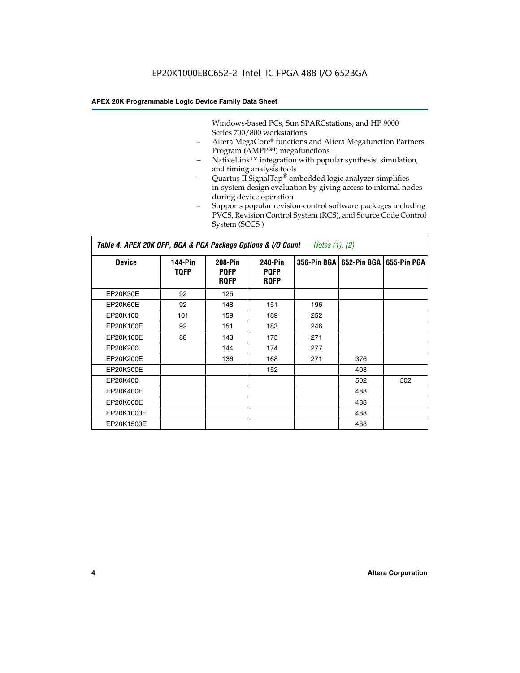Windows-based PCs, Sun SPARCstations, and HP 9000 Series 700/800 workstations

- Altera MegaCore® functions and Altera Megafunction Partners Program (AMPP<sup>SM</sup>) megafunctions
- NativeLink<sup>™</sup> integration with popular synthesis, simulation, and timing analysis tools
- Quartus II SignalTap® embedded logic analyzer simplifies in-system design evaluation by giving access to internal nodes during device operation
- Supports popular revision-control software packages including PVCS, Revision Control System (RCS), and Source Code Control System (SCCS )

#### *Table 4. APEX 20K QFP, BGA & PGA Package Options & I/O Count Notes (1), (2)*

| <b>Device</b>   | 144-Pin<br><b>TQFP</b> | 208-Pin<br><b>PQFP</b><br><b>ROFP</b> | 240-Pin<br><b>PQFP</b><br><b>ROFP</b> |     | 356-Pin BGA   652-Pin BGA | 655-Pin PGA |
|-----------------|------------------------|---------------------------------------|---------------------------------------|-----|---------------------------|-------------|
| EP20K30E        | 92                     | 125                                   |                                       |     |                           |             |
| <b>EP20K60E</b> | 92                     | 148                                   | 151                                   | 196 |                           |             |
| EP20K100        | 101                    | 159                                   | 189                                   | 252 |                           |             |
| EP20K100E       | 92                     | 151                                   | 183                                   | 246 |                           |             |
| EP20K160E       | 88                     | 143                                   | 175                                   | 271 |                           |             |
| EP20K200        |                        | 144                                   | 174                                   | 277 |                           |             |
| EP20K200E       |                        | 136                                   | 168                                   | 271 | 376                       |             |
| EP20K300E       |                        |                                       | 152                                   |     | 408                       |             |
| EP20K400        |                        |                                       |                                       |     | 502                       | 502         |
| EP20K400E       |                        |                                       |                                       |     | 488                       |             |
| EP20K600E       |                        |                                       |                                       |     | 488                       |             |
| EP20K1000E      |                        |                                       |                                       |     | 488                       |             |
| EP20K1500E      |                        |                                       |                                       |     | 488                       |             |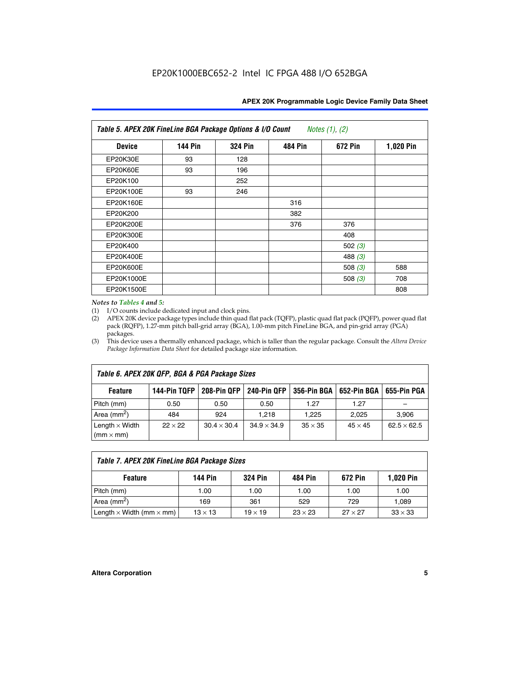| APEX 20K Programmable Logic Device Family Data Sheet |  |  |
|------------------------------------------------------|--|--|
|------------------------------------------------------|--|--|

| Table 5. APEX 20K FineLine BGA Package Options & I/O Count<br>Notes $(1)$ , $(2)$ |                |                |                |           |           |  |  |
|-----------------------------------------------------------------------------------|----------------|----------------|----------------|-----------|-----------|--|--|
| <b>Device</b>                                                                     | <b>144 Pin</b> | <b>324 Pin</b> | <b>484 Pin</b> | 672 Pin   | 1,020 Pin |  |  |
| EP20K30E                                                                          | 93             | 128            |                |           |           |  |  |
| <b>EP20K60E</b>                                                                   | 93             | 196            |                |           |           |  |  |
| EP20K100                                                                          |                | 252            |                |           |           |  |  |
| EP20K100E                                                                         | 93             | 246            |                |           |           |  |  |
| EP20K160E                                                                         |                |                | 316            |           |           |  |  |
| EP20K200                                                                          |                |                | 382            |           |           |  |  |
| EP20K200E                                                                         |                |                | 376            | 376       |           |  |  |
| EP20K300E                                                                         |                |                |                | 408       |           |  |  |
| EP20K400                                                                          |                |                |                | 502 $(3)$ |           |  |  |
| EP20K400E                                                                         |                |                |                | 488 $(3)$ |           |  |  |
| EP20K600E                                                                         |                |                |                | 508 $(3)$ | 588       |  |  |
| EP20K1000E                                                                        |                |                |                | 508 $(3)$ | 708       |  |  |
| EP20K1500E                                                                        |                |                |                |           | 808       |  |  |

#### *Notes to Tables 4 and 5:*

(1) I/O counts include dedicated input and clock pins.

(2) APEX 20K device package types include thin quad flat pack (TQFP), plastic quad flat pack (PQFP), power quad flat pack (RQFP), 1.27-mm pitch ball-grid array (BGA), 1.00-mm pitch FineLine BGA, and pin-grid array (PGA) packages.

(3) This device uses a thermally enhanced package, which is taller than the regular package. Consult the *Altera Device Package Information Data Sheet* for detailed package size information.

| Table 6. APEX 20K QFP, BGA & PGA Package Sizes |                |                    |                    |                |                |                    |  |  |
|------------------------------------------------|----------------|--------------------|--------------------|----------------|----------------|--------------------|--|--|
| <b>Feature</b>                                 | 144-Pin TQFP   | 208-Pin QFP        | 240-Pin QFP        | 356-Pin BGA    | 652-Pin BGA    | 655-Pin PGA        |  |  |
| Pitch (mm)                                     | 0.50           | 0.50               | 0.50               | 1.27           | 1.27           |                    |  |  |
| Area ( $mm2$ )                                 | 484            | 924                | 1.218              | 1.225          | 2.025          | 3,906              |  |  |
| Length $\times$ Width<br>$(mm \times mm)$      | $22 \times 22$ | $30.4 \times 30.4$ | $34.9 \times 34.9$ | $35 \times 35$ | $45 \times 45$ | $62.5 \times 62.5$ |  |  |

| Table 7. APEX 20K FineLine BGA Package Sizes |                |                |                |                |                  |  |  |  |
|----------------------------------------------|----------------|----------------|----------------|----------------|------------------|--|--|--|
| <b>Feature</b>                               | 144 Pin        | <b>324 Pin</b> | 484 Pin        | 672 Pin        | <b>1,020 Pin</b> |  |  |  |
| Pitch (mm)                                   | 1.00           | 1.00           | 1.00           | 1.00           | 1.00             |  |  |  |
| Area ( $mm2$ )                               | 169            | 361            | 529            | 729            | 1,089            |  |  |  |
| Length $\times$ Width (mm $\times$ mm)       | $13 \times 13$ | $19 \times 19$ | $23 \times 23$ | $27 \times 27$ | $33 \times 33$   |  |  |  |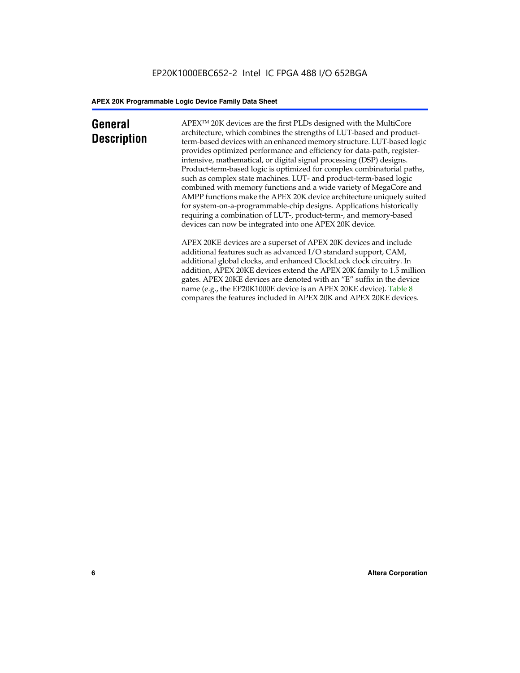## **General Description**

APEXTM 20K devices are the first PLDs designed with the MultiCore architecture, which combines the strengths of LUT-based and productterm-based devices with an enhanced memory structure. LUT-based logic provides optimized performance and efficiency for data-path, registerintensive, mathematical, or digital signal processing (DSP) designs. Product-term-based logic is optimized for complex combinatorial paths, such as complex state machines. LUT- and product-term-based logic combined with memory functions and a wide variety of MegaCore and AMPP functions make the APEX 20K device architecture uniquely suited for system-on-a-programmable-chip designs. Applications historically requiring a combination of LUT-, product-term-, and memory-based devices can now be integrated into one APEX 20K device.

APEX 20KE devices are a superset of APEX 20K devices and include additional features such as advanced I/O standard support, CAM, additional global clocks, and enhanced ClockLock clock circuitry. In addition, APEX 20KE devices extend the APEX 20K family to 1.5 million gates. APEX 20KE devices are denoted with an "E" suffix in the device name (e.g., the EP20K1000E device is an APEX 20KE device). Table 8 compares the features included in APEX 20K and APEX 20KE devices.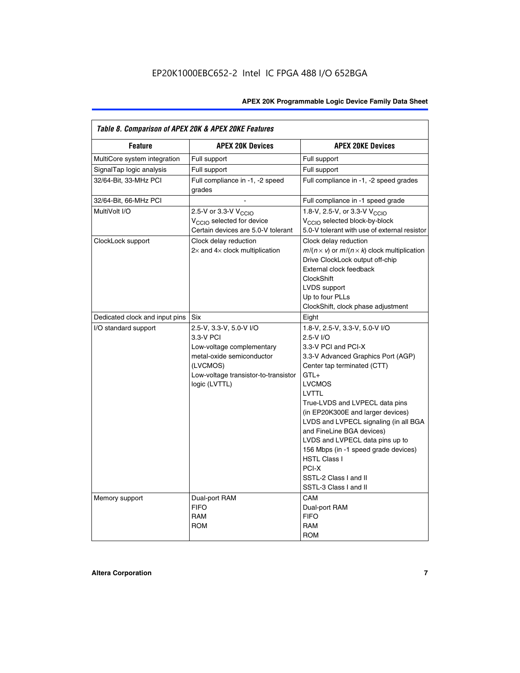| Table 8. Comparison of APEX 20K & APEX 20KE Features |                                                                                                                                                                     |                                                                                                                                                                                                                                                                                                                                                                                                                                                                                                  |  |  |  |  |
|------------------------------------------------------|---------------------------------------------------------------------------------------------------------------------------------------------------------------------|--------------------------------------------------------------------------------------------------------------------------------------------------------------------------------------------------------------------------------------------------------------------------------------------------------------------------------------------------------------------------------------------------------------------------------------------------------------------------------------------------|--|--|--|--|
| <b>Feature</b>                                       | <b>APEX 20K Devices</b>                                                                                                                                             | <b>APEX 20KE Devices</b>                                                                                                                                                                                                                                                                                                                                                                                                                                                                         |  |  |  |  |
| MultiCore system integration                         | Full support                                                                                                                                                        | Full support                                                                                                                                                                                                                                                                                                                                                                                                                                                                                     |  |  |  |  |
| SignalTap logic analysis                             | Full support                                                                                                                                                        | Full support                                                                                                                                                                                                                                                                                                                                                                                                                                                                                     |  |  |  |  |
| 32/64-Bit, 33-MHz PCI                                | Full compliance in -1, -2 speed<br>grades                                                                                                                           | Full compliance in -1, -2 speed grades                                                                                                                                                                                                                                                                                                                                                                                                                                                           |  |  |  |  |
| 32/64-Bit, 66-MHz PCI                                |                                                                                                                                                                     | Full compliance in -1 speed grade                                                                                                                                                                                                                                                                                                                                                                                                                                                                |  |  |  |  |
| MultiVolt I/O                                        | 2.5-V or 3.3-V V <sub>CCIO</sub><br>V <sub>CCIO</sub> selected for device<br>Certain devices are 5.0-V tolerant                                                     | 1.8-V, 2.5-V, or 3.3-V V <sub>CCIO</sub><br>V <sub>CCIO</sub> selected block-by-block<br>5.0-V tolerant with use of external resistor                                                                                                                                                                                                                                                                                                                                                            |  |  |  |  |
| ClockLock support                                    | Clock delay reduction<br>$2\times$ and $4\times$ clock multiplication                                                                                               | Clock delay reduction<br>$m/(n \times v)$ or $m/(n \times k)$ clock multiplication<br>Drive ClockLock output off-chip<br>External clock feedback<br>ClockShift<br>LVDS support<br>Up to four PLLs<br>ClockShift, clock phase adjustment                                                                                                                                                                                                                                                          |  |  |  |  |
| Dedicated clock and input pins                       | Six                                                                                                                                                                 | Eight                                                                                                                                                                                                                                                                                                                                                                                                                                                                                            |  |  |  |  |
| I/O standard support                                 | 2.5-V, 3.3-V, 5.0-V I/O<br>3.3-V PCI<br>Low-voltage complementary<br>metal-oxide semiconductor<br>(LVCMOS)<br>Low-voltage transistor-to-transistor<br>logic (LVTTL) | 1.8-V, 2.5-V, 3.3-V, 5.0-V I/O<br>$2.5-V$ $I/O$<br>3.3-V PCI and PCI-X<br>3.3-V Advanced Graphics Port (AGP)<br>Center tap terminated (CTT)<br>$GTL+$<br><b>LVCMOS</b><br><b>LVTTL</b><br>True-LVDS and LVPECL data pins<br>(in EP20K300E and larger devices)<br>LVDS and LVPECL signaling (in all BGA<br>and FineLine BGA devices)<br>LVDS and LVPECL data pins up to<br>156 Mbps (in -1 speed grade devices)<br><b>HSTL Class I</b><br>PCI-X<br>SSTL-2 Class I and II<br>SSTL-3 Class I and II |  |  |  |  |
| Memory support                                       | Dual-port RAM<br><b>FIFO</b><br><b>RAM</b><br><b>ROM</b>                                                                                                            | CAM<br>Dual-port RAM<br><b>FIFO</b><br><b>RAM</b><br><b>ROM</b>                                                                                                                                                                                                                                                                                                                                                                                                                                  |  |  |  |  |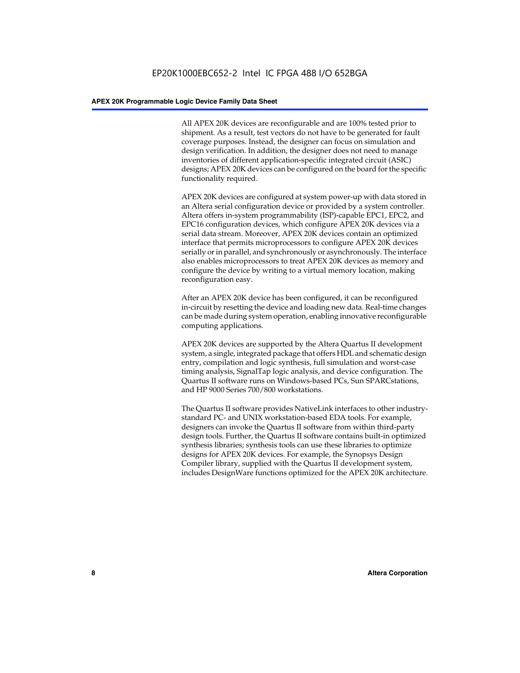All APEX 20K devices are reconfigurable and are 100% tested prior to shipment. As a result, test vectors do not have to be generated for fault coverage purposes. Instead, the designer can focus on simulation and design verification. In addition, the designer does not need to manage inventories of different application-specific integrated circuit (ASIC) designs; APEX 20K devices can be configured on the board for the specific functionality required.

APEX 20K devices are configured at system power-up with data stored in an Altera serial configuration device or provided by a system controller. Altera offers in-system programmability (ISP)-capable EPC1, EPC2, and EPC16 configuration devices, which configure APEX 20K devices via a serial data stream. Moreover, APEX 20K devices contain an optimized interface that permits microprocessors to configure APEX 20K devices serially or in parallel, and synchronously or asynchronously. The interface also enables microprocessors to treat APEX 20K devices as memory and configure the device by writing to a virtual memory location, making reconfiguration easy.

After an APEX 20K device has been configured, it can be reconfigured in-circuit by resetting the device and loading new data. Real-time changes can be made during system operation, enabling innovative reconfigurable computing applications.

APEX 20K devices are supported by the Altera Quartus II development system, a single, integrated package that offers HDL and schematic design entry, compilation and logic synthesis, full simulation and worst-case timing analysis, SignalTap logic analysis, and device configuration. The Quartus II software runs on Windows-based PCs, Sun SPARCstations, and HP 9000 Series 700/800 workstations.

The Quartus II software provides NativeLink interfaces to other industrystandard PC- and UNIX workstation-based EDA tools. For example, designers can invoke the Quartus II software from within third-party design tools. Further, the Quartus II software contains built-in optimized synthesis libraries; synthesis tools can use these libraries to optimize designs for APEX 20K devices. For example, the Synopsys Design Compiler library, supplied with the Quartus II development system, includes DesignWare functions optimized for the APEX 20K architecture.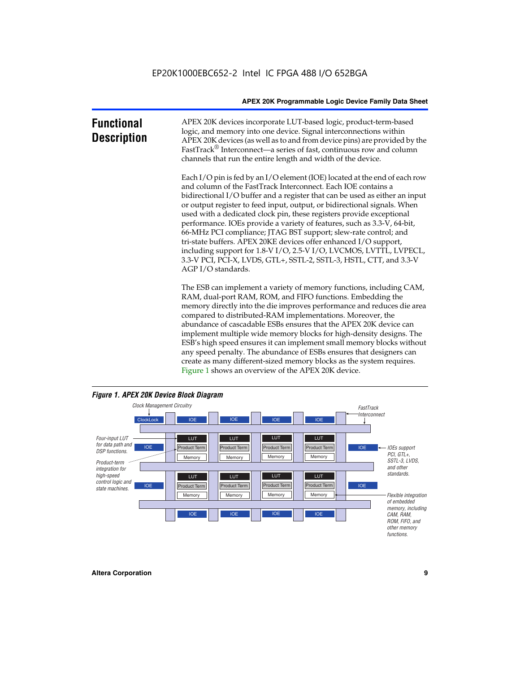| <b>Functional</b><br><b>Description</b> | APEX 20K devices incorporate LUT-based logic, product-term-based<br>logic, and memory into one device. Signal interconnections within<br>APEX 20K devices (as well as to and from device pins) are provided by the<br>FastTrack® Interconnect—a series of fast, continuous row and column<br>channels that run the entire length and width of the device.                                                                                                                                                                                                                                                                                                                                                                                                          |
|-----------------------------------------|--------------------------------------------------------------------------------------------------------------------------------------------------------------------------------------------------------------------------------------------------------------------------------------------------------------------------------------------------------------------------------------------------------------------------------------------------------------------------------------------------------------------------------------------------------------------------------------------------------------------------------------------------------------------------------------------------------------------------------------------------------------------|
|                                         | Each I/O pin is fed by an I/O element (IOE) located at the end of each row<br>and column of the FastTrack Interconnect. Each IOE contains a<br>bidirectional I/O buffer and a register that can be used as either an input<br>or output register to feed input, output, or bidirectional signals. When<br>used with a dedicated clock pin, these registers provide exceptional<br>performance. IOEs provide a variety of features, such as 3.3-V, 64-bit,<br>66-MHz PCI compliance; JTAG BST support; slew-rate control; and<br>tri-state buffers. APEX 20KE devices offer enhanced I/O support,<br>including support for 1.8-V I/O, 2.5-V I/O, LVCMOS, LVTTL, LVPECL,<br>3.3-V PCI, PCI-X, LVDS, GTL+, SSTL-2, SSTL-3, HSTL, CTT, and 3.3-V<br>AGP I/O standards. |
|                                         | The ESB can implement a variety of memory functions, including CAM,<br>RAM, dual-port RAM, ROM, and FIFO functions. Embedding the<br>memory directly into the die improves performance and reduces die area<br>compared to distributed-RAM implementations. Moreover, the<br>abundance of cascadable ESBs ensures that the APEX 20K device can<br>implement multiple wide memory blocks for high-density designs. The<br>ESB's high speed ensures it can implement small memory blocks without<br>any speed penalty. The abundance of ESBs ensures that designers can                                                                                                                                                                                              |



create as many different-sized memory blocks as the system requires.

Figure 1 shows an overview of the APEX 20K device.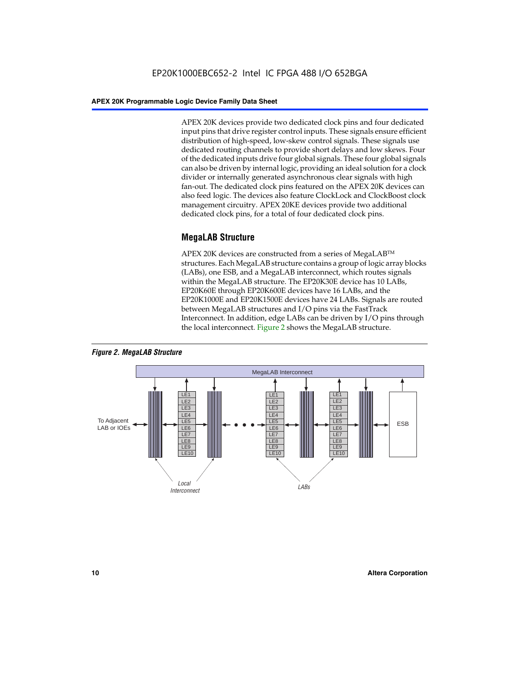APEX 20K devices provide two dedicated clock pins and four dedicated input pins that drive register control inputs. These signals ensure efficient distribution of high-speed, low-skew control signals. These signals use dedicated routing channels to provide short delays and low skews. Four of the dedicated inputs drive four global signals. These four global signals can also be driven by internal logic, providing an ideal solution for a clock divider or internally generated asynchronous clear signals with high fan-out. The dedicated clock pins featured on the APEX 20K devices can also feed logic. The devices also feature ClockLock and ClockBoost clock management circuitry. APEX 20KE devices provide two additional dedicated clock pins, for a total of four dedicated clock pins.

#### **MegaLAB Structure**

APEX 20K devices are constructed from a series of MegaLAB<sup>™</sup> structures. Each MegaLAB structure contains a group of logic array blocks (LABs), one ESB, and a MegaLAB interconnect, which routes signals within the MegaLAB structure. The EP20K30E device has 10 LABs, EP20K60E through EP20K600E devices have 16 LABs, and the EP20K1000E and EP20K1500E devices have 24 LABs. Signals are routed between MegaLAB structures and I/O pins via the FastTrack Interconnect. In addition, edge LABs can be driven by I/O pins through the local interconnect. Figure 2 shows the MegaLAB structure.



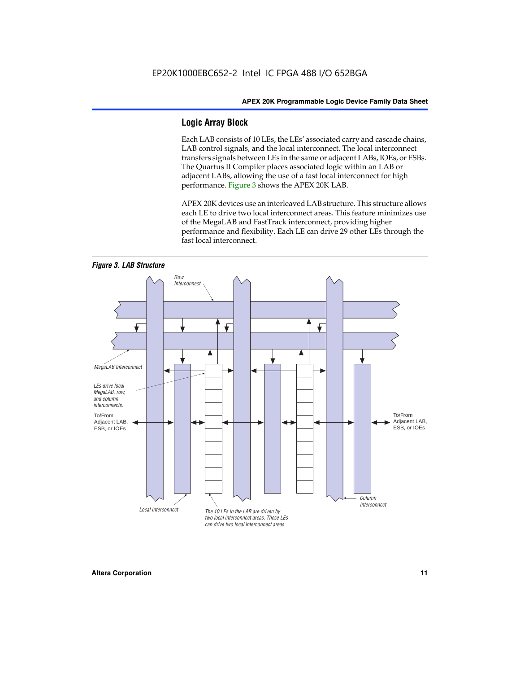#### **Logic Array Block**

Each LAB consists of 10 LEs, the LEs' associated carry and cascade chains, LAB control signals, and the local interconnect. The local interconnect transfers signals between LEs in the same or adjacent LABs, IOEs, or ESBs. The Quartus II Compiler places associated logic within an LAB or adjacent LABs, allowing the use of a fast local interconnect for high performance. Figure 3 shows the APEX 20K LAB.

APEX 20K devices use an interleaved LAB structure. This structure allows each LE to drive two local interconnect areas. This feature minimizes use of the MegaLAB and FastTrack interconnect, providing higher performance and flexibility. Each LE can drive 29 other LEs through the fast local interconnect.

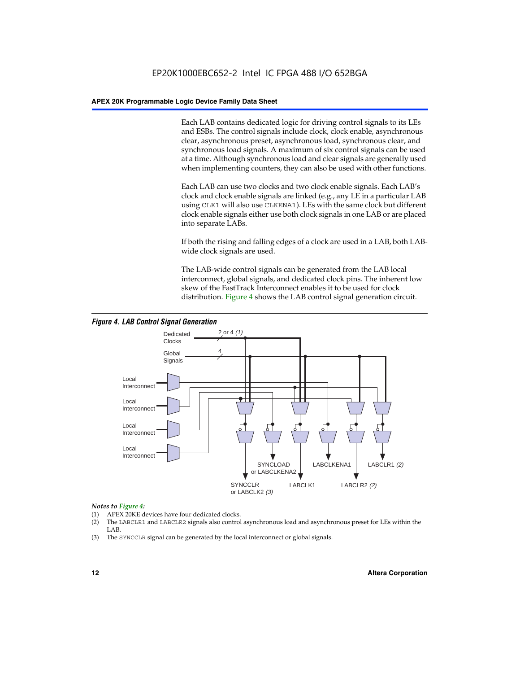Each LAB contains dedicated logic for driving control signals to its LEs and ESBs. The control signals include clock, clock enable, asynchronous clear, asynchronous preset, asynchronous load, synchronous clear, and synchronous load signals. A maximum of six control signals can be used at a time. Although synchronous load and clear signals are generally used when implementing counters, they can also be used with other functions.

Each LAB can use two clocks and two clock enable signals. Each LAB's clock and clock enable signals are linked (e.g., any LE in a particular LAB using CLK1 will also use CLKENA1). LEs with the same clock but different clock enable signals either use both clock signals in one LAB or are placed into separate LABs.

If both the rising and falling edges of a clock are used in a LAB, both LABwide clock signals are used.

The LAB-wide control signals can be generated from the LAB local interconnect, global signals, and dedicated clock pins. The inherent low skew of the FastTrack Interconnect enables it to be used for clock distribution. Figure 4 shows the LAB control signal generation circuit.



#### *Figure 4. LAB Control Signal Generation*

#### *Notes to Figure 4:*

- (1) APEX 20KE devices have four dedicated clocks.
- (2) The LABCLR1 and LABCLR2 signals also control asynchronous load and asynchronous preset for LEs within the LAB.
- (3) The SYNCCLR signal can be generated by the local interconnect or global signals.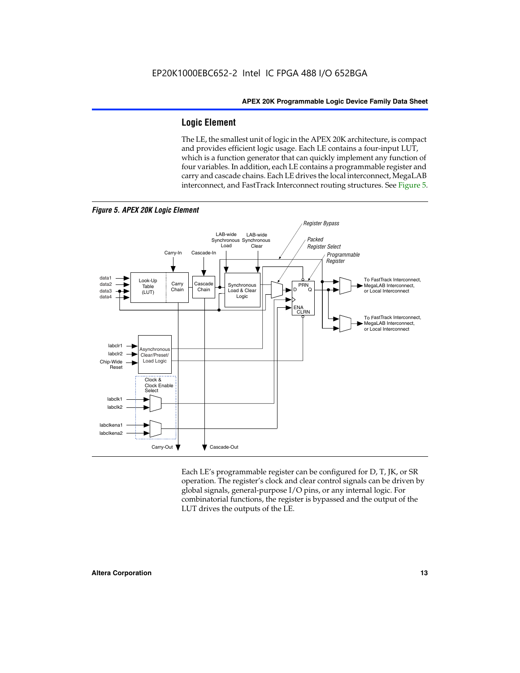#### **Logic Element**

The LE, the smallest unit of logic in the APEX 20K architecture, is compact and provides efficient logic usage. Each LE contains a four-input LUT, which is a function generator that can quickly implement any function of four variables. In addition, each LE contains a programmable register and carry and cascade chains. Each LE drives the local interconnect, MegaLAB interconnect, and FastTrack Interconnect routing structures. See Figure 5.



Each LE's programmable register can be configured for D, T, JK, or SR operation. The register's clock and clear control signals can be driven by global signals, general-purpose I/O pins, or any internal logic. For combinatorial functions, the register is bypassed and the output of the LUT drives the outputs of the LE.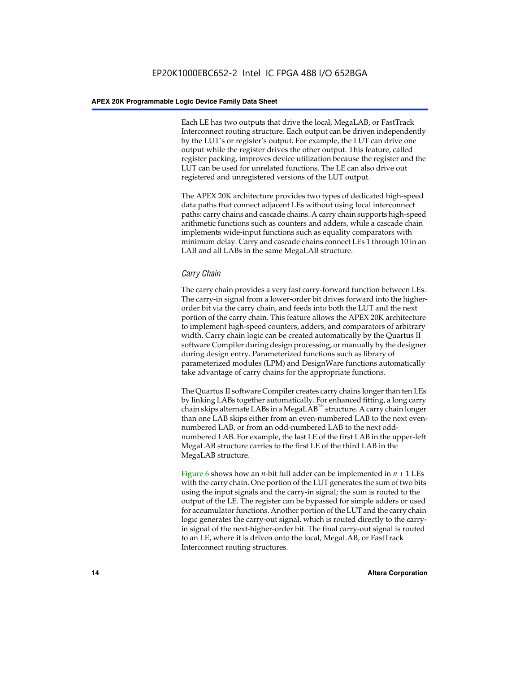Each LE has two outputs that drive the local, MegaLAB, or FastTrack Interconnect routing structure. Each output can be driven independently by the LUT's or register's output. For example, the LUT can drive one output while the register drives the other output. This feature, called register packing, improves device utilization because the register and the LUT can be used for unrelated functions. The LE can also drive out registered and unregistered versions of the LUT output.

The APEX 20K architecture provides two types of dedicated high-speed data paths that connect adjacent LEs without using local interconnect paths: carry chains and cascade chains. A carry chain supports high-speed arithmetic functions such as counters and adders, while a cascade chain implements wide-input functions such as equality comparators with minimum delay. Carry and cascade chains connect LEs 1 through 10 in an LAB and all LABs in the same MegaLAB structure.

#### *Carry Chain*

The carry chain provides a very fast carry-forward function between LEs. The carry-in signal from a lower-order bit drives forward into the higherorder bit via the carry chain, and feeds into both the LUT and the next portion of the carry chain. This feature allows the APEX 20K architecture to implement high-speed counters, adders, and comparators of arbitrary width. Carry chain logic can be created automatically by the Quartus II software Compiler during design processing, or manually by the designer during design entry. Parameterized functions such as library of parameterized modules (LPM) and DesignWare functions automatically take advantage of carry chains for the appropriate functions.

The Quartus II software Compiler creates carry chains longer than ten LEs by linking LABs together automatically. For enhanced fitting, a long carry chain skips alternate LABs in a MegaLAB<sup>™</sup> structure. A carry chain longer than one LAB skips either from an even-numbered LAB to the next evennumbered LAB, or from an odd-numbered LAB to the next oddnumbered LAB. For example, the last LE of the first LAB in the upper-left MegaLAB structure carries to the first LE of the third LAB in the MegaLAB structure.

Figure 6 shows how an *n*-bit full adder can be implemented in *n* + 1 LEs with the carry chain. One portion of the LUT generates the sum of two bits using the input signals and the carry-in signal; the sum is routed to the output of the LE. The register can be bypassed for simple adders or used for accumulator functions. Another portion of the LUT and the carry chain logic generates the carry-out signal, which is routed directly to the carryin signal of the next-higher-order bit. The final carry-out signal is routed to an LE, where it is driven onto the local, MegaLAB, or FastTrack Interconnect routing structures.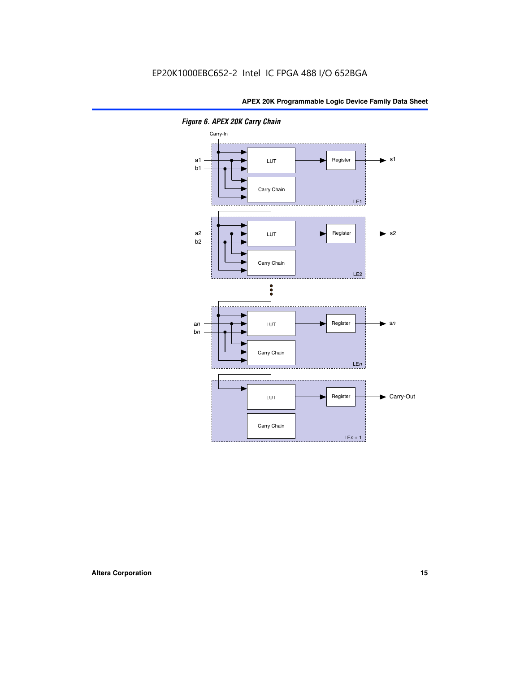

*Figure 6. APEX 20K Carry Chain*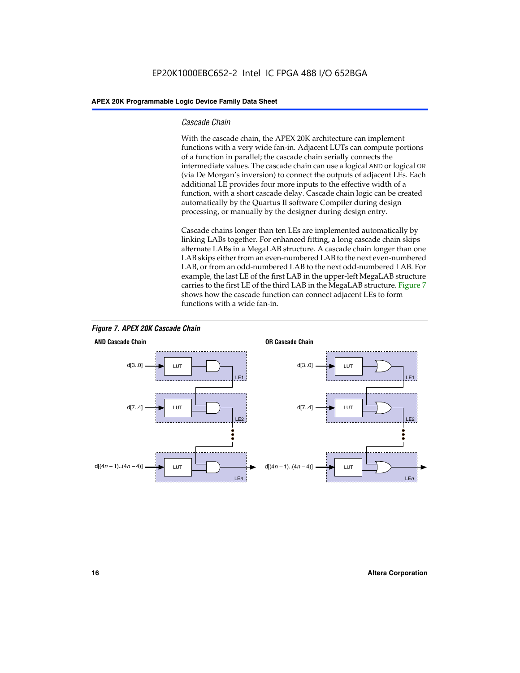#### *Cascade Chain*

With the cascade chain, the APEX 20K architecture can implement functions with a very wide fan-in. Adjacent LUTs can compute portions of a function in parallel; the cascade chain serially connects the intermediate values. The cascade chain can use a logical AND or logical OR (via De Morgan's inversion) to connect the outputs of adjacent LEs. Each additional LE provides four more inputs to the effective width of a function, with a short cascade delay. Cascade chain logic can be created automatically by the Quartus II software Compiler during design processing, or manually by the designer during design entry.

Cascade chains longer than ten LEs are implemented automatically by linking LABs together. For enhanced fitting, a long cascade chain skips alternate LABs in a MegaLAB structure. A cascade chain longer than one LAB skips either from an even-numbered LAB to the next even-numbered LAB, or from an odd-numbered LAB to the next odd-numbered LAB. For example, the last LE of the first LAB in the upper-left MegaLAB structure carries to the first LE of the third LAB in the MegaLAB structure. Figure 7 shows how the cascade function can connect adjacent LEs to form functions with a wide fan-in.



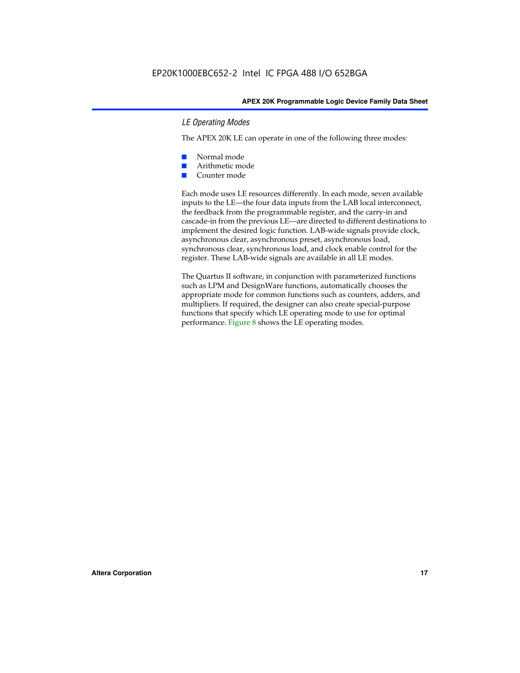#### *LE Operating Modes*

The APEX 20K LE can operate in one of the following three modes:

- Normal mode
- Arithmetic mode
- Counter mode

Each mode uses LE resources differently. In each mode, seven available inputs to the LE—the four data inputs from the LAB local interconnect, the feedback from the programmable register, and the carry-in and cascade-in from the previous LE—are directed to different destinations to implement the desired logic function. LAB-wide signals provide clock, asynchronous clear, asynchronous preset, asynchronous load, synchronous clear, synchronous load, and clock enable control for the register. These LAB-wide signals are available in all LE modes.

The Quartus II software, in conjunction with parameterized functions such as LPM and DesignWare functions, automatically chooses the appropriate mode for common functions such as counters, adders, and multipliers. If required, the designer can also create special-purpose functions that specify which LE operating mode to use for optimal performance. Figure 8 shows the LE operating modes.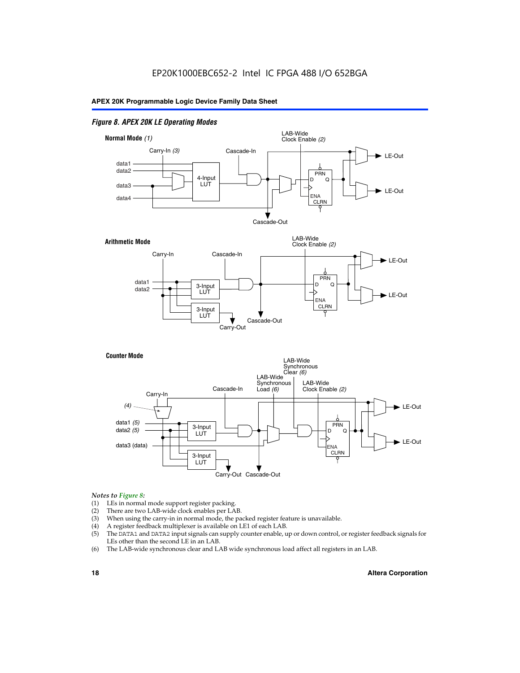#### *Figure 8. APEX 20K LE Operating Modes*



#### *Notes to Figure 8:*

- (1) LEs in normal mode support register packing.
- (2) There are two LAB-wide clock enables per LAB.
- (3) When using the carry-in in normal mode, the packed register feature is unavailable.
- (4) A register feedback multiplexer is available on LE1 of each LAB.
- (5) The DATA1 and DATA2 input signals can supply counter enable, up or down control, or register feedback signals for LEs other than the second LE in an LAB.
- (6) The LAB-wide synchronous clear and LAB wide synchronous load affect all registers in an LAB.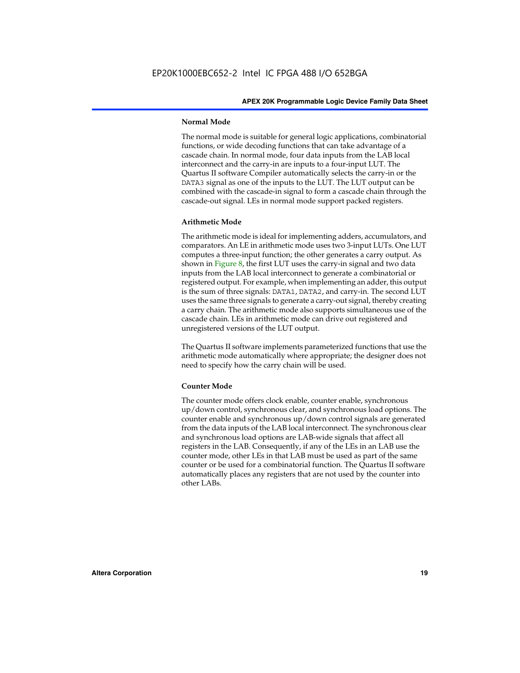#### **Normal Mode**

The normal mode is suitable for general logic applications, combinatorial functions, or wide decoding functions that can take advantage of a cascade chain. In normal mode, four data inputs from the LAB local interconnect and the carry-in are inputs to a four-input LUT. The Quartus II software Compiler automatically selects the carry-in or the DATA3 signal as one of the inputs to the LUT. The LUT output can be combined with the cascade-in signal to form a cascade chain through the cascade-out signal. LEs in normal mode support packed registers.

#### **Arithmetic Mode**

The arithmetic mode is ideal for implementing adders, accumulators, and comparators. An LE in arithmetic mode uses two 3-input LUTs. One LUT computes a three-input function; the other generates a carry output. As shown in Figure 8, the first LUT uses the carry-in signal and two data inputs from the LAB local interconnect to generate a combinatorial or registered output. For example, when implementing an adder, this output is the sum of three signals: DATA1, DATA2, and carry-in. The second LUT uses the same three signals to generate a carry-out signal, thereby creating a carry chain. The arithmetic mode also supports simultaneous use of the cascade chain. LEs in arithmetic mode can drive out registered and unregistered versions of the LUT output.

The Quartus II software implements parameterized functions that use the arithmetic mode automatically where appropriate; the designer does not need to specify how the carry chain will be used.

#### **Counter Mode**

The counter mode offers clock enable, counter enable, synchronous up/down control, synchronous clear, and synchronous load options. The counter enable and synchronous up/down control signals are generated from the data inputs of the LAB local interconnect. The synchronous clear and synchronous load options are LAB-wide signals that affect all registers in the LAB. Consequently, if any of the LEs in an LAB use the counter mode, other LEs in that LAB must be used as part of the same counter or be used for a combinatorial function. The Quartus II software automatically places any registers that are not used by the counter into other LABs.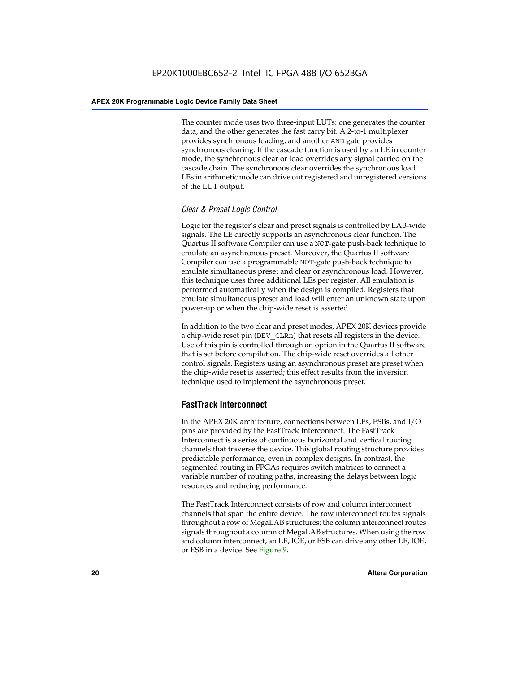The counter mode uses two three-input LUTs: one generates the counter data, and the other generates the fast carry bit. A 2-to-1 multiplexer provides synchronous loading, and another AND gate provides synchronous clearing. If the cascade function is used by an LE in counter mode, the synchronous clear or load overrides any signal carried on the cascade chain. The synchronous clear overrides the synchronous load. LEs in arithmetic mode can drive out registered and unregistered versions of the LUT output.

#### *Clear & Preset Logic Control*

Logic for the register's clear and preset signals is controlled by LAB-wide signals. The LE directly supports an asynchronous clear function. The Quartus II software Compiler can use a NOT-gate push-back technique to emulate an asynchronous preset. Moreover, the Quartus II software Compiler can use a programmable NOT-gate push-back technique to emulate simultaneous preset and clear or asynchronous load. However, this technique uses three additional LEs per register. All emulation is performed automatically when the design is compiled. Registers that emulate simultaneous preset and load will enter an unknown state upon power-up or when the chip-wide reset is asserted.

In addition to the two clear and preset modes, APEX 20K devices provide a chip-wide reset pin (DEV\_CLRn) that resets all registers in the device. Use of this pin is controlled through an option in the Quartus II software that is set before compilation. The chip-wide reset overrides all other control signals. Registers using an asynchronous preset are preset when the chip-wide reset is asserted; this effect results from the inversion technique used to implement the asynchronous preset.

#### **FastTrack Interconnect**

In the APEX 20K architecture, connections between LEs, ESBs, and I/O pins are provided by the FastTrack Interconnect. The FastTrack Interconnect is a series of continuous horizontal and vertical routing channels that traverse the device. This global routing structure provides predictable performance, even in complex designs. In contrast, the segmented routing in FPGAs requires switch matrices to connect a variable number of routing paths, increasing the delays between logic resources and reducing performance.

The FastTrack Interconnect consists of row and column interconnect channels that span the entire device. The row interconnect routes signals throughout a row of MegaLAB structures; the column interconnect routes signals throughout a column of MegaLAB structures. When using the row and column interconnect, an LE, IOE, or ESB can drive any other LE, IOE, or ESB in a device. See Figure 9.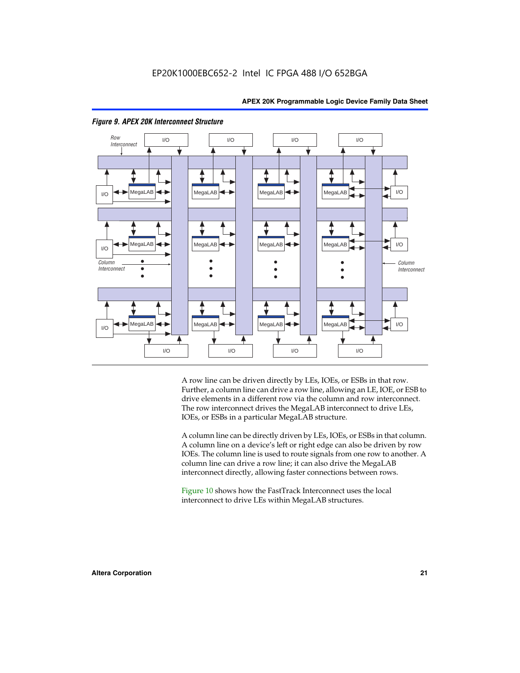



#### *Figure 9. APEX 20K Interconnect Structure*

A row line can be driven directly by LEs, IOEs, or ESBs in that row. Further, a column line can drive a row line, allowing an LE, IOE, or ESB to drive elements in a different row via the column and row interconnect. The row interconnect drives the MegaLAB interconnect to drive LEs, IOEs, or ESBs in a particular MegaLAB structure.

A column line can be directly driven by LEs, IOEs, or ESBs in that column. A column line on a device's left or right edge can also be driven by row IOEs. The column line is used to route signals from one row to another. A column line can drive a row line; it can also drive the MegaLAB interconnect directly, allowing faster connections between rows.

Figure 10 shows how the FastTrack Interconnect uses the local interconnect to drive LEs within MegaLAB structures.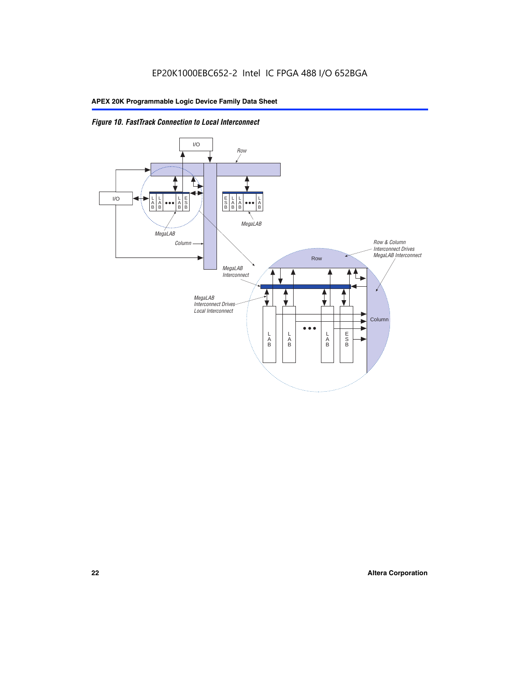

*Figure 10. FastTrack Connection to Local Interconnect*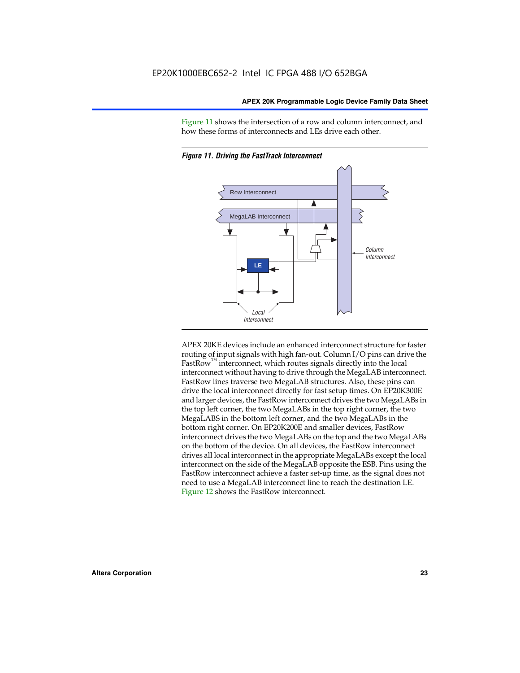Figure 11 shows the intersection of a row and column interconnect, and how these forms of interconnects and LEs drive each other.





APEX 20KE devices include an enhanced interconnect structure for faster routing of input signals with high fan-out. Column I/O pins can drive the FastRow<sup>™</sup> interconnect, which routes signals directly into the local interconnect without having to drive through the MegaLAB interconnect. FastRow lines traverse two MegaLAB structures. Also, these pins can drive the local interconnect directly for fast setup times. On EP20K300E and larger devices, the FastRow interconnect drives the two MegaLABs in the top left corner, the two MegaLABs in the top right corner, the two MegaLABS in the bottom left corner, and the two MegaLABs in the bottom right corner. On EP20K200E and smaller devices, FastRow interconnect drives the two MegaLABs on the top and the two MegaLABs on the bottom of the device. On all devices, the FastRow interconnect drives all local interconnect in the appropriate MegaLABs except the local interconnect on the side of the MegaLAB opposite the ESB. Pins using the FastRow interconnect achieve a faster set-up time, as the signal does not need to use a MegaLAB interconnect line to reach the destination LE. Figure 12 shows the FastRow interconnect.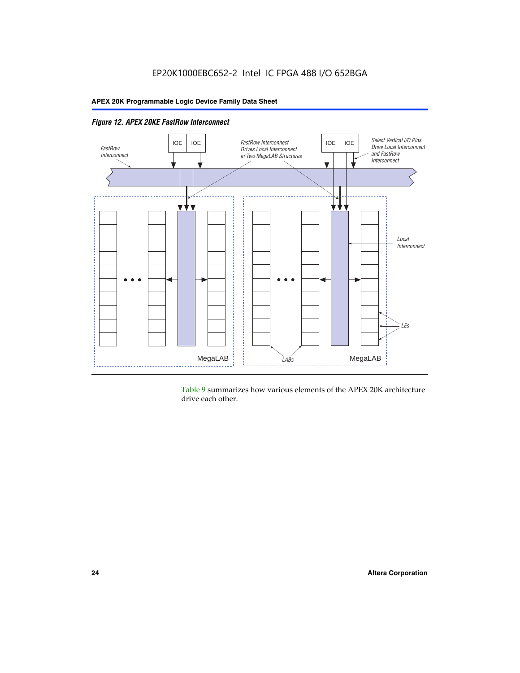

*Figure 12. APEX 20KE FastRow Interconnect*

Table 9 summarizes how various elements of the APEX 20K architecture drive each other.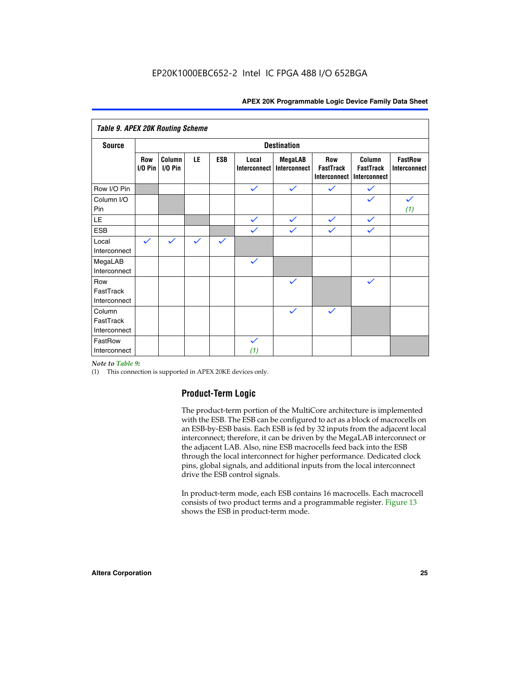| <b>Table 9. APEX 20K Routing Scheme</b> |                   |                      |              |              |                       |                                |                                                       |                                            |                                |
|-----------------------------------------|-------------------|----------------------|--------------|--------------|-----------------------|--------------------------------|-------------------------------------------------------|--------------------------------------------|--------------------------------|
| <b>Source</b>                           |                   | <b>Destination</b>   |              |              |                       |                                |                                                       |                                            |                                |
|                                         | Row<br>$I/O P$ in | Column<br>$I/O P$ in | LE           | <b>ESB</b>   | Local<br>Interconnect | <b>MegaLAB</b><br>Interconnect | <b>Row</b><br><b>FastTrack</b><br><b>Interconnect</b> | Column<br><b>FastTrack</b><br>Interconnect | <b>FastRow</b><br>Interconnect |
| Row I/O Pin                             |                   |                      |              |              | $\checkmark$          | $\checkmark$                   | $\checkmark$                                          | $\checkmark$                               |                                |
| Column I/O<br>Pin                       |                   |                      |              |              |                       |                                |                                                       |                                            | $\checkmark$<br>(1)            |
| LE                                      |                   |                      |              |              | $\checkmark$          | $\checkmark$                   | $\checkmark$                                          | $\checkmark$                               |                                |
| <b>ESB</b>                              |                   |                      |              |              | $\checkmark$          | $\checkmark$                   | $\checkmark$                                          | $\checkmark$                               |                                |
| Local<br>Interconnect                   | $\checkmark$      | $\checkmark$         | $\checkmark$ | $\checkmark$ |                       |                                |                                                       |                                            |                                |
| MegaLAB<br>Interconnect                 |                   |                      |              |              | $\checkmark$          |                                |                                                       |                                            |                                |
| Row<br>FastTrack<br>Interconnect        |                   |                      |              |              |                       | $\checkmark$                   |                                                       | $\checkmark$                               |                                |
| Column<br>FastTrack<br>Interconnect     |                   |                      |              |              |                       | $\checkmark$                   | $\checkmark$                                          |                                            |                                |
| FastRow<br>Interconnect                 |                   |                      |              |              | $\checkmark$<br>(1)   |                                |                                                       |                                            |                                |

#### *Note to Table 9:*

(1) This connection is supported in APEX 20KE devices only.

#### **Product-Term Logic**

The product-term portion of the MultiCore architecture is implemented with the ESB. The ESB can be configured to act as a block of macrocells on an ESB-by-ESB basis. Each ESB is fed by 32 inputs from the adjacent local interconnect; therefore, it can be driven by the MegaLAB interconnect or the adjacent LAB. Also, nine ESB macrocells feed back into the ESB through the local interconnect for higher performance. Dedicated clock pins, global signals, and additional inputs from the local interconnect drive the ESB control signals.

In product-term mode, each ESB contains 16 macrocells. Each macrocell consists of two product terms and a programmable register. Figure 13 shows the ESB in product-term mode.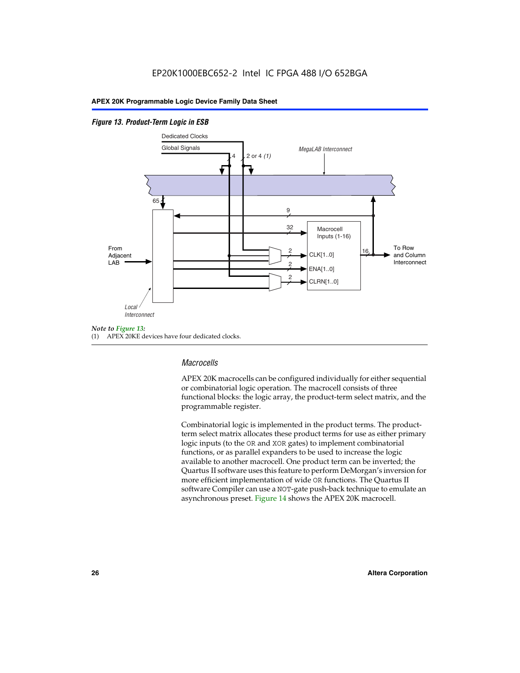#### *Figure 13. Product-Term Logic in ESB*



(1) APEX 20KE devices have four dedicated clocks.

#### *Macrocells*

APEX 20K macrocells can be configured individually for either sequential or combinatorial logic operation. The macrocell consists of three functional blocks: the logic array, the product-term select matrix, and the programmable register.

Combinatorial logic is implemented in the product terms. The productterm select matrix allocates these product terms for use as either primary logic inputs (to the OR and XOR gates) to implement combinatorial functions, or as parallel expanders to be used to increase the logic available to another macrocell. One product term can be inverted; the Quartus II software uses this feature to perform DeMorgan's inversion for more efficient implementation of wide OR functions. The Quartus II software Compiler can use a NOT-gate push-back technique to emulate an asynchronous preset. Figure 14 shows the APEX 20K macrocell.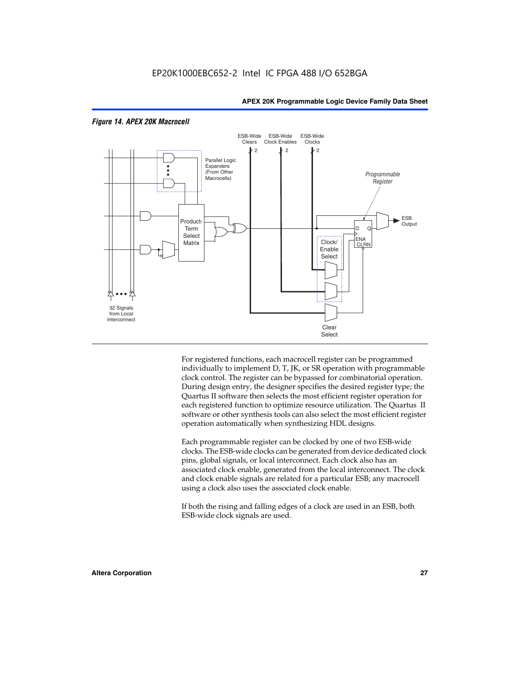

#### *Figure 14. APEX 20K Macrocell*

For registered functions, each macrocell register can be programmed individually to implement D, T, JK, or SR operation with programmable clock control. The register can be bypassed for combinatorial operation. During design entry, the designer specifies the desired register type; the Quartus II software then selects the most efficient register operation for each registered function to optimize resource utilization. The Quartus II software or other synthesis tools can also select the most efficient register operation automatically when synthesizing HDL designs.

Each programmable register can be clocked by one of two ESB-wide clocks. The ESB-wide clocks can be generated from device dedicated clock pins, global signals, or local interconnect. Each clock also has an associated clock enable, generated from the local interconnect. The clock and clock enable signals are related for a particular ESB; any macrocell using a clock also uses the associated clock enable.

If both the rising and falling edges of a clock are used in an ESB, both ESB-wide clock signals are used.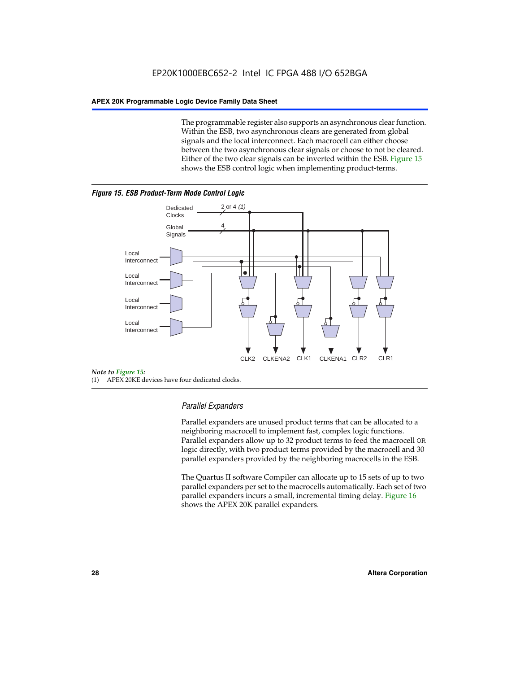The programmable register also supports an asynchronous clear function. Within the ESB, two asynchronous clears are generated from global signals and the local interconnect. Each macrocell can either choose between the two asynchronous clear signals or choose to not be cleared. Either of the two clear signals can be inverted within the ESB. Figure 15 shows the ESB control logic when implementing product-terms.





(1) APEX 20KE devices have four dedicated clocks.

#### *Parallel Expanders*

Parallel expanders are unused product terms that can be allocated to a neighboring macrocell to implement fast, complex logic functions. Parallel expanders allow up to 32 product terms to feed the macrocell OR logic directly, with two product terms provided by the macrocell and 30 parallel expanders provided by the neighboring macrocells in the ESB.

The Quartus II software Compiler can allocate up to 15 sets of up to two parallel expanders per set to the macrocells automatically. Each set of two parallel expanders incurs a small, incremental timing delay. Figure 16 shows the APEX 20K parallel expanders.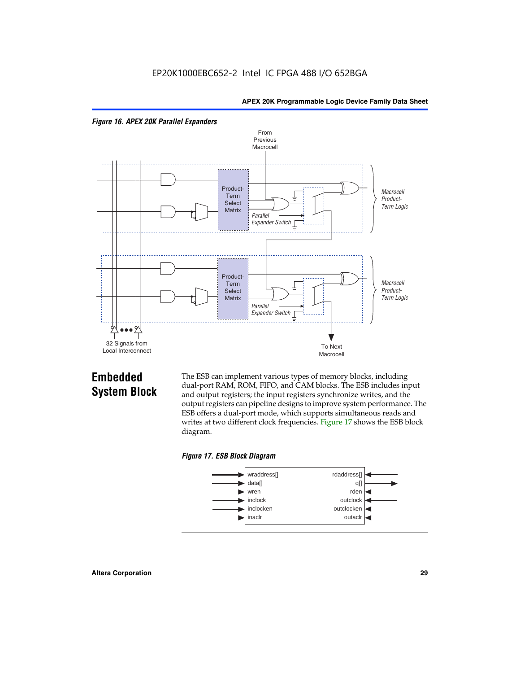



## **Embedded System Block**

The ESB can implement various types of memory blocks, including dual-port RAM, ROM, FIFO, and CAM blocks. The ESB includes input and output registers; the input registers synchronize writes, and the output registers can pipeline designs to improve system performance. The ESB offers a dual-port mode, which supports simultaneous reads and writes at two different clock frequencies. Figure 17 shows the ESB block diagram.



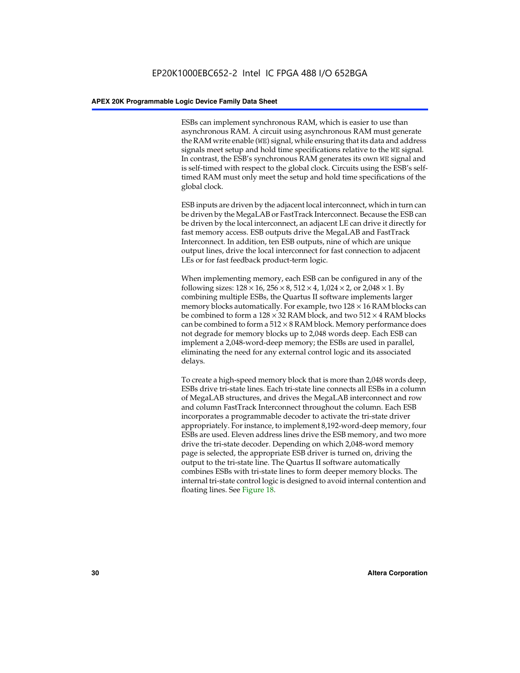ESBs can implement synchronous RAM, which is easier to use than asynchronous RAM. A circuit using asynchronous RAM must generate the RAM write enable (WE) signal, while ensuring that its data and address signals meet setup and hold time specifications relative to the WE signal. In contrast, the ESB's synchronous RAM generates its own WE signal and is self-timed with respect to the global clock. Circuits using the ESB's selftimed RAM must only meet the setup and hold time specifications of the global clock.

ESB inputs are driven by the adjacent local interconnect, which in turn can be driven by the MegaLAB or FastTrack Interconnect. Because the ESB can be driven by the local interconnect, an adjacent LE can drive it directly for fast memory access. ESB outputs drive the MegaLAB and FastTrack Interconnect. In addition, ten ESB outputs, nine of which are unique output lines, drive the local interconnect for fast connection to adjacent LEs or for fast feedback product-term logic.

When implementing memory, each ESB can be configured in any of the following sizes:  $128 \times 16$ ,  $256 \times 8$ ,  $512 \times 4$ ,  $1,024 \times 2$ , or  $2,048 \times 1$ . By combining multiple ESBs, the Quartus II software implements larger memory blocks automatically. For example, two  $128 \times 16$  RAM blocks can be combined to form a  $128 \times 32$  RAM block, and two  $512 \times 4$  RAM blocks can be combined to form a  $512 \times 8$  RAM block. Memory performance does not degrade for memory blocks up to 2,048 words deep. Each ESB can implement a 2,048-word-deep memory; the ESBs are used in parallel, eliminating the need for any external control logic and its associated delays.

To create a high-speed memory block that is more than 2,048 words deep, ESBs drive tri-state lines. Each tri-state line connects all ESBs in a column of MegaLAB structures, and drives the MegaLAB interconnect and row and column FastTrack Interconnect throughout the column. Each ESB incorporates a programmable decoder to activate the tri-state driver appropriately. For instance, to implement 8,192-word-deep memory, four ESBs are used. Eleven address lines drive the ESB memory, and two more drive the tri-state decoder. Depending on which 2,048-word memory page is selected, the appropriate ESB driver is turned on, driving the output to the tri-state line. The Quartus II software automatically combines ESBs with tri-state lines to form deeper memory blocks. The internal tri-state control logic is designed to avoid internal contention and floating lines. See Figure 18.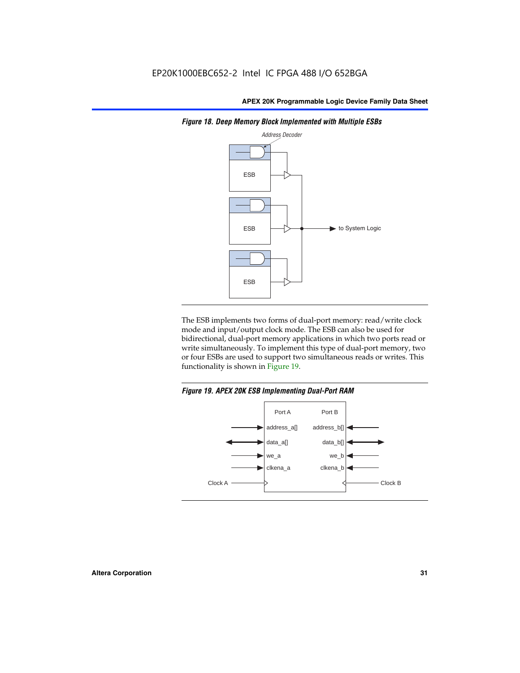

*Figure 18. Deep Memory Block Implemented with Multiple ESBs*

The ESB implements two forms of dual-port memory: read/write clock mode and input/output clock mode. The ESB can also be used for bidirectional, dual-port memory applications in which two ports read or write simultaneously. To implement this type of dual-port memory, two or four ESBs are used to support two simultaneous reads or writes. This functionality is shown in Figure 19.

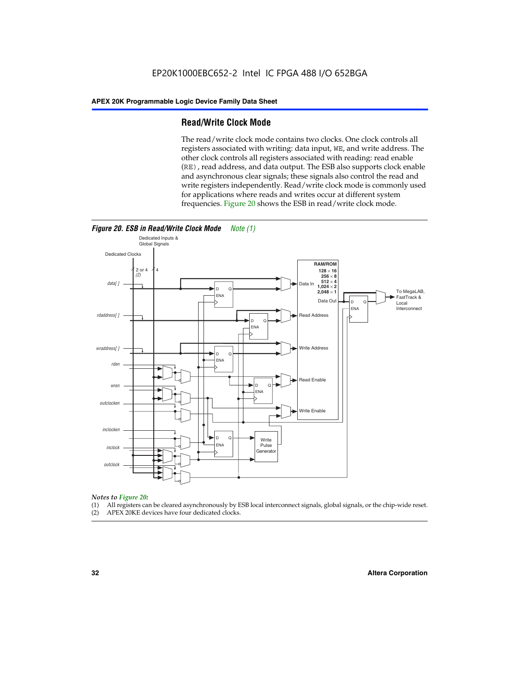#### **Read/Write Clock Mode**

The read/write clock mode contains two clocks. One clock controls all registers associated with writing: data input, WE, and write address. The other clock controls all registers associated with reading: read enable (RE), read address, and data output. The ESB also supports clock enable and asynchronous clear signals; these signals also control the read and write registers independently. Read/write clock mode is commonly used for applications where reads and writes occur at different system frequencies. Figure 20 shows the ESB in read/write clock mode.



## *Notes to Figure 20:*

- (1) All registers can be cleared asynchronously by ESB local interconnect signals, global signals, or the chip-wide reset.
- (2) APEX 20KE devices have four dedicated clocks.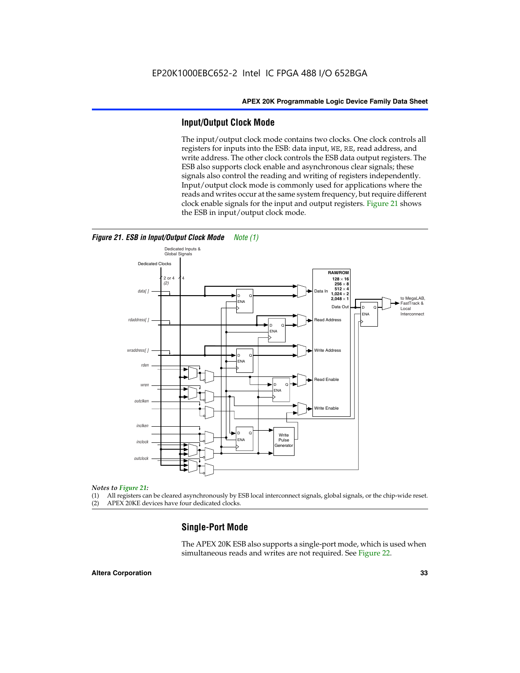#### **Input/Output Clock Mode**

The input/output clock mode contains two clocks. One clock controls all registers for inputs into the ESB: data input, WE, RE, read address, and write address. The other clock controls the ESB data output registers. The ESB also supports clock enable and asynchronous clear signals; these signals also control the reading and writing of registers independently. Input/output clock mode is commonly used for applications where the reads and writes occur at the same system frequency, but require different clock enable signals for the input and output registers. Figure 21 shows the ESB in input/output clock mode.



#### *Figure 21. ESB in Input/Output Clock Mode Note (1)*

#### *Notes to Figure 21:*

(1) All registers can be cleared asynchronously by ESB local interconnect signals, global signals, or the chip-wide reset.

(2) APEX 20KE devices have four dedicated clocks.

#### **Single-Port Mode**

The APEX 20K ESB also supports a single-port mode, which is used when simultaneous reads and writes are not required. See Figure 22.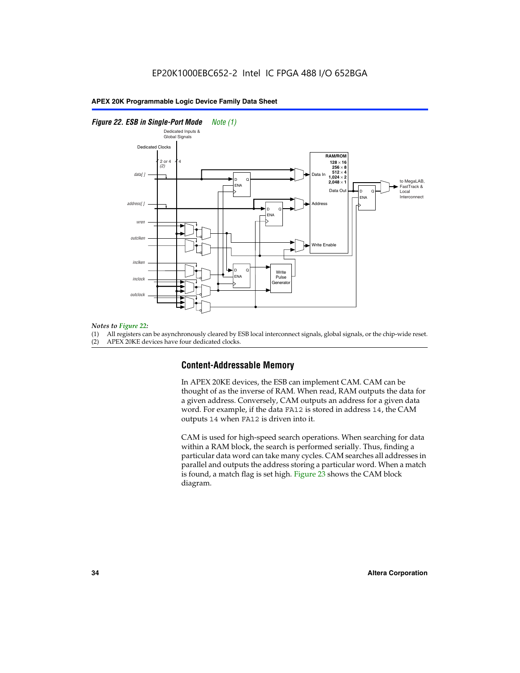#### *Figure 22. ESB in Single-Port Mode Note (1)*



#### *Notes to Figure 22:*

(1) All registers can be asynchronously cleared by ESB local interconnect signals, global signals, or the chip-wide reset.

(2) APEX 20KE devices have four dedicated clocks.

#### **Content-Addressable Memory**

In APEX 20KE devices, the ESB can implement CAM. CAM can be thought of as the inverse of RAM. When read, RAM outputs the data for a given address. Conversely, CAM outputs an address for a given data word. For example, if the data FA12 is stored in address 14, the CAM outputs 14 when FA12 is driven into it.

CAM is used for high-speed search operations. When searching for data within a RAM block, the search is performed serially. Thus, finding a particular data word can take many cycles. CAM searches all addresses in parallel and outputs the address storing a particular word. When a match is found, a match flag is set high. Figure 23 shows the CAM block diagram.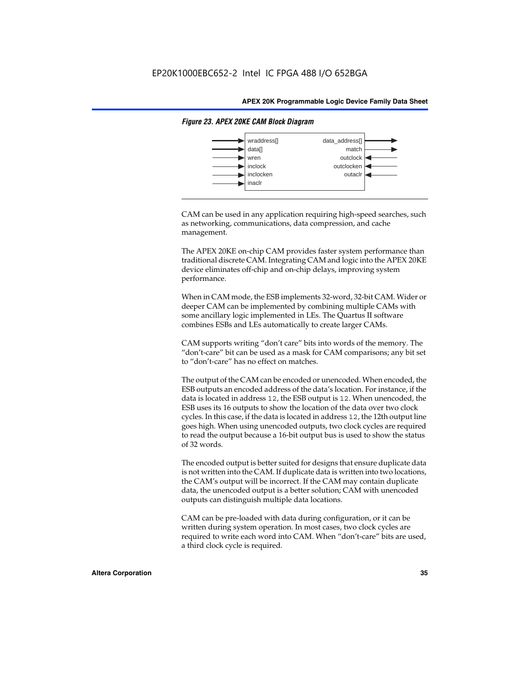

#### *Figure 23. APEX 20KE CAM Block Diagram*

CAM can be used in any application requiring high-speed searches, such as networking, communications, data compression, and cache management.

The APEX 20KE on-chip CAM provides faster system performance than traditional discrete CAM. Integrating CAM and logic into the APEX 20KE device eliminates off-chip and on-chip delays, improving system performance.

When in CAM mode, the ESB implements 32-word, 32-bit CAM. Wider or deeper CAM can be implemented by combining multiple CAMs with some ancillary logic implemented in LEs. The Quartus II software combines ESBs and LEs automatically to create larger CAMs.

CAM supports writing "don't care" bits into words of the memory. The "don't-care" bit can be used as a mask for CAM comparisons; any bit set to "don't-care" has no effect on matches.

The output of the CAM can be encoded or unencoded. When encoded, the ESB outputs an encoded address of the data's location. For instance, if the data is located in address 12, the ESB output is 12. When unencoded, the ESB uses its 16 outputs to show the location of the data over two clock cycles. In this case, if the data is located in address 12, the 12th output line goes high. When using unencoded outputs, two clock cycles are required to read the output because a 16-bit output bus is used to show the status of 32 words.

The encoded output is better suited for designs that ensure duplicate data is not written into the CAM. If duplicate data is written into two locations, the CAM's output will be incorrect. If the CAM may contain duplicate data, the unencoded output is a better solution; CAM with unencoded outputs can distinguish multiple data locations.

CAM can be pre-loaded with data during configuration, or it can be written during system operation. In most cases, two clock cycles are required to write each word into CAM. When "don't-care" bits are used, a third clock cycle is required.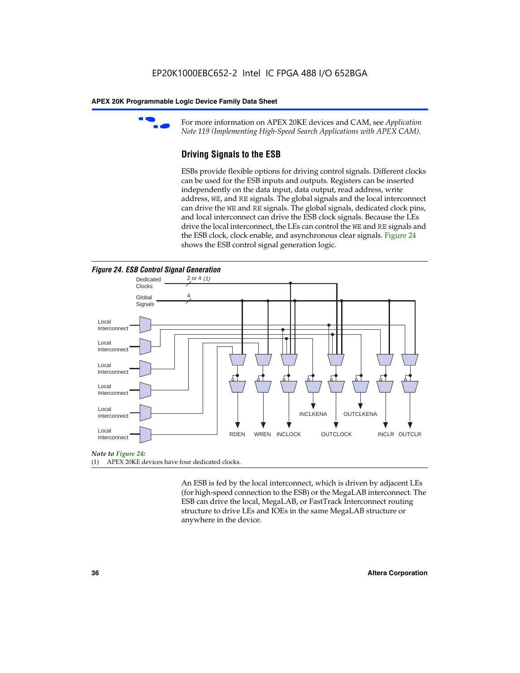

For more information on APEX 20KE devices and CAM, see *Application Note 119 (Implementing High-Speed Search Applications with APEX CAM).*

# **Driving Signals to the ESB**

ESBs provide flexible options for driving control signals. Different clocks can be used for the ESB inputs and outputs. Registers can be inserted independently on the data input, data output, read address, write address, WE, and RE signals. The global signals and the local interconnect can drive the WE and RE signals. The global signals, dedicated clock pins, and local interconnect can drive the ESB clock signals. Because the LEs drive the local interconnect, the LEs can control the WE and RE signals and the ESB clock, clock enable, and asynchronous clear signals. Figure 24 shows the ESB control signal generation logic.





#### *Note to Figure 24:*

(1) APEX 20KE devices have four dedicated clocks.

An ESB is fed by the local interconnect, which is driven by adjacent LEs (for high-speed connection to the ESB) or the MegaLAB interconnect. The ESB can drive the local, MegaLAB, or FastTrack Interconnect routing structure to drive LEs and IOEs in the same MegaLAB structure or anywhere in the device.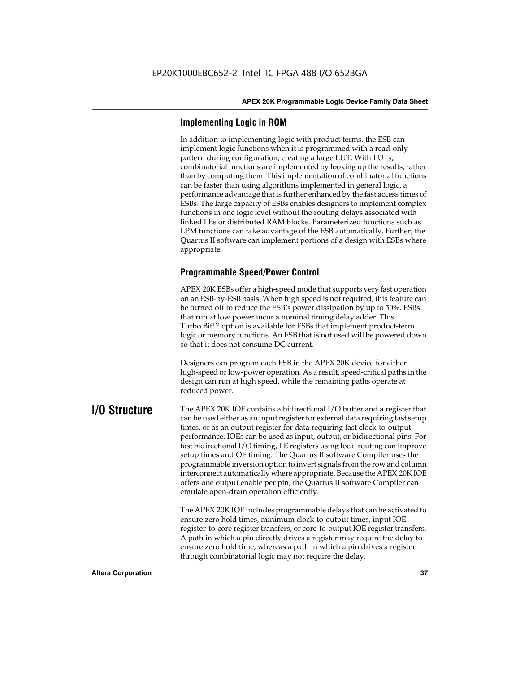# **Implementing Logic in ROM**

In addition to implementing logic with product terms, the ESB can implement logic functions when it is programmed with a read-only pattern during configuration, creating a large LUT. With LUTs, combinatorial functions are implemented by looking up the results, rather than by computing them. This implementation of combinatorial functions can be faster than using algorithms implemented in general logic, a performance advantage that is further enhanced by the fast access times of ESBs. The large capacity of ESBs enables designers to implement complex functions in one logic level without the routing delays associated with linked LEs or distributed RAM blocks. Parameterized functions such as LPM functions can take advantage of the ESB automatically. Further, the Quartus II software can implement portions of a design with ESBs where appropriate.

# **Programmable Speed/Power Control**

APEX 20K ESBs offer a high-speed mode that supports very fast operation on an ESB-by-ESB basis. When high speed is not required, this feature can be turned off to reduce the ESB's power dissipation by up to 50%. ESBs that run at low power incur a nominal timing delay adder. This Turbo  $Bit^{TM}$  option is available for ESBs that implement product-term logic or memory functions. An ESB that is not used will be powered down so that it does not consume DC current.

Designers can program each ESB in the APEX 20K device for either high-speed or low-power operation. As a result, speed-critical paths in the design can run at high speed, while the remaining paths operate at reduced power.

**I/O Structure** The APEX 20K IOE contains a bidirectional I/O buffer and a register that can be used either as an input register for external data requiring fast setup times, or as an output register for data requiring fast clock-to-output performance. IOEs can be used as input, output, or bidirectional pins. For fast bidirectional I/O timing, LE registers using local routing can improve setup times and OE timing. The Quartus II software Compiler uses the programmable inversion option to invert signals from the row and column interconnect automatically where appropriate. Because the APEX 20K IOE offers one output enable per pin, the Quartus II software Compiler can emulate open-drain operation efficiently.

> The APEX 20K IOE includes programmable delays that can be activated to ensure zero hold times, minimum clock-to-output times, input IOE register-to-core register transfers, or core-to-output IOE register transfers. A path in which a pin directly drives a register may require the delay to ensure zero hold time, whereas a path in which a pin drives a register through combinatorial logic may not require the delay.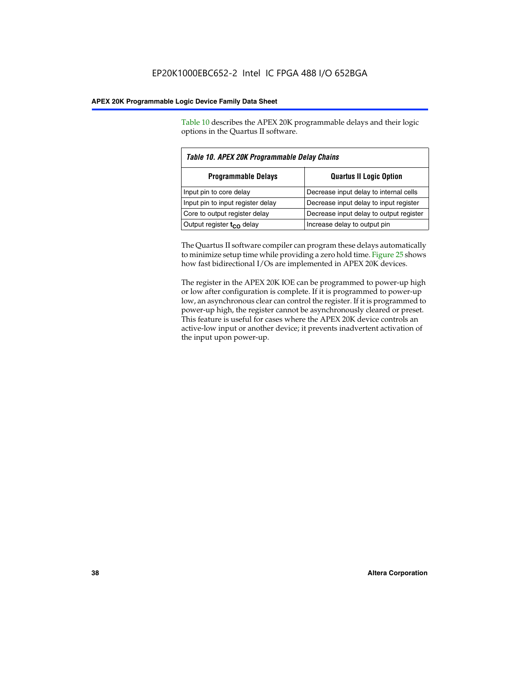Table 10 describes the APEX 20K programmable delays and their logic options in the Quartus II software.

| Table 10. APEX 20K Programmable Delay Chains                 |                                         |  |  |  |
|--------------------------------------------------------------|-----------------------------------------|--|--|--|
| <b>Programmable Delays</b><br><b>Quartus II Logic Option</b> |                                         |  |  |  |
| Input pin to core delay                                      | Decrease input delay to internal cells  |  |  |  |
| Input pin to input register delay                            | Decrease input delay to input register  |  |  |  |
| Core to output register delay                                | Decrease input delay to output register |  |  |  |
| Output register $t_{\rm CO}$ delay                           | Increase delay to output pin            |  |  |  |

The Quartus II software compiler can program these delays automatically to minimize setup time while providing a zero hold time. Figure 25 shows how fast bidirectional I/Os are implemented in APEX 20K devices.

The register in the APEX 20K IOE can be programmed to power-up high or low after configuration is complete. If it is programmed to power-up low, an asynchronous clear can control the register. If it is programmed to power-up high, the register cannot be asynchronously cleared or preset. This feature is useful for cases where the APEX 20K device controls an active-low input or another device; it prevents inadvertent activation of the input upon power-up.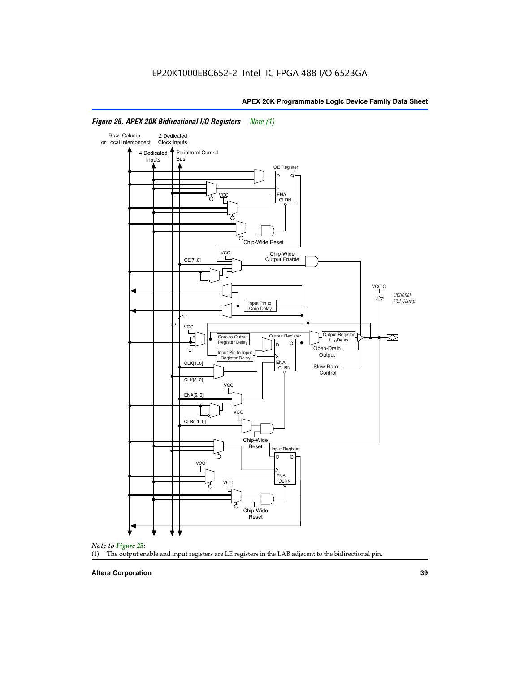

#### *Figure 25. APEX 20K Bidirectional I/O Registers Note (1)*



#### **Altera Corporation 39**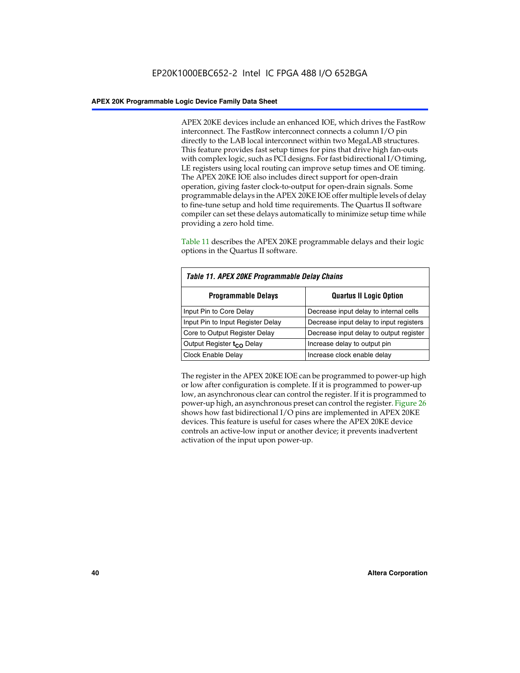APEX 20KE devices include an enhanced IOE, which drives the FastRow interconnect. The FastRow interconnect connects a column I/O pin directly to the LAB local interconnect within two MegaLAB structures. This feature provides fast setup times for pins that drive high fan-outs with complex logic, such as PCI designs. For fast bidirectional I/O timing, LE registers using local routing can improve setup times and OE timing. The APEX 20KE IOE also includes direct support for open-drain operation, giving faster clock-to-output for open-drain signals. Some programmable delays in the APEX 20KE IOE offer multiple levels of delay to fine-tune setup and hold time requirements. The Quartus II software compiler can set these delays automatically to minimize setup time while providing a zero hold time.

Table 11 describes the APEX 20KE programmable delays and their logic options in the Quartus II software.

| Table 11. APEX 20KE Programmable Delay Chains |                                         |  |  |  |  |
|-----------------------------------------------|-----------------------------------------|--|--|--|--|
| <b>Programmable Delays</b>                    | <b>Quartus II Logic Option</b>          |  |  |  |  |
| Input Pin to Core Delay                       | Decrease input delay to internal cells  |  |  |  |  |
| Input Pin to Input Register Delay             | Decrease input delay to input registers |  |  |  |  |
| Core to Output Register Delay                 | Decrease input delay to output register |  |  |  |  |
| Output Register t <sub>CO</sub> Delay         | Increase delay to output pin            |  |  |  |  |
| <b>Clock Enable Delay</b>                     | Increase clock enable delay             |  |  |  |  |

The register in the APEX 20KE IOE can be programmed to power-up high or low after configuration is complete. If it is programmed to power-up low, an asynchronous clear can control the register. If it is programmed to power-up high, an asynchronous preset can control the register. Figure 26 shows how fast bidirectional I/O pins are implemented in APEX 20KE devices. This feature is useful for cases where the APEX 20KE device controls an active-low input or another device; it prevents inadvertent activation of the input upon power-up.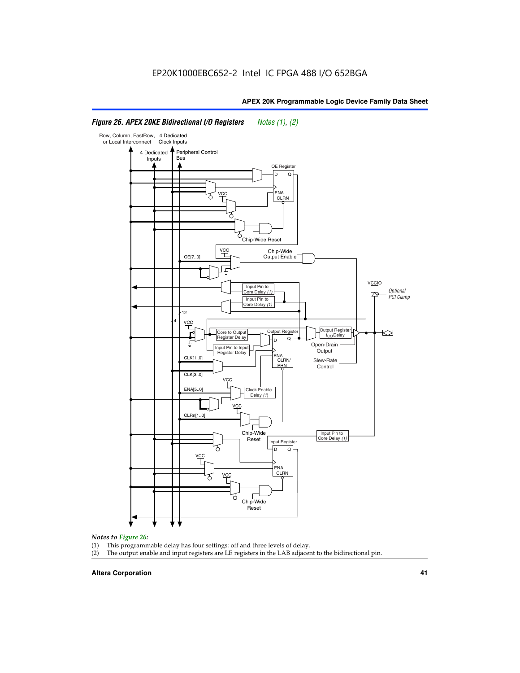#### Row, Column, FastRow, 4 Dedicated or Local Interconnect Clock Inputs Peripheral Control 4 Dedicated **Bus** Inputs OE Register D Q ENA VCC CLRN 7 Chip-Wide Reset vcc Chip-Wide Output Enable OE[7..0] VC Input Pin to **Optional** Core Delay (1) PCI Clamp Input Pin to Core Delay (1) 12 4 **VCC** Output Register **Output Registe**  $\approx$ Core to Output | Output Hegister | Durbut Tropieding | Contput Tropieding | Durbut Tropieding | Output Tropied<br>Register Delay | Durbut Tropieding | Contput Tropieding | Contput Tropieding | O t<sub>CO</sub>Delay  $D$  Q ī Open-Drain Input Pin to Input **Output** Register Delay ENA CLK[1..0] CLRN/ Slew-Rate PR<sub>N</sub> Control CLK[3..0] VCC ENA[5..0] Clock Enable Delay (1) VCC CLRn[1..0] Chip-Wide Input Pin to Core Delay (1) Reset Input Register D Q <u>vcc</u> .<br>ENA CLRN **VCC** Chip-Wide Reset

### *Figure 26. APEX 20KE Bidirectional I/O Registers Notes (1), (2)*

#### *Notes to Figure 26:*

- (1) This programmable delay has four settings: off and three levels of delay.<br>(2) The output enable and input registers are LE registers in the LAB adjacer
- The output enable and input registers are LE registers in the LAB adjacent to the bidirectional pin.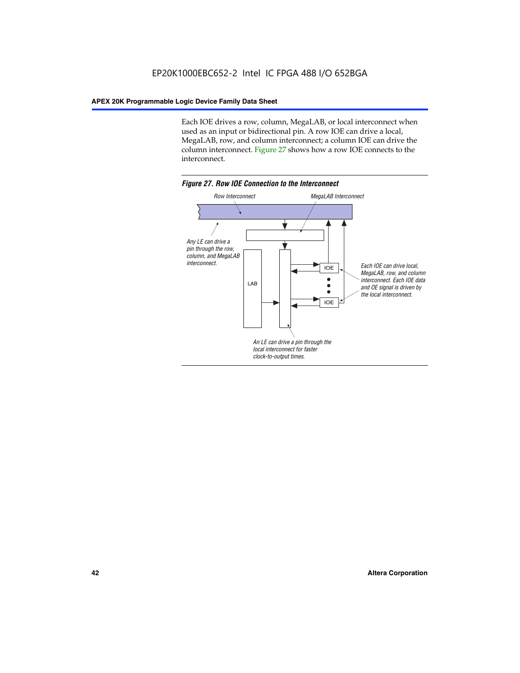Each IOE drives a row, column, MegaLAB, or local interconnect when used as an input or bidirectional pin. A row IOE can drive a local, MegaLAB, row, and column interconnect; a column IOE can drive the column interconnect. Figure 27 shows how a row IOE connects to the interconnect.

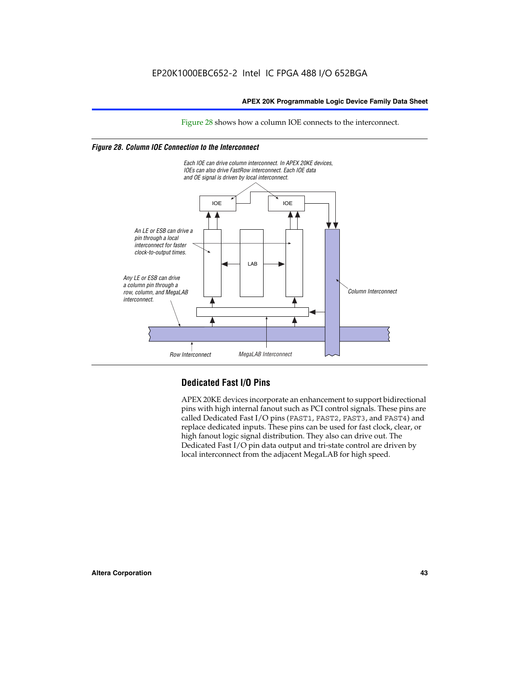Figure 28 shows how a column IOE connects to the interconnect.

#### *Figure 28. Column IOE Connection to the Interconnect*



# **Dedicated Fast I/O Pins**

APEX 20KE devices incorporate an enhancement to support bidirectional pins with high internal fanout such as PCI control signals. These pins are called Dedicated Fast I/O pins (FAST1, FAST2, FAST3, and FAST4) and replace dedicated inputs. These pins can be used for fast clock, clear, or high fanout logic signal distribution. They also can drive out. The Dedicated Fast I/O pin data output and tri-state control are driven by local interconnect from the adjacent MegaLAB for high speed.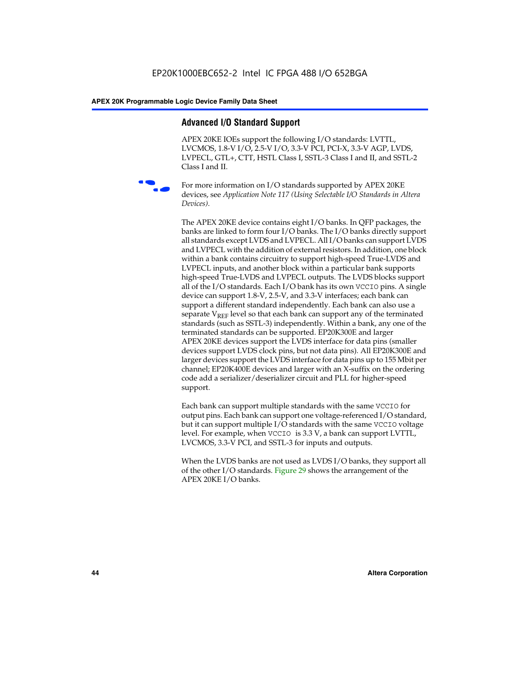# **Advanced I/O Standard Support**

APEX 20KE IOEs support the following I/O standards: LVTTL, LVCMOS, 1.8-V I/O, 2.5-V I/O, 3.3-V PCI, PCI-X, 3.3-V AGP, LVDS, LVPECL, GTL+, CTT, HSTL Class I, SSTL-3 Class I and II, and SSTL-2 Class I and II.



For more information on I/O standards supported by APEX 20KE devices, see *Application Note 117 (Using Selectable I/O Standards in Altera Devices)*.

The APEX 20KE device contains eight I/O banks. In QFP packages, the banks are linked to form four I/O banks. The I/O banks directly support all standards except LVDS and LVPECL. All I/O banks can support LVDS and LVPECL with the addition of external resistors. In addition, one block within a bank contains circuitry to support high-speed True-LVDS and LVPECL inputs, and another block within a particular bank supports high-speed True-LVDS and LVPECL outputs. The LVDS blocks support all of the I/O standards. Each I/O bank has its own VCCIO pins. A single device can support 1.8-V, 2.5-V, and 3.3-V interfaces; each bank can support a different standard independently. Each bank can also use a separate  $V_{\text{REF}}$  level so that each bank can support any of the terminated standards (such as SSTL-3) independently. Within a bank, any one of the terminated standards can be supported. EP20K300E and larger APEX 20KE devices support the LVDS interface for data pins (smaller devices support LVDS clock pins, but not data pins). All EP20K300E and larger devices support the LVDS interface for data pins up to 155 Mbit per channel; EP20K400E devices and larger with an X-suffix on the ordering code add a serializer/deserializer circuit and PLL for higher-speed support.

Each bank can support multiple standards with the same VCCIO for output pins. Each bank can support one voltage-referenced I/O standard, but it can support multiple I/O standards with the same VCCIO voltage level. For example, when VCCIO is 3.3 V, a bank can support LVTTL, LVCMOS, 3.3-V PCI, and SSTL-3 for inputs and outputs.

When the LVDS banks are not used as LVDS I/O banks, they support all of the other I/O standards. Figure 29 shows the arrangement of the APEX 20KE I/O banks.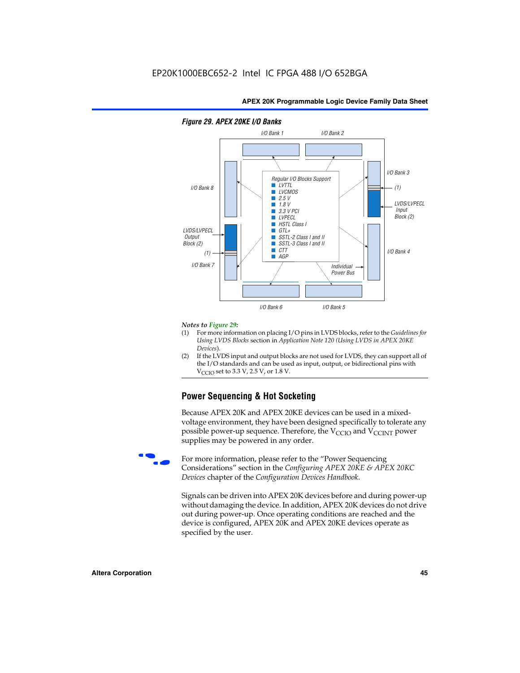

#### *Figure 29. APEX 20KE I/O Banks*

#### *Notes to Figure 29:*

- (1) For more information on placing I/O pins in LVDS blocks, refer to the *Guidelines for Using LVDS Blocks* section in *Application Note 120 (Using LVDS in APEX 20KE Devices*).
- (2) If the LVDS input and output blocks are not used for LVDS, they can support all of the I/O standards and can be used as input, output, or bidirectional pins with  $V_{\text{C} \cap \text{O}}$  set to 3.3 V, 2.5 V, or 1.8 V.

# **Power Sequencing & Hot Socketing**

Because APEX 20K and APEX 20KE devices can be used in a mixedvoltage environment, they have been designed specifically to tolerate any possible power-up sequence. Therefore, the  $V_{\text{CCIO}}$  and  $V_{\text{CCINT}}$  power supplies may be powered in any order.

For more information, please refer to the "Power Sequencing Considerations" section in the *Configuring APEX 20KE & APEX 20KC Devices* chapter of the *Configuration Devices Handbook*.

Signals can be driven into APEX 20K devices before and during power-up without damaging the device. In addition, APEX 20K devices do not drive out during power-up. Once operating conditions are reached and the device is configured, APEX 20K and APEX 20KE devices operate as specified by the user.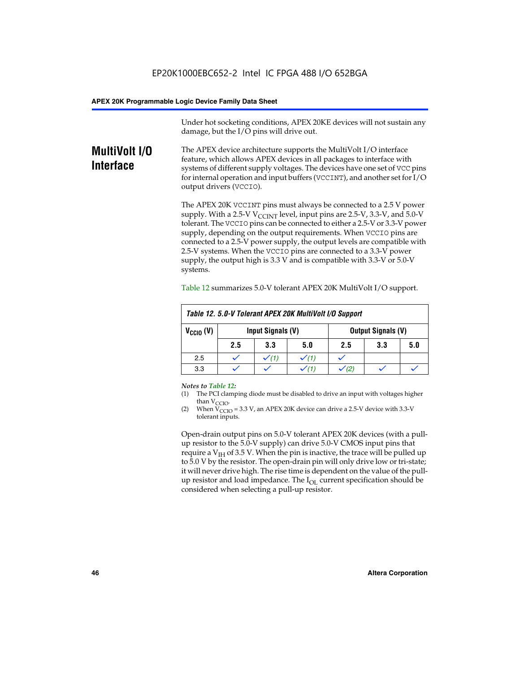Under hot socketing conditions, APEX 20KE devices will not sustain any damage, but the I/O pins will drive out.

# **MultiVolt I/O Interface**

The APEX device architecture supports the MultiVolt I/O interface feature, which allows APEX devices in all packages to interface with systems of different supply voltages. The devices have one set of VCC pins for internal operation and input buffers (VCCINT), and another set for I/O output drivers (VCCIO).

The APEX 20K VCCINT pins must always be connected to a 2.5 V power supply. With a 2.5-V  $V_{\text{CCMT}}$  level, input pins are 2.5-V, 3.3-V, and 5.0-V tolerant. The VCCIO pins can be connected to either a 2.5-V or 3.3-V power supply, depending on the output requirements. When VCCIO pins are connected to a 2.5-V power supply, the output levels are compatible with 2.5-V systems. When the VCCIO pins are connected to a 3.3-V power supply, the output high is 3.3 V and is compatible with 3.3-V or 5.0-V systems.

| Table 12. 5.0-V Tolerant APEX 20K MultiVolt I/O Support |                                                |     |     |     |     |     |  |
|---------------------------------------------------------|------------------------------------------------|-----|-----|-----|-----|-----|--|
| $V_{\text{CCIO}}(V)$                                    | Input Signals (V)<br><b>Output Signals (V)</b> |     |     |     |     |     |  |
|                                                         | 2.5                                            | 3.3 | 5.0 | 2.5 | 3.3 | 5.0 |  |
| 2.5                                                     |                                                |     |     |     |     |     |  |
| 3.3                                                     |                                                |     |     |     |     |     |  |

Table 12 summarizes 5.0-V tolerant APEX 20K MultiVolt I/O support.

#### *Notes to Table 12:*

- (1) The PCI clamping diode must be disabled to drive an input with voltages higher than  $V_{CCIO}$ .
- (2) When  $V_{CCIO} = 3.3 V$ , an APEX 20K device can drive a 2.5-V device with 3.3-V tolerant inputs.

Open-drain output pins on 5.0-V tolerant APEX 20K devices (with a pullup resistor to the 5.0-V supply) can drive 5.0-V CMOS input pins that require a  $V_{IH}$  of 3.5 V. When the pin is inactive, the trace will be pulled up to 5.0 V by the resistor. The open-drain pin will only drive low or tri-state; it will never drive high. The rise time is dependent on the value of the pullup resistor and load impedance. The  $I_{OI}$  current specification should be considered when selecting a pull-up resistor.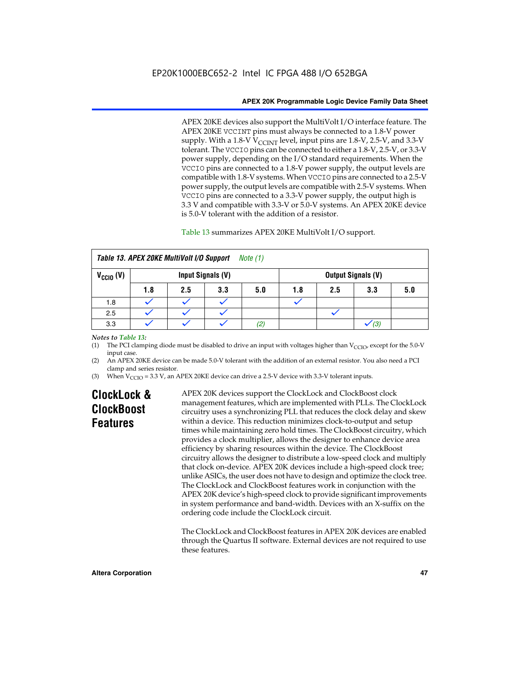APEX 20KE devices also support the MultiVolt I/O interface feature. The APEX 20KE VCCINT pins must always be connected to a 1.8-V power supply. With a 1.8-V  $V_{\text{CCINT}}$  level, input pins are 1.8-V, 2.5-V, and 3.3-V tolerant. The VCCIO pins can be connected to either a 1.8-V, 2.5-V, or 3.3-V power supply, depending on the I/O standard requirements. When the VCCIO pins are connected to a 1.8-V power supply, the output levels are compatible with 1.8-V systems. When VCCIO pins are connected to a 2.5-V power supply, the output levels are compatible with 2.5-V systems. When VCCIO pins are connected to a 3.3-V power supply, the output high is 3.3 V and compatible with 3.3-V or 5.0-V systems. An APEX 20KE device is 5.0-V tolerant with the addition of a resistor.

#### Table 13 summarizes APEX 20KE MultiVolt I/O support.

| Table 13. APEX 20KE MultiVolt I/O Support<br>Note (1) |                   |     |     |     |     |     |     |                           |  |
|-------------------------------------------------------|-------------------|-----|-----|-----|-----|-----|-----|---------------------------|--|
| $V_{\text{CCIO}}(V)$                                  | Input Signals (V) |     |     |     |     |     |     | <b>Output Signals (V)</b> |  |
|                                                       | 1.8               | 2.5 | 3.3 | 5.0 | 1.8 | 2.5 | 3.3 | 5.0                       |  |
| 1.8                                                   |                   |     |     |     |     |     |     |                           |  |
| 2.5                                                   |                   |     |     |     |     |     |     |                           |  |
| 3.3                                                   |                   |     |     | (2) |     |     | (3) |                           |  |

#### *Notes to Table 13:*

(1) The PCI clamping diode must be disabled to drive an input with voltages higher than  $V_{CCIO}$ , except for the 5.0-V input case.

(2) An APEX 20KE device can be made 5.0-V tolerant with the addition of an external resistor. You also need a PCI clamp and series resistor.

(3) When  $V_{\text{CCIO}} = 3.3$  V, an APEX 20KE device can drive a 2.5-V device with 3.3-V tolerant inputs.

# **ClockLock & ClockBoost Features**

APEX 20K devices support the ClockLock and ClockBoost clock management features, which are implemented with PLLs. The ClockLock circuitry uses a synchronizing PLL that reduces the clock delay and skew within a device. This reduction minimizes clock-to-output and setup times while maintaining zero hold times. The ClockBoost circuitry, which provides a clock multiplier, allows the designer to enhance device area efficiency by sharing resources within the device. The ClockBoost circuitry allows the designer to distribute a low-speed clock and multiply that clock on-device. APEX 20K devices include a high-speed clock tree; unlike ASICs, the user does not have to design and optimize the clock tree. The ClockLock and ClockBoost features work in conjunction with the APEX 20K device's high-speed clock to provide significant improvements in system performance and band-width. Devices with an X-suffix on the ordering code include the ClockLock circuit.

The ClockLock and ClockBoost features in APEX 20K devices are enabled through the Quartus II software. External devices are not required to use these features.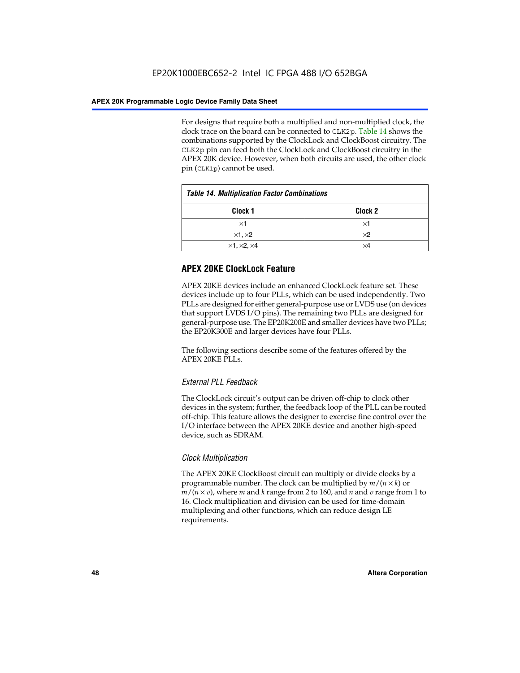For designs that require both a multiplied and non-multiplied clock, the clock trace on the board can be connected to CLK2p. Table 14 shows the combinations supported by the ClockLock and ClockBoost circuitry. The CLK2p pin can feed both the ClockLock and ClockBoost circuitry in the APEX 20K device. However, when both circuits are used, the other clock pin (CLK1p) cannot be used.

| <b>Table 14. Multiplication Factor Combinations</b> |            |  |  |
|-----------------------------------------------------|------------|--|--|
| Clock <sub>2</sub><br>Clock 1                       |            |  |  |
| ×1                                                  | ×1         |  |  |
| $\times$ 1, $\times$ 2                              | $\times 2$ |  |  |
| $\times$ 1, $\times$ 2, $\times$ 4                  | ×4         |  |  |

# **APEX 20KE ClockLock Feature**

APEX 20KE devices include an enhanced ClockLock feature set. These devices include up to four PLLs, which can be used independently. Two PLLs are designed for either general-purpose use or LVDS use (on devices that support LVDS I/O pins). The remaining two PLLs are designed for general-purpose use. The EP20K200E and smaller devices have two PLLs; the EP20K300E and larger devices have four PLLs.

The following sections describe some of the features offered by the APEX 20KE PLLs.

# *External PLL Feedback*

The ClockLock circuit's output can be driven off-chip to clock other devices in the system; further, the feedback loop of the PLL can be routed off-chip. This feature allows the designer to exercise fine control over the I/O interface between the APEX 20KE device and another high-speed device, such as SDRAM.

### *Clock Multiplication*

The APEX 20KE ClockBoost circuit can multiply or divide clocks by a programmable number. The clock can be multiplied by *m*/(*n* × *k*) or  $m/(n \times v)$ , where *m* and *k* range from 2 to 160, and *n* and *v* range from 1 to 16. Clock multiplication and division can be used for time-domain multiplexing and other functions, which can reduce design LE requirements.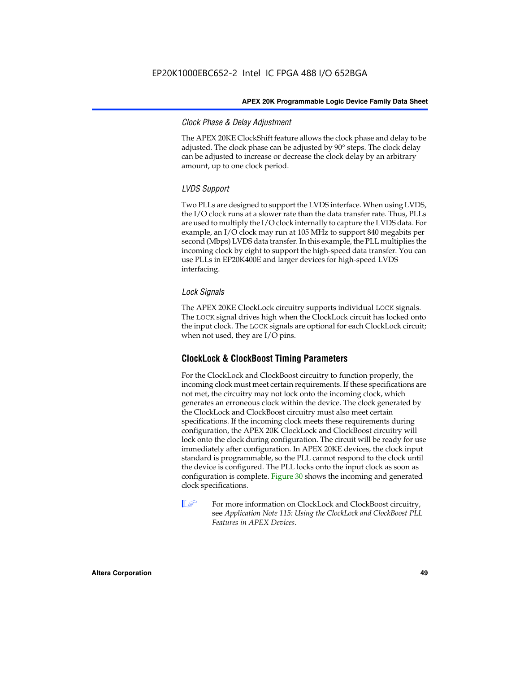#### *Clock Phase & Delay Adjustment*

The APEX 20KE ClockShift feature allows the clock phase and delay to be adjusted. The clock phase can be adjusted by 90° steps. The clock delay can be adjusted to increase or decrease the clock delay by an arbitrary amount, up to one clock period.

## *LVDS Support*

Two PLLs are designed to support the LVDS interface. When using LVDS, the I/O clock runs at a slower rate than the data transfer rate. Thus, PLLs are used to multiply the I/O clock internally to capture the LVDS data. For example, an I/O clock may run at 105 MHz to support 840 megabits per second (Mbps) LVDS data transfer. In this example, the PLL multiplies the incoming clock by eight to support the high-speed data transfer. You can use PLLs in EP20K400E and larger devices for high-speed LVDS interfacing.

### *Lock Signals*

The APEX 20KE ClockLock circuitry supports individual LOCK signals. The LOCK signal drives high when the ClockLock circuit has locked onto the input clock. The LOCK signals are optional for each ClockLock circuit; when not used, they are I/O pins.

# **ClockLock & ClockBoost Timing Parameters**

For the ClockLock and ClockBoost circuitry to function properly, the incoming clock must meet certain requirements. If these specifications are not met, the circuitry may not lock onto the incoming clock, which generates an erroneous clock within the device. The clock generated by the ClockLock and ClockBoost circuitry must also meet certain specifications. If the incoming clock meets these requirements during configuration, the APEX 20K ClockLock and ClockBoost circuitry will lock onto the clock during configuration. The circuit will be ready for use immediately after configuration. In APEX 20KE devices, the clock input standard is programmable, so the PLL cannot respond to the clock until the device is configured. The PLL locks onto the input clock as soon as configuration is complete. Figure 30 shows the incoming and generated clock specifications.

 $\mathbb{I} \mathcal{F}$  For more information on ClockLock and ClockBoost circuitry, see *Application Note 115: Using the ClockLock and ClockBoost PLL Features in APEX Devices*.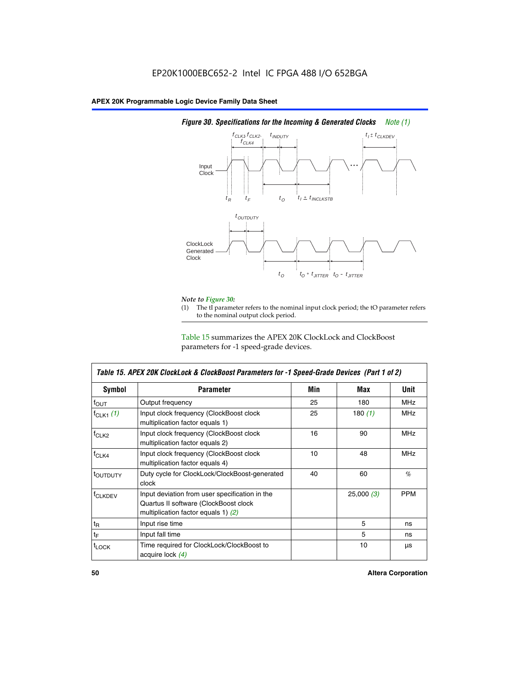

# *Figure 30. Specifications for the Incoming & Generated Clocks Note (1)*

# *Note to Figure 30:*

The tI parameter refers to the nominal input clock period; the tO parameter refers to the nominal output clock period.

Table 15 summarizes the APEX 20K ClockLock and ClockBoost parameters for -1 speed-grade devices.

| <b>Symbol</b>     | <b>Parameter</b>                                                                                                                 | Min | Max       | <b>Unit</b> |
|-------------------|----------------------------------------------------------------------------------------------------------------------------------|-----|-----------|-------------|
| $f_{OUT}$         | Output frequency                                                                                                                 | 25  | 180       | MHz         |
| $f_{CLK1}$ $(1)$  | Input clock frequency (ClockBoost clock<br>multiplication factor equals 1)                                                       | 25  | 180 $(1)$ | <b>MHz</b>  |
| $f_{CLK2}$        | Input clock frequency (ClockBoost clock<br>multiplication factor equals 2)                                                       | 16  | 90        | <b>MHz</b>  |
| $f_{CLK4}$        | Input clock frequency (ClockBoost clock<br>multiplication factor equals 4)                                                       |     | 48        | <b>MHz</b>  |
| toutputy          | Duty cycle for ClockLock/ClockBoost-generated<br>clock                                                                           | 40  | 60        | %           |
| <b>f</b> CLKDEV   | Input deviation from user specification in the<br>Quartus II software (ClockBoost clock<br>multiplication factor equals 1) $(2)$ |     | 25,000(3) | <b>PPM</b>  |
| $t_{\mathsf{R}}$  | Input rise time                                                                                                                  |     | 5         | ns          |
| $t_{\mathsf{F}}$  | Input fall time                                                                                                                  |     | 5         | ns          |
| <sup>t</sup> LOCK | Time required for ClockLock/ClockBoost to<br>acquire lock (4)                                                                    |     | 10        | μs          |

 $\mathsf I$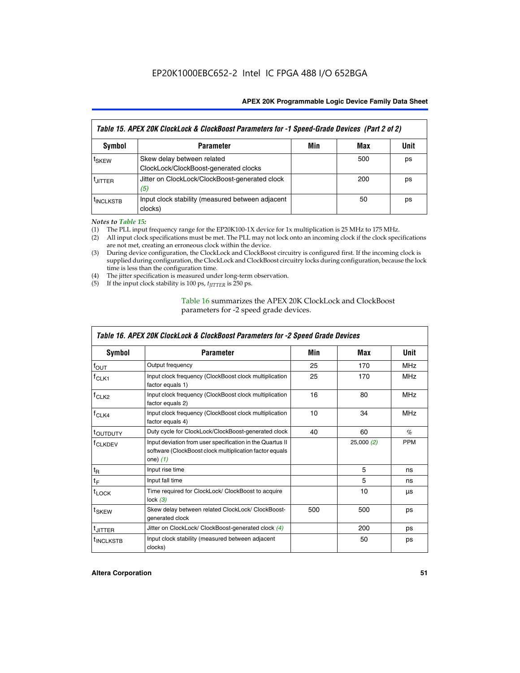| Table 15. APEX 20K ClockLock & ClockBoost Parameters for -1 Speed-Grade Devices (Part 2 of 2) |                                                                     |     |     |      |  |
|-----------------------------------------------------------------------------------------------|---------------------------------------------------------------------|-----|-----|------|--|
| <b>Symbol</b>                                                                                 | <b>Parameter</b>                                                    | Min | Max | Unit |  |
| t <sub>SKEW</sub>                                                                             | Skew delay between related<br>ClockLock/ClockBoost-generated clocks |     | 500 | ps   |  |
| <b>UITTER</b>                                                                                 | Jitter on ClockLock/ClockBoost-generated clock<br>(5)               |     | 200 | ps   |  |
| <b>INCLKSTB</b>                                                                               | Input clock stability (measured between adjacent<br>clocks)         |     | 50  | ps   |  |

*Notes to Table 15:*

- (1) The PLL input frequency range for the EP20K100-1X device for 1x multiplication is 25 MHz to 175 MHz.
- (2) All input clock specifications must be met. The PLL may not lock onto an incoming clock if the clock specifications are not met, creating an erroneous clock within the device.
- (3) During device configuration, the ClockLock and ClockBoost circuitry is configured first. If the incoming clock is supplied during configuration, the ClockLock and ClockBoost circuitry locks during configuration, because the lock time is less than the configuration time.
- (4) The jitter specification is measured under long-term observation.
- (5) If the input clock stability is 100 ps,  $t_{\text{JITTER}}$  is 250 ps.

## Table 16 summarizes the APEX 20K ClockLock and ClockBoost parameters for -2 speed grade devices.

| Symbol                | <b>Parameter</b>                                                                                                                   | Min        | Max       | <b>Unit</b> |
|-----------------------|------------------------------------------------------------------------------------------------------------------------------------|------------|-----------|-------------|
| $f_{\text{OUT}}$      | Output frequency                                                                                                                   | 25         | 170       | <b>MHz</b>  |
| <sup>T</sup> CLK1     | Input clock frequency (ClockBoost clock multiplication<br>factor equals 1)                                                         | 25         | 170       | <b>MHz</b>  |
| f <sub>CLK2</sub>     | Input clock frequency (ClockBoost clock multiplication<br>16<br>factor equals 2)                                                   |            | 80        | <b>MHz</b>  |
| $f_{CLK4}$            | Input clock frequency (ClockBoost clock multiplication<br>factor equals 4)                                                         | 10         | 34        | <b>MHz</b>  |
| <sup>τ</sup> ουτρυτγ  | Duty cycle for ClockLock/ClockBoost-generated clock                                                                                | 40         | 60        | $\%$        |
| <sup>T</sup> CLKDEV   | Input deviation from user specification in the Quartus II<br>software (ClockBoost clock multiplication factor equals<br>one) $(1)$ |            | 25,000(2) | <b>PPM</b>  |
| $t_{\mathsf{R}}$      | Input rise time                                                                                                                    |            | 5         | ns          |
| $t_F$                 | Input fall time                                                                                                                    |            | 5         | ns          |
| $t_{\text{LOCK}}$     | Time required for ClockLock/ ClockBoost to acquire<br>lock $(3)$                                                                   |            | 10        | μs          |
| t <sub>SKEW</sub>     | Skew delay between related ClockLock/ ClockBoost-<br>generated clock                                                               | 500<br>500 |           | ps          |
| t <sub>JITTER</sub>   | Jitter on ClockLock/ ClockBoost-generated clock (4)                                                                                |            | 200       | ps          |
| <sup>I</sup> INCLKSTB | Input clock stability (measured between adjacent<br>clocks)                                                                        |            | 50        | ps          |

# *Table 16. APEX 20K ClockLock & ClockBoost Parameters for -2 Speed Grade Devices*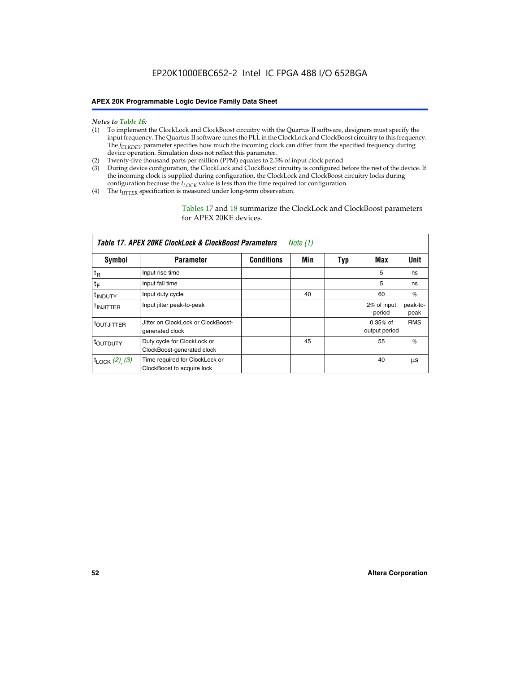- *Notes to Table 16:* (1) To implement the ClockLock and ClockBoost circuitry with the Quartus II software, designers must specify the input frequency. The Quartus II software tunes the PLL in the ClockLock and ClockBoost circuitry to this frequency. The *f<sub>CLKDEV</sub>* parameter specifies how much the incoming clock can differ from the specified frequency during device operation. Simulation does not reflect this parameter.
- (2) Twenty-five thousand parts per million (PPM) equates to 2.5% of input clock period.
- (3) During device configuration, the ClockLock and ClockBoost circuitry is configured before the rest of the device. If the incoming clock is supplied during configuration, the ClockLock and ClockBoost circuitry locks during configuration because the  $t_{LOCK}$  value is less than the time required for configuration.
- (4) The  $t_{\text{ITTTER}}$  specification is measured under long-term observation.

Tables 17 and 18 summarize the ClockLock and ClockBoost parameters for APEX 20KE devices.

| Table 17. APEX 20KE ClockLock & ClockBoost Parameters<br>Note (1) |                                                              |                   |     |     |                             |                  |  |  |
|-------------------------------------------------------------------|--------------------------------------------------------------|-------------------|-----|-----|-----------------------------|------------------|--|--|
| Symbol                                                            | <b>Parameter</b>                                             | <b>Conditions</b> | Min | Typ | Max                         | <b>Unit</b>      |  |  |
| $t_{R}$                                                           | Input rise time                                              |                   |     |     | 5                           | ns               |  |  |
| tF                                                                | Input fall time                                              |                   |     |     | 5                           | ns               |  |  |
| <sup>t</sup> INDUTY                                               | Input duty cycle                                             |                   | 40  |     | 60                          | %                |  |  |
| <sup>t</sup> INJITTER                                             | Input jitter peak-to-peak                                    |                   |     |     | 2% of input<br>period       | peak-to-<br>peak |  |  |
| <sup>t</sup> OUTJITTER                                            | Jitter on ClockLock or ClockBoost-<br>generated clock        |                   |     |     | $0.35%$ of<br>output period | <b>RMS</b>       |  |  |
| t <sub>outputy</sub>                                              | Duty cycle for ClockLock or<br>ClockBoost-generated clock    |                   | 45  |     | 55                          | $\%$             |  |  |
| $t_{\text{LOCK}}$ (2), (3)                                        | Time required for ClockLock or<br>ClockBoost to acquire lock |                   |     |     | 40                          | μs               |  |  |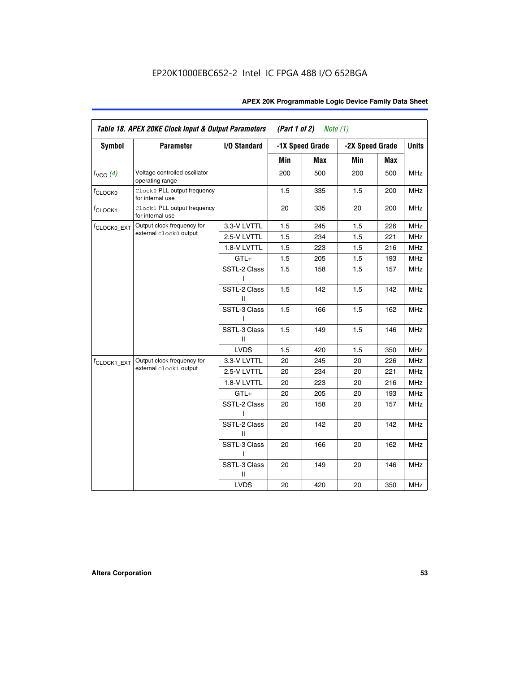| APEX 20K Programmable Logic Device Family Data Sheet |  |  |
|------------------------------------------------------|--|--|
|------------------------------------------------------|--|--|

|                          | Table 18. APEX 20KE Clock Input & Output Parameters |                              | (Part 1 of 2) | Note $(1)$      |     |                 |            |
|--------------------------|-----------------------------------------------------|------------------------------|---------------|-----------------|-----|-----------------|------------|
| <b>Symbol</b>            | <b>Parameter</b>                                    | I/O Standard                 |               | -1X Speed Grade |     | -2X Speed Grade |            |
|                          |                                                     |                              | Min           | <b>Max</b>      | Min | Max             |            |
| $f_{VCO}$ (4)            | Voltage controlled oscillator<br>operating range    |                              | 200           | 500             | 200 | 500             | <b>MHz</b> |
| f <sub>CLOCK0</sub>      | Clock0 PLL output frequency<br>for internal use     |                              | 1.5           | 335             | 1.5 | 200             | <b>MHz</b> |
| f <sub>CLOCK1</sub>      | Clock1 PLL output frequency<br>for internal use     |                              | 20            | 335             | 20  | 200             | MHz        |
| f <sub>CLOCK0_EXT</sub>  | Output clock frequency for                          | 3.3-V LVTTL                  | 1.5           | 245             | 1.5 | 226             | <b>MHz</b> |
|                          | external clock0 output                              | 2.5-V LVTTL                  | 1.5           | 234             | 1.5 | 221             | MHz        |
|                          |                                                     | 1.8-V LVTTL                  | 1.5           | 223             | 1.5 | 216             | MHz        |
|                          |                                                     | $GTL+$                       | 1.5           | 205             | 1.5 | 193             | <b>MHz</b> |
|                          |                                                     | SSTL-2 Class<br>L            | 1.5           | 158             | 1.5 | 157             | <b>MHz</b> |
|                          |                                                     | SSTL-2 Class<br>Ш            | 1.5           | 142             | 1.5 | 142             | <b>MHz</b> |
|                          |                                                     | SSTL-3 Class<br>L            | 1.5           | 166             | 1.5 | 162             | <b>MHz</b> |
|                          |                                                     | SSTL-3 Class<br>Ш            | 1.5           | 149             | 1.5 | 146             | <b>MHz</b> |
|                          |                                                     | <b>LVDS</b>                  | 1.5           | 420             | 1.5 | 350             | <b>MHz</b> |
| f <sub>CLOCK1</sub> _EXT | Output clock frequency for                          | 3.3-V LVTTL                  | 20            | 245             | 20  | 226             | <b>MHz</b> |
|                          | external clock1 output                              | 2.5-V LVTTL                  | 20            | 234             | 20  | 221             | <b>MHz</b> |
|                          |                                                     | 1.8-V LVTTL                  | 20            | 223             | 20  | 216             | <b>MHz</b> |
|                          |                                                     | $GTL+$                       | 20            | 205             | 20  | 193             | <b>MHz</b> |
|                          |                                                     | SSTL-2 Class<br>ı            | 20            | 158             | 20  | 157             | <b>MHz</b> |
|                          |                                                     | SSTL-2 Class<br>$\mathbf{I}$ | 20            | 142             | 20  | 142             | <b>MHz</b> |
|                          |                                                     | SSTL-3 Class                 | 20            | 166             | 20  | 162             | <b>MHz</b> |
|                          |                                                     | SSTL-3 Class<br>Ш            | 20            | 149             | 20  | 146             | <b>MHz</b> |
|                          |                                                     | <b>LVDS</b>                  | 20            | 420             | 20  | 350             | MHz        |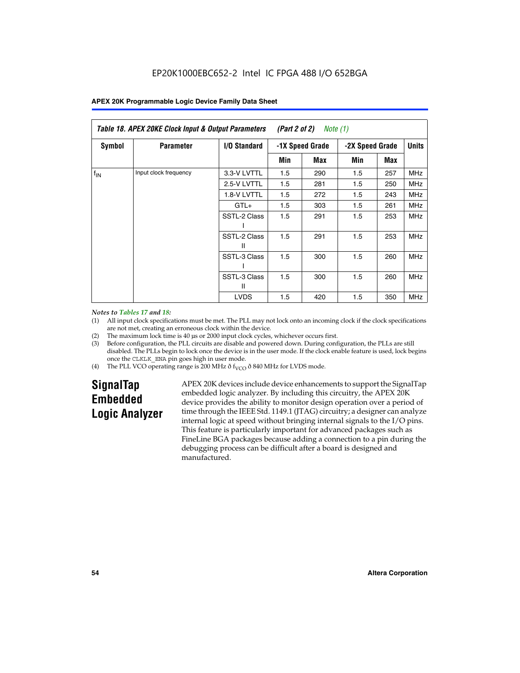|               | Table 18. APEX 20KE Clock Input & Output Parameters<br>(Part 2 of 2)<br>Note (1) |                     |                 |     |                 |     |              |  |  |
|---------------|----------------------------------------------------------------------------------|---------------------|-----------------|-----|-----------------|-----|--------------|--|--|
| <b>Symbol</b> | <b>Parameter</b>                                                                 | <b>I/O Standard</b> | -1X Speed Grade |     | -2X Speed Grade |     | <b>Units</b> |  |  |
|               |                                                                                  |                     | Min             | Max | Min             | Max |              |  |  |
| $f_{IN}$      | Input clock frequency                                                            | 3.3-V LVTTL         | 1.5             | 290 | 1.5             | 257 | <b>MHz</b>   |  |  |
|               |                                                                                  | 2.5-V LVTTL         | 1.5             | 281 | 1.5             | 250 | <b>MHz</b>   |  |  |
|               |                                                                                  | 1.8-V LVTTL         | 1.5             | 272 | 1.5             | 243 | <b>MHz</b>   |  |  |
|               |                                                                                  | $GTL+$              | 1.5             | 303 | 1.5             | 261 | MHz          |  |  |
|               |                                                                                  | SSTL-2 Class        | 1.5             | 291 | 1.5             | 253 | <b>MHz</b>   |  |  |
|               |                                                                                  | SSTL-2 Class<br>Ш   | 1.5             | 291 | 1.5             | 253 | <b>MHz</b>   |  |  |
|               |                                                                                  | SSTL-3 Class        | 1.5             | 300 | 1.5             | 260 | <b>MHz</b>   |  |  |
|               |                                                                                  | SSTL-3 Class<br>Ш   | 1.5             | 300 | 1.5             | 260 | <b>MHz</b>   |  |  |
|               |                                                                                  | <b>LVDS</b>         | 1.5             | 420 | 1.5             | 350 | <b>MHz</b>   |  |  |

#### *Notes to Tables 17 and 18:*

(1) All input clock specifications must be met. The PLL may not lock onto an incoming clock if the clock specifications are not met, creating an erroneous clock within the device.

- (2) The maximum lock time is 40 µs or 2000 input clock cycles, whichever occurs first.
- (3) Before configuration, the PLL circuits are disable and powered down. During configuration, the PLLs are still disabled. The PLLs begin to lock once the device is in the user mode. If the clock enable feature is used, lock begins once the CLKLK\_ENA pin goes high in user mode.
- (4) The PLL VCO operating range is 200 MHz  $\eth$  f<sub>VCO</sub>  $\eth$  840 MHz for LVDS mode.

# **SignalTap Embedded Logic Analyzer**

APEX 20K devices include device enhancements to support the SignalTap embedded logic analyzer. By including this circuitry, the APEX 20K device provides the ability to monitor design operation over a period of time through the IEEE Std. 1149.1 (JTAG) circuitry; a designer can analyze internal logic at speed without bringing internal signals to the I/O pins. This feature is particularly important for advanced packages such as FineLine BGA packages because adding a connection to a pin during the debugging process can be difficult after a board is designed and manufactured.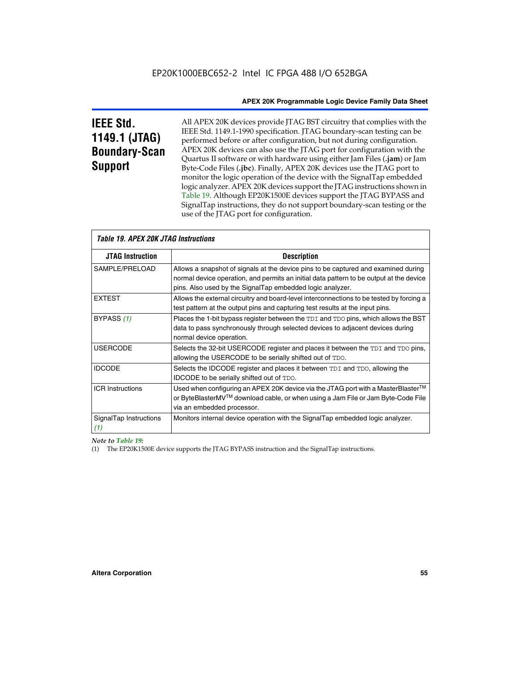# **IEEE Std. 1149.1 (JTAG) Boundary-Scan Support**

All APEX 20K devices provide JTAG BST circuitry that complies with the IEEE Std. 1149.1-1990 specification. JTAG boundary-scan testing can be performed before or after configuration, but not during configuration. APEX 20K devices can also use the JTAG port for configuration with the Quartus II software or with hardware using either Jam Files (**.jam**) or Jam Byte-Code Files (**.jbc**). Finally, APEX 20K devices use the JTAG port to monitor the logic operation of the device with the SignalTap embedded logic analyzer. APEX 20K devices support the JTAG instructions shown in Table 19. Although EP20K1500E devices support the JTAG BYPASS and SignalTap instructions, they do not support boundary-scan testing or the use of the JTAG port for configuration.

| <i><b>Table 19. APEX 20K JTAG Instructions</b></i> |                                                                                                                                                                                                                                            |  |  |  |
|----------------------------------------------------|--------------------------------------------------------------------------------------------------------------------------------------------------------------------------------------------------------------------------------------------|--|--|--|
| <b>JTAG Instruction</b>                            | <b>Description</b>                                                                                                                                                                                                                         |  |  |  |
| SAMPLE/PRELOAD                                     | Allows a snapshot of signals at the device pins to be captured and examined during<br>normal device operation, and permits an initial data pattern to be output at the device<br>pins. Also used by the SignalTap embedded logic analyzer. |  |  |  |
| <b>EXTEST</b>                                      | Allows the external circuitry and board-level interconnections to be tested by forcing a<br>test pattern at the output pins and capturing test results at the input pins.                                                                  |  |  |  |
| BYPASS (1)                                         | Places the 1-bit bypass register between the TDI and TDO pins, which allows the BST<br>data to pass synchronously through selected devices to adjacent devices during<br>normal device operation.                                          |  |  |  |
| <b>USERCODE</b>                                    | Selects the 32-bit USERCODE register and places it between the TDI and TDO pins,<br>allowing the USERCODE to be serially shifted out of TDO.                                                                                               |  |  |  |
| <b>IDCODE</b>                                      | Selects the IDCODE register and places it between TDI and TDO, allowing the<br>IDCODE to be serially shifted out of TDO.                                                                                                                   |  |  |  |
| <b>ICR Instructions</b>                            | Used when configuring an APEX 20K device via the JTAG port with a MasterBlaster™<br>or ByteBlasterMV™ download cable, or when using a Jam File or Jam Byte-Code File<br>via an embedded processor.                                         |  |  |  |
| SignalTap Instructions<br>(1)                      | Monitors internal device operation with the SignalTap embedded logic analyzer.                                                                                                                                                             |  |  |  |

 $\overline{\phantom{a}}$ 

*Note to Table 19:*

(1) The EP20K1500E device supports the JTAG BYPASS instruction and the SignalTap instructions.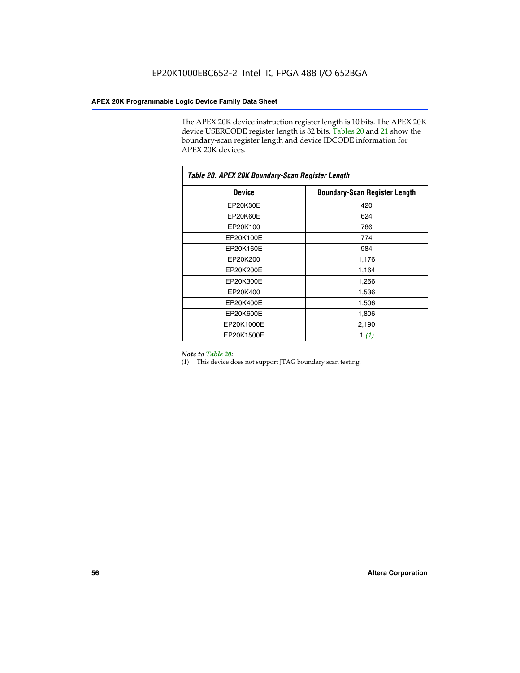The APEX 20K device instruction register length is 10 bits. The APEX 20K device USERCODE register length is 32 bits. Tables 20 and 21 show the boundary-scan register length and device IDCODE information for APEX 20K devices.

| Table 20. APEX 20K Boundary-Scan Register Length |                                      |
|--------------------------------------------------|--------------------------------------|
| <b>Device</b>                                    | <b>Boundary-Scan Register Length</b> |
| EP20K30E                                         | 420                                  |
| <b>EP20K60E</b>                                  | 624                                  |
| EP20K100                                         | 786                                  |
| EP20K100E                                        | 774                                  |
| EP20K160E                                        | 984                                  |
| EP20K200                                         | 1,176                                |
| EP20K200E                                        | 1,164                                |
| EP20K300E                                        | 1,266                                |
| EP20K400                                         | 1,536                                |
| EP20K400E                                        | 1,506                                |
| EP20K600E                                        | 1,806                                |
| EP20K1000E                                       | 2,190                                |
| EP20K1500E                                       | 1 $(1)$                              |

#### *Note to Table 20:*

(1) This device does not support JTAG boundary scan testing.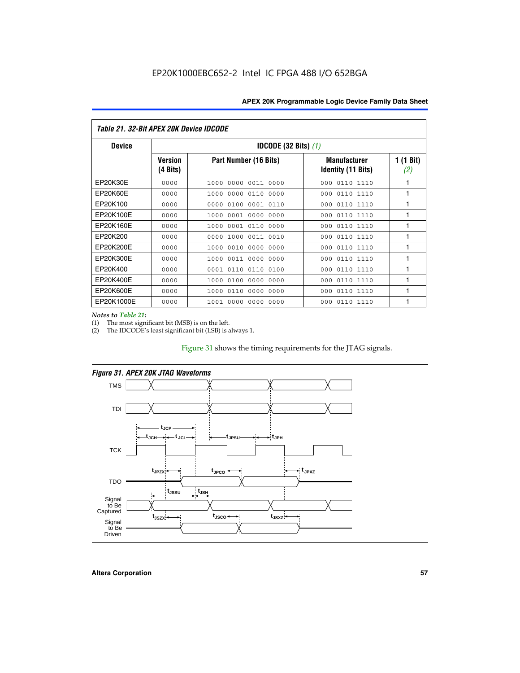| Table 21. 32-Bit APEX 20K Device IDCODE |                            |                                          |                                           |                  |  |
|-----------------------------------------|----------------------------|------------------------------------------|-------------------------------------------|------------------|--|
| <b>Device</b>                           |                            | <b>IDCODE (32 Bits) <math>(1)</math></b> |                                           |                  |  |
|                                         | <b>Version</b><br>(4 Bits) | Part Number (16 Bits)                    | <b>Manufacturer</b><br>Identity (11 Bits) | 1 (1 Bit)<br>(2) |  |
| EP20K30E                                | 0000                       | 0000 0011 0000<br>1000                   | 0110 1110<br>000                          | 1                |  |
| EP20K60E                                | 0000                       | 0000<br>0110<br>0000<br>1000             | 0110 1110<br>000                          | 1                |  |
| EP20K100                                | 0000                       | 0000<br>0100<br>0001 0110                | 000<br>0110 1110                          | 1                |  |
| EP20K100E                               | 0000                       | 0001 0000<br>0000<br>1000                | 0110 1110<br>000                          | 1                |  |
| EP20K160E                               | 0000                       | 0001 0110<br>0000<br>1000                | 0110 1110<br>000                          | 1                |  |
| EP20K200                                | 0000                       | 0000<br>1000<br>0011 0010                | 0110 1110<br>000                          | 1                |  |
| EP20K200E                               | 0000                       | 0010<br>0000<br>0000<br>1000             | 0110 1110<br>000                          | 1                |  |
| EP20K300E                               | 0000                       | 0011 0000 0000<br>1000                   | 0110 1110<br>000                          | 1                |  |
| EP20K400                                | 0000                       | 0110<br>0110<br>0100<br>0001             | 0110 1110<br>000                          | 1                |  |
| EP20K400E                               | 0000                       | 0100<br>0000<br>0000<br>1000             | 0110 1110<br>000                          | 1                |  |
| EP20K600E                               | 0000                       | 0110<br>0000<br>0000<br>1000             | 0110 1110<br>000                          | 1                |  |
| EP20K1000E                              | 0000                       | 0000<br>0000<br>0000<br>1001             | 000<br>0110 1110                          | 1                |  |

*Notes to Table 21:*

The most significant bit (MSB) is on the left.

(2) The IDCODE's least significant bit (LSB) is always 1.

#### Figure 31 shows the timing requirements for the JTAG signals.



*Figure 31. APEX 20K JTAG Waveforms*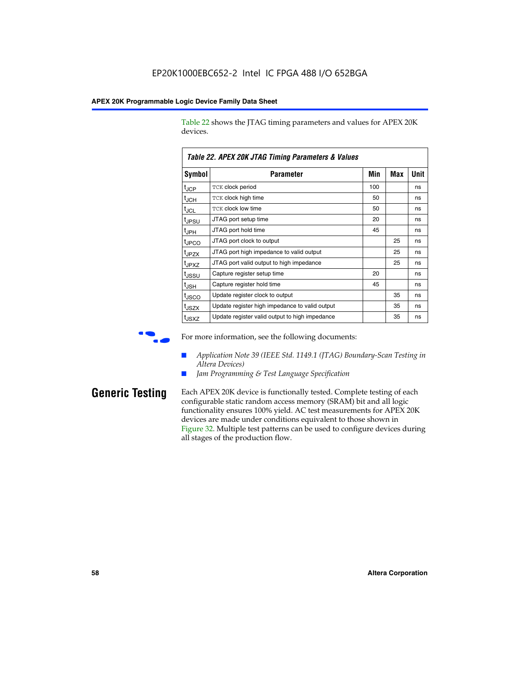Table 22 shows the JTAG timing parameters and values for APEX 20K devices.

| TADIE ZZ. AFEA ZUN JTAU TIIIIIIU FAIAIIIEIEIS & VAIUES |                                                |     |            |      |  |  |
|--------------------------------------------------------|------------------------------------------------|-----|------------|------|--|--|
| Symbol                                                 | Parameter                                      | Min | <b>Max</b> | Unit |  |  |
| $t_{JCP}$                                              | TCK clock period                               | 100 |            | ns   |  |  |
| $t_{JCH}$                                              | TCK clock high time                            | 50  |            | ns   |  |  |
| tjcl                                                   | TCK clock low time                             | 50  |            | ns   |  |  |
| t <sub>JPSU</sub>                                      | JTAG port setup time                           | 20  |            | ns   |  |  |
| t <sub>JPH</sub>                                       | JTAG port hold time                            | 45  |            | ns   |  |  |
| <sup>t</sup> JPCO                                      | JTAG port clock to output                      |     | 25         | ns   |  |  |
| t <sub>JPZX</sub>                                      | JTAG port high impedance to valid output       |     | 25         | ns   |  |  |
| t <sub>JPXZ</sub>                                      | JTAG port valid output to high impedance       |     | 25         | ns   |  |  |
| tussu                                                  | Capture register setup time                    | 20  |            | ns   |  |  |
| $t_{\sf JSH}$                                          | Capture register hold time                     | 45  |            | ns   |  |  |
| t <sub>JSCO</sub>                                      | Update register clock to output                |     | 35         | ns   |  |  |
| t <sub>JSZX</sub>                                      | Update register high impedance to valid output |     | 35         | ns   |  |  |
| t <sub>JSXZ</sub>                                      | Update register valid output to high impedance |     | 35         | ns   |  |  |

*Table 22. APEX 20K JTAG Timing Parameters & Values*

For more information, see the following documents:

- *Application Note 39 (IEEE Std. 1149.1 (JTAG) Boundary-Scan Testing in Altera Devices)*
- Jam Programming & Test Language Specification

**Generic Testing** Each APEX 20K device is functionally tested. Complete testing of each configurable static random access memory (SRAM) bit and all logic functionality ensures 100% yield. AC test measurements for APEX 20K devices are made under conditions equivalent to those shown in Figure 32. Multiple test patterns can be used to configure devices during all stages of the production flow.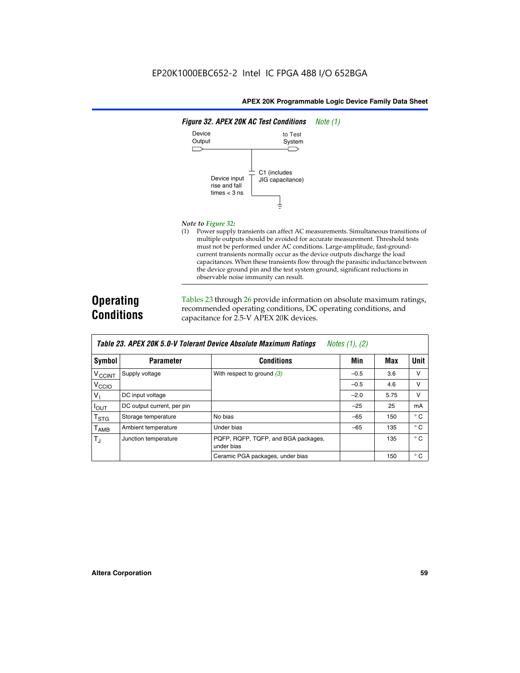

#### *Note to Figure 32:*

(1) Power supply transients can affect AC measurements. Simultaneous transitions of multiple outputs should be avoided for accurate measurement. Threshold tests must not be performed under AC conditions. Large-amplitude, fast-groundcurrent transients normally occur as the device outputs discharge the load capacitances. When these transients flow through the parasitic inductance between the device ground pin and the test system ground, significant reductions in observable noise immunity can result.

# **Operating Conditions**

Tables 23 through 26 provide information on absolute maximum ratings, recommended operating conditions, DC operating conditions, and capacitance for 2.5-V APEX 20K devices.

|                            | TADIG LU. MI LA LUN J.U-V TUIGIAIN DGVILG MUSUNUG MAANNUNI HAUNUS<br>$100103$ (1), (2) |                                                   |        |      |              |  |  |  |
|----------------------------|----------------------------------------------------------------------------------------|---------------------------------------------------|--------|------|--------------|--|--|--|
| Symbol                     | <b>Parameter</b>                                                                       | <b>Conditions</b>                                 | Min    | Max  | <b>Unit</b>  |  |  |  |
| V <sub>CCINT</sub>         | Supply voltage                                                                         | With respect to ground $(3)$                      | $-0.5$ | 3.6  | v            |  |  |  |
| V <sub>CCIO</sub>          |                                                                                        |                                                   | $-0.5$ | 4.6  | v            |  |  |  |
| $V_{\parallel}$            | DC input voltage                                                                       |                                                   | $-2.0$ | 5.75 | v            |  |  |  |
| $I_{\text{OUT}}$           | DC output current, per pin                                                             |                                                   | $-25$  | 25   | mA           |  |  |  |
| $\intercal_{\texttt{STG}}$ | Storage temperature                                                                    | No bias                                           | $-65$  | 150  | $^{\circ}$ C |  |  |  |
| Т <sub>АМВ</sub>           | Ambient temperature                                                                    | Under bias                                        | $-65$  | 135  | $^{\circ}$ C |  |  |  |
| $T_{\rm J}$                | Junction temperature                                                                   | PQFP, RQFP, TQFP, and BGA packages,<br>under bias |        | 135  | $^{\circ}$ C |  |  |  |
|                            |                                                                                        | Ceramic PGA packages, under bias                  |        | 150  | $^{\circ}$ C |  |  |  |

| Table 23. APEX 20K 5.0-V Tolerant Device Absolute Maximum Ratings | Notes (1), (2) |
|-------------------------------------------------------------------|----------------|
|-------------------------------------------------------------------|----------------|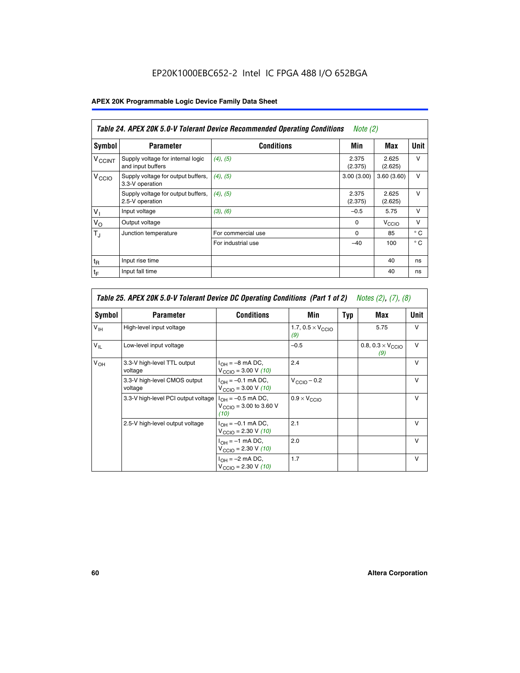# EP20K1000EBC652-2 Intel IC FPGA 488 I/O 652BGA

# **APEX 20K Programmable Logic Device Family Data Sheet**

| Table 24. APEX 20K 5.0-V Tolerant Device Recommended Operating Conditions<br>Note $(2)$ |                                                        |                    |                  |                   |              |
|-----------------------------------------------------------------------------------------|--------------------------------------------------------|--------------------|------------------|-------------------|--------------|
| Symbol                                                                                  | <b>Parameter</b>                                       | <b>Conditions</b>  | Min              | Max               | <b>Unit</b>  |
| <b>V<sub>CCINT</sub></b>                                                                | Supply voltage for internal logic<br>and input buffers | $(4)$ , $(5)$      | 2.375<br>(2.375) | 2.625<br>(2.625)  | $\vee$       |
| V <sub>CCIO</sub>                                                                       | Supply voltage for output buffers,<br>3.3-V operation  | (4), (5)           | 3.00(3.00)       | 3.60(3.60)        | $\vee$       |
|                                                                                         | Supply voltage for output buffers,<br>2.5-V operation  | (4), (5)           | 2.375<br>(2.375) | 2.625<br>(2.625)  | $\vee$       |
| $V_1$                                                                                   | Input voltage                                          | (3), (6)           | $-0.5$           | 5.75              | $\vee$       |
| $V_{\rm O}$                                                                             | Output voltage                                         |                    | $\Omega$         | V <sub>CCIO</sub> | $\vee$       |
| $T_{\rm J}$                                                                             | Junction temperature                                   | For commercial use | $\Omega$         | 85                | $^{\circ}$ C |
|                                                                                         |                                                        | For industrial use | $-40$            | 100               | $^{\circ}$ C |
| $t_{R}$                                                                                 | Input rise time                                        |                    |                  | 40                | ns           |
| $t_{\mathsf{F}}$                                                                        | Input fall time                                        |                    |                  | 40                | ns           |

| Table 25. APEX 20K 5.0-V Tolerant Device DC Operating Conditions (Part 1 of 2) Notes (2), (7), (8) |                                         |                                                                                       |                                          |     |                                          |              |  |
|----------------------------------------------------------------------------------------------------|-----------------------------------------|---------------------------------------------------------------------------------------|------------------------------------------|-----|------------------------------------------|--------------|--|
| Symbol                                                                                             | <b>Parameter</b>                        | <b>Conditions</b>                                                                     | Min                                      | Typ | Max                                      | Unit         |  |
| $V_{\text{IH}}$                                                                                    | High-level input voltage                |                                                                                       | 1.7, $0.5 \times V_{\text{CCIO}}$<br>(9) |     | 5.75                                     | $\vee$       |  |
| $V_{IL}$                                                                                           | Low-level input voltage                 |                                                                                       | $-0.5$                                   |     | 0.8, $0.3 \times V_{\text{CCIO}}$<br>(9) | $\vee$       |  |
| V <sub>OH</sub>                                                                                    | 3.3-V high-level TTL output<br>voltage  | $I_{OH} = -8$ mA DC,<br>$V_{\text{CCIO}} = 3.00 \text{ V} (10)$                       | 2.4                                      |     |                                          | $\vee$       |  |
|                                                                                                    | 3.3-V high-level CMOS output<br>voltage | $I_{\text{OH}} = -0.1 \text{ mA DC},$<br>$V_{\text{CCIO}} = 3.00 \text{ V} (10)$      | $V_{CClO}$ – 0.2                         |     |                                          | $\vee$       |  |
|                                                                                                    | 3.3-V high-level PCI output voltage     | $I_{OH} = -0.5$ mA DC,<br>$V_{\text{CCIO}} = 3.00 \text{ to } 3.60 \text{ V}$<br>(10) | $0.9 \times V_{\text{CCIO}}$             |     |                                          | $\vee$       |  |
|                                                                                                    | 2.5-V high-level output voltage         | $I_{\text{OH}} = -0.1 \text{ mA DC},$<br>$V_{\text{CCIO}} = 2.30 \text{ V} (10)$      | 2.1                                      |     |                                          | $\mathsf{V}$ |  |
|                                                                                                    |                                         | $I_{\cap H}$ = -1 mA DC,<br>$V_{\text{CCIO}} = 2.30 V (10)$                           | 2.0                                      |     |                                          | $\vee$       |  |
|                                                                                                    |                                         | $I_{OH} = -2$ mA DC,<br>$V_{\text{CCIO}} = 2.30 V (10)$                               | 1.7                                      |     |                                          | v            |  |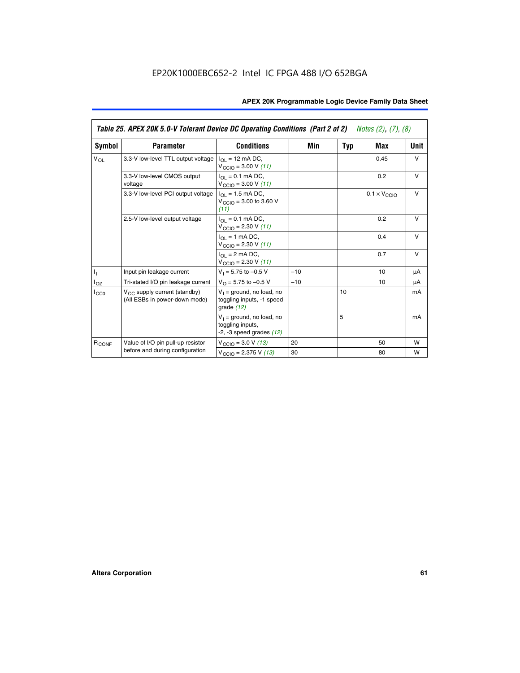|                   | Table 25. APEX 20K 5.0-V Tolerant Device DC Operating Conditions (Part 2 of 2) Notes (2), (7), (8) |                                                                                    |       |     |                                                                           |        |  |  |
|-------------------|----------------------------------------------------------------------------------------------------|------------------------------------------------------------------------------------|-------|-----|---------------------------------------------------------------------------|--------|--|--|
| Symbol            | <b>Parameter</b>                                                                                   | <b>Conditions</b>                                                                  | Min   | Typ | Max                                                                       | Unit   |  |  |
| $V_{OL}$          | 3.3-V low-level TTL output voltage                                                                 | $I_{\Omega}$ = 12 mA DC,<br>$V_{\text{CCIO}} = 3.00 V (11)$                        |       |     | 0.45                                                                      | $\vee$ |  |  |
|                   | 3.3-V low-level CMOS output<br>voltage                                                             | $I_{\Omega I} = 0.1$ mA DC,<br>$V_{\text{CCIO}} = 3.00 V (11)$                     |       |     | 0.2                                                                       | $\vee$ |  |  |
|                   | 3.3-V low-level PCI output voltage                                                                 | $I_{\Omega}$ = 1.5 mA DC,<br>$V_{CClO}$ = 3.00 to 3.60 V<br>(11)                   |       |     | $0.1 \times V_{\text{CCLO}}$<br>0.2<br>0.4<br>0.7<br>10<br>10<br>50<br>80 | $\vee$ |  |  |
|                   | 2.5-V low-level output voltage                                                                     | $I_{\Omega I} = 0.1$ mA DC,<br>$V_{\text{CCIO}} = 2.30 V (11)$                     |       |     |                                                                           | $\vee$ |  |  |
|                   |                                                                                                    | $I_{\Omega}$ = 1 mA DC,<br>$V_{\text{CCIO}} = 2.30 V (11)$                         |       |     |                                                                           | $\vee$ |  |  |
|                   |                                                                                                    | $I_{\Omega}$ = 2 mA DC,<br>$V_{\text{CCIO}} = 2.30 V (11)$                         |       |     |                                                                           | $\vee$ |  |  |
| Τ,                | Input pin leakage current                                                                          | $V_1 = 5.75$ to $-0.5$ V                                                           | $-10$ |     |                                                                           | μA     |  |  |
| $I_{OZ}$          | Tri-stated I/O pin leakage current                                                                 | $V_{\Omega}$ = 5.75 to -0.5 V                                                      | $-10$ |     |                                                                           | μA     |  |  |
| $I_{CC0}$         | $V_{CC}$ supply current (standby)<br>(All ESBs in power-down mode)                                 | $V_1$ = ground, no load, no<br>toggling inputs, -1 speed<br>grade $(12)$           |       | 10  |                                                                           | mA     |  |  |
|                   |                                                                                                    | $V_1$ = ground, no load, no<br>toggling inputs,<br>$-2$ , $-3$ speed grades $(12)$ |       | 5   |                                                                           | mA     |  |  |
| R <sub>CONF</sub> | Value of I/O pin pull-up resistor                                                                  | $V_{\text{CCIO}} = 3.0 V (13)$                                                     | 20    |     |                                                                           | W      |  |  |
|                   | before and during configuration                                                                    | $V_{\text{CCIO}} = 2.375 \text{ V} (13)$                                           | 30    |     |                                                                           | W      |  |  |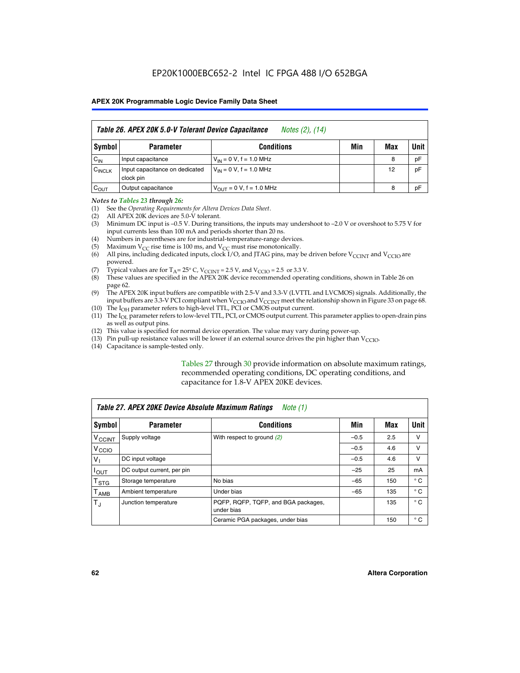|                    | Table 26. APEX 20K 5.0-V Tolerant Device Capacitance<br>Notes (2), (14) |                               |     |     |      |  |  |  |
|--------------------|-------------------------------------------------------------------------|-------------------------------|-----|-----|------|--|--|--|
| <b>Symbol</b>      | <b>Parameter</b>                                                        | <b>Conditions</b>             | Min | Max | Unit |  |  |  |
| $C_{\text{IN}}$    | Input capacitance                                                       | $V_{IN} = 0 V$ , f = 1.0 MHz  |     | 8   | pF   |  |  |  |
| $C_{\text{INCLK}}$ | Input capacitance on dedicated<br>clock pin                             | $V_{IN} = 0 V$ , f = 1.0 MHz  |     | 12  | pF   |  |  |  |
| $C_{OUT}$          | Output capacitance                                                      | $V_{OUIT} = 0 V, f = 1.0 MHz$ |     | 8   | pF   |  |  |  |

#### *Notes to Tables 23 through 26:*

- (1) See the *Operating Requirements for Altera Devices Data Sheet*.
- (2) All APEX 20K devices are 5.0-V tolerant.
- (3) Minimum DC input is –0.5 V. During transitions, the inputs may undershoot to –2.0 V or overshoot to 5.75 V for input currents less than 100 mA and periods shorter than 20 ns.
- (4) Numbers in parentheses are for industrial-temperature-range devices.
- (5) Maximum  $V_{CC}$  rise time is 100 ms, and  $V_{CC}$  must rise monotonically.<br>(6) All pins, including dedicated inputs, clock I/O, and JTAG pins, may b
- All pins, including dedicated inputs, clock I/O, and JTAG pins, may be driven before  $V_{\text{CCINT}}$  and  $V_{\text{CCIO}}$  are powered.
- (7) Typical values are for  $T_A = 25^\circ$  C, V<sub>CCINT</sub> = 2.5 V, and V<sub>CCIO</sub> = 2.5 or 3.3 V.<br>(8) These values are specified in the APEX 20K device recommended operat
- These values are specified in the APEX 20K device recommended operating conditions, shown in Table 26 on page 62.
- (9) The APEX 20K input buffers are compatible with 2.5-V and 3.3-V (LVTTL and LVCMOS) signals. Additionally, the input buffers are 3.3-V PCI compliant when  $V_{\text{CCIO}}$  and  $V_{\text{CCINI}}$  meet the relationship shown in Figure 33 on page 68.
- (10) The  $I<sub>OH</sub>$  parameter refers to high-level TTL, PCI or CMOS output current.
- (11) The I<sub>OL</sub> parameter refers to low-level TTL, PCI, or CMOS output current. This parameter applies to open-drain pins as well as output pins.
- (12) This value is specified for normal device operation. The value may vary during power-up.
- (13) Pin pull-up resistance values will be lower if an external source drives the pin higher than  $V_{\text{CCIO}}$ .
- (14) Capacitance is sample-tested only.

Tables 27 through 30 provide information on absolute maximum ratings, recommended operating conditions, DC operating conditions, and capacitance for 1.8-V APEX 20KE devices.

|                             | Table 27. APEX 20KE Device Absolute Maximum Ratings<br>Note (1) |                                                   |        |     |              |  |  |
|-----------------------------|-----------------------------------------------------------------|---------------------------------------------------|--------|-----|--------------|--|--|
| Symbol                      | <b>Parameter</b>                                                | <b>Conditions</b>                                 | Min    | Max | Unit         |  |  |
| $V_{\text{CCINT}}$          | Supply voltage                                                  | With respect to ground (2)                        | $-0.5$ | 2.5 | v            |  |  |
| V <sub>CCIO</sub>           |                                                                 |                                                   | $-0.5$ | 4.6 | v            |  |  |
| $V_{1}$                     | DC input voltage                                                |                                                   | $-0.5$ | 4.6 | $\vee$       |  |  |
| $I_{OUT}$                   | DC output current, per pin                                      |                                                   | $-25$  | 25  | mA           |  |  |
| $\mathsf{T}_{\texttt{STG}}$ | Storage temperature                                             | No bias                                           | $-65$  | 150 | $^{\circ}$ C |  |  |
| Т <sub>АМВ</sub>            | Ambient temperature                                             | Under bias                                        | $-65$  | 135 | $^{\circ}$ C |  |  |
| $\mathsf{T}_{\text{d}}$     | Junction temperature                                            | PQFP, RQFP, TQFP, and BGA packages,<br>under bias |        | 135 | $^{\circ}$ C |  |  |
|                             |                                                                 | Ceramic PGA packages, under bias                  |        | 150 | $^{\circ}$ C |  |  |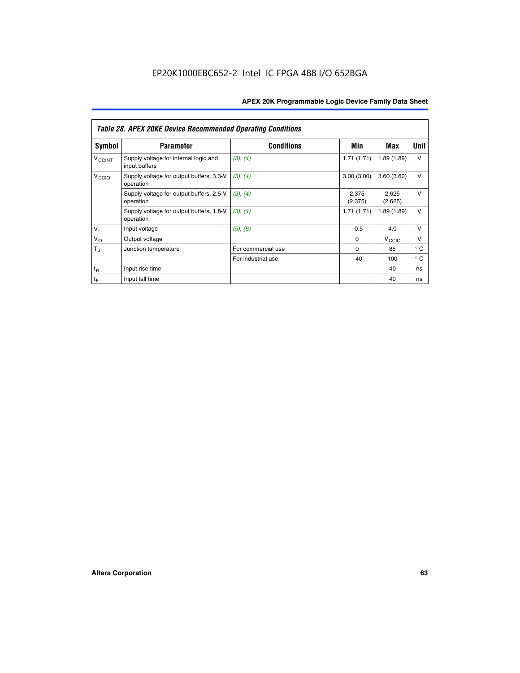|                             | <b>Table 28. APEX 20KE Device Recommended Operating Conditions</b> |                    |                  |                   |              |
|-----------------------------|--------------------------------------------------------------------|--------------------|------------------|-------------------|--------------|
| <b>Symbol</b>               | <b>Parameter</b>                                                   | <b>Conditions</b>  | Min              | Max               | <b>Unit</b>  |
| <b>V<sub>CCINT</sub></b>    | Supply voltage for internal logic and<br>input buffers             | (3), (4)           | 1.71(1.71)       | 1.89(1.89)        | $\vee$       |
| V <sub>CCIO</sub>           | Supply voltage for output buffers, 3.3-V<br>operation              | (3), (4)           | 3.00(3.00)       | 3.60(3.60)        | $\vee$       |
|                             | Supply voltage for output buffers, 2.5-V<br>operation              | (3), (4)           | 2.375<br>(2.375) | 2.625<br>(2.625)  | $\vee$       |
|                             | Supply voltage for output buffers, 1.8-V<br>operation              | (3), (4)           | 1.71(1.71)       | 1.89(1.89)        | $\vee$       |
| $V_1$                       | Input voltage                                                      | (5), (6)           | $-0.5$           | 4.0               | $\vee$       |
| $V_{\rm O}$                 | Output voltage                                                     |                    | $\Omega$         | V <sub>CCIO</sub> | v            |
| $T_{\rm J}$                 | Junction temperature                                               | For commercial use | $\Omega$         | 85                | $^{\circ}$ C |
|                             |                                                                    | For industrial use | $-40$            | 100               | $^{\circ}$ C |
| $t_{R}$                     | Input rise time                                                    |                    |                  | 40                | ns           |
| $\mathfrak{t}_{\mathsf{F}}$ | Input fall time                                                    |                    |                  | 40                | ns           |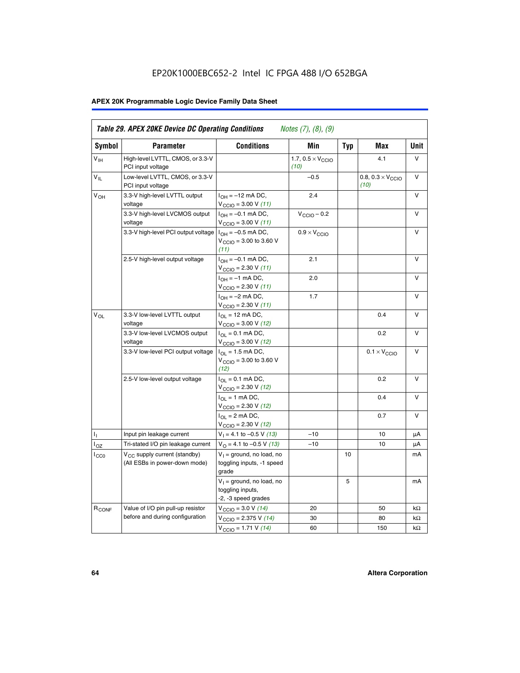# EP20K1000EBC652-2 Intel IC FPGA 488 I/O 652BGA

# **APEX 20K Programmable Logic Device Family Data Sheet**

| Symbol          | <b>Parameter</b>                                                   | <b>Conditions</b>                                                       | Min                                       | <b>Typ</b> | Max                                       | Unit      |
|-----------------|--------------------------------------------------------------------|-------------------------------------------------------------------------|-------------------------------------------|------------|-------------------------------------------|-----------|
| $V_{\text{H}}$  | High-level LVTTL, CMOS, or 3.3-V<br>PCI input voltage              |                                                                         | 1.7, $0.5 \times V_{\text{CCIO}}$<br>(10) |            | 4.1                                       | V         |
| $V_{IL}$        | Low-level LVTTL, CMOS, or 3.3-V<br>PCI input voltage               |                                                                         | $-0.5$                                    |            | 0.8, $0.3 \times V_{\text{CCIO}}$<br>(10) | $\vee$    |
| V <sub>OH</sub> | 3.3-V high-level LVTTL output<br>voltage                           | $I_{OH} = -12$ mA DC,<br>$V_{\text{CCIO}} = 3.00 V (11)$                | 2.4                                       |            |                                           | v         |
|                 | 3.3-V high-level LVCMOS output<br>voltage                          | $I_{OH} = -0.1$ mA DC,<br>$V_{\text{CCIO}} = 3.00 V (11)$               | $V_{\text{CCIO}} - 0.2$                   |            |                                           | V         |
|                 | 3.3-V high-level PCI output voltage $ I_{OH} = -0.5$ mA DC,        | $V_{\text{CGIO}} = 3.00 \text{ to } 3.60 \text{ V}$<br>(11)             | $0.9 \times V_{\text{CCIO}}$              |            |                                           | v         |
|                 | 2.5-V high-level output voltage                                    | $I_{OH} = -0.1$ mA DC,<br>$V_{\text{CCIO}} = 2.30 V (11)$               | 2.1                                       |            |                                           | $\vee$    |
|                 |                                                                    | $I_{OH} = -1$ mA DC,<br>$V_{\text{CCIO}} = 2.30 V (11)$                 | 2.0                                       |            |                                           | V         |
|                 |                                                                    | $I_{OH} = -2$ mA DC,<br>$V_{\text{CCIO}}$ = 2.30 V (11)                 | 1.7                                       |            |                                           | v         |
| $V_{OL}$        | 3.3-V low-level LVTTL output<br>voltage                            | $I_{OL}$ = 12 mA DC,<br>$V_{\text{CCIO}} = 3.00 \text{ V} (12)$         |                                           |            | 0.4                                       | v         |
|                 | 3.3-V low-level LVCMOS output<br>voltage                           | $I_{OL} = 0.1$ mA DC,<br>$V_{\text{CCIO}} = 3.00 \text{ V} (12)$        |                                           |            | 0.2                                       | $\vee$    |
|                 | 3.3-V low-level PCI output voltage                                 | $I_{\Omega}$ = 1.5 mA DC,<br>$V_{\text{CGIO}} = 3.00$ to 3.60 V<br>(12) |                                           |            | $0.1 \times V_{\text{CCIO}}$              | v         |
|                 | 2.5-V low-level output voltage                                     | $I_{OL} = 0.1$ mA DC,<br>$V_{\text{CCIO}} = 2.30 V (12)$                |                                           |            | 0.2                                       | v         |
|                 |                                                                    | $I_{\Omega}$ = 1 mA DC,<br>$V_{\text{CCIO}} = 2.30 V (12)$              |                                           |            | 0.4                                       | ν         |
|                 |                                                                    | $I_{OL}$ = 2 mA DC,<br>$V_{\text{CCIO}} = 2.30 V (12)$                  |                                           |            | 0.7                                       | v         |
| Τ,              | Input pin leakage current                                          | $V_1 = 4.1$ to -0.5 V (13)                                              | $-10$                                     |            | 10                                        | μA        |
| $I_{OZ}$        | Tri-stated I/O pin leakage current                                 | $V_{\Omega}$ = 4.1 to -0.5 V (13)                                       | $-10$                                     |            | 10                                        | μA        |
| $_{\rm lCC0}$   | $V_{CC}$ supply current (standby)<br>(All ESBs in power-down mode) | $V_1$ = ground, no load, no<br>toggling inputs, -1 speed<br>grade       |                                           | 10         |                                           | mA        |
|                 |                                                                    | $V_1$ = ground, no load, no<br>toggling inputs,<br>-2, -3 speed grades  |                                           | 5          |                                           | mA        |
| $R_{CONF}$      | Value of I/O pin pull-up resistor                                  | $V_{\text{CCIO}} = 3.0 V (14)$                                          | 20                                        |            | 50                                        | $k\Omega$ |
|                 | before and during configuration                                    | $V_{\text{CCIO}} = 2.375 V (14)$                                        | 30                                        |            | 80                                        | kΩ        |
|                 |                                                                    | $V_{\text{CCIO}} = 1.71 V (14)$                                         | 60                                        |            | 150                                       | $k\Omega$ |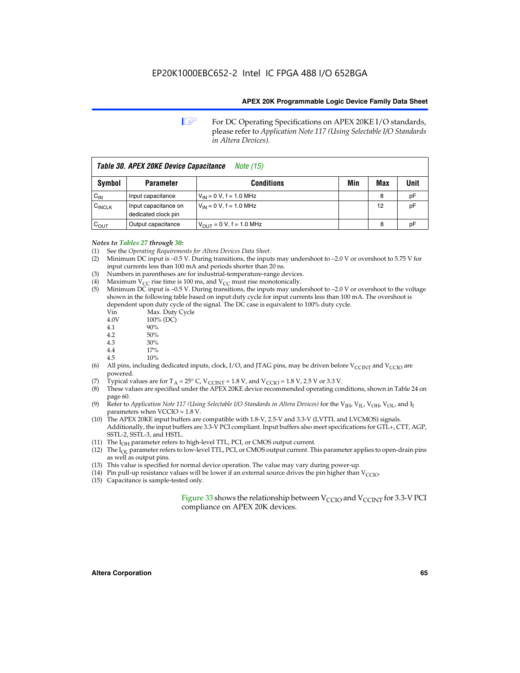**1 For DC Operating Specifications on APEX 20KE I/O standards,** please refer to *Application Note 117 (Using Selectable I/O Standards in Altera Devices).*

| Table 30. APEX 20KE Device Capacitance<br><i>Note</i> (15) |                                             |                                |     |     |      |  |  |  |
|------------------------------------------------------------|---------------------------------------------|--------------------------------|-----|-----|------|--|--|--|
| <b>Symbol</b>                                              | <b>Parameter</b>                            | <b>Conditions</b>              | Min | Max | Unit |  |  |  |
| $C_{\text{IN}}$                                            | Input capacitance                           | $V_{IN} = 0 V$ , f = 1.0 MHz   |     | 8   | рF   |  |  |  |
| $C_{\text{INCLK}}$                                         | Input capacitance on<br>dedicated clock pin | $V_{IN} = 0 V$ , f = 1.0 MHz   |     | 12  | pF   |  |  |  |
| $C_{OUT}$                                                  | Output capacitance                          | $V_{OUIT} = 0 V$ , f = 1.0 MHz |     | 8   | рF   |  |  |  |

#### *Notes to Tables 27 through 30:*

- (1) See the *Operating Requirements for Altera Devices Data Sheet*.
- (2) Minimum DC input is –0.5 V. During transitions, the inputs may undershoot to –2.0 V or overshoot to 5.75 V for input currents less than 100 mA and periods shorter than 20 ns.
- (3) Numbers in parentheses are for industrial-temperature-range devices.
- (4) Maximum  $V_{CC}$  rise time is 100 ms, and  $V_{CC}$  must rise monotonically.<br>(5) Minimum DC input is -0.5 V. During transitions, the inputs may und
- Minimum DC input is  $-0.5$  V. During transitions, the inputs may undershoot to  $-2.0$  V or overshoot to the voltage shown in the following table based on input duty cycle for input currents less than 100 mA. The overshoot is dependent upon duty cycle of the signal. The DC case is equivalent to 100% duty cycle.

| Vin  | Max. Duty Cycle |
|------|-----------------|
| 4.0V | 100% (DC)       |
| 4.1  | 90%             |
| 4.2  | 50%             |
| 4.3  | 30%             |
|      |                 |

- 4.4  $17\%$ <br>4.5  $10\%$
- 10%
- (6) All pins, including dedicated inputs, clock, I/O, and JTAG pins, may be driven before  $V_{\text{CCINT}}$  and  $V_{\text{CCIO}}$  are powered.
- (7) Typical values are for  $T_A = 25^\circ$  C, V<sub>CCINT</sub> = 1.8 V, and V<sub>CCIO</sub> = 1.8 V, 2.5 V or 3.3 V.
- (8) These values are specified under the APEX 20KE device recommended operating conditions, shown in Table 24 on page 60.
- (9) Refer to *Application Note 117 (Using Selectable I/O Standards in Altera Devices)* for the V<sub>IH</sub>, V<sub>IL</sub>, V<sub>OH</sub>, V<sub>OL</sub>, and I<sub>I</sub> parameters when VCCIO = 1.8 V.
- (10) The APEX 20KE input buffers are compatible with 1.8-V, 2.5-V and 3.3-V (LVTTL and LVCMOS) signals. Additionally, the input buffers are 3.3-V PCI compliant. Input buffers also meet specifications for GTL+, CTT, AGP, SSTL-2, SSTL-3, and HSTL.
- (11) The  $I_{OH}$  parameter refers to high-level TTL, PCI, or CMOS output current.
- (12) The I<sub>OL</sub> parameter refers to low-level TTL, PCI, or CMOS output current. This parameter applies to open-drain pins as well as output pins.
- (13) This value is specified for normal device operation. The value may vary during power-up.
- (14) Pin pull-up resistance values will be lower if an external source drives the pin higher than  $V_{CCIO}$ .
- (15) Capacitance is sample-tested only.

Figure 33 shows the relationship between  $V_{\text{CCIO}}$  and  $V_{\text{CCINT}}$  for 3.3-V PCI compliance on APEX 20K devices.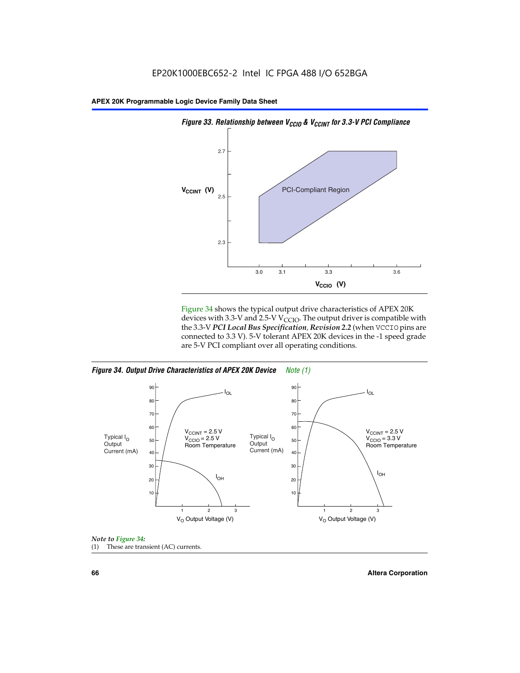

Figure 34 shows the typical output drive characteristics of APEX 20K devices with 3.3-V and 2.5-V V<sub>CCIO</sub>. The output driver is compatible with the 3.3-V *PCI Local Bus Specification, Revision 2.2* (when VCCIO pins are connected to 3.3 V). 5-V tolerant APEX 20K devices in the -1 speed grade are 5-V PCI compliant over all operating conditions.

*Figure 34. Output Drive Characteristics of APEX 20K Device Note (1)*





**66 Altera Corporation**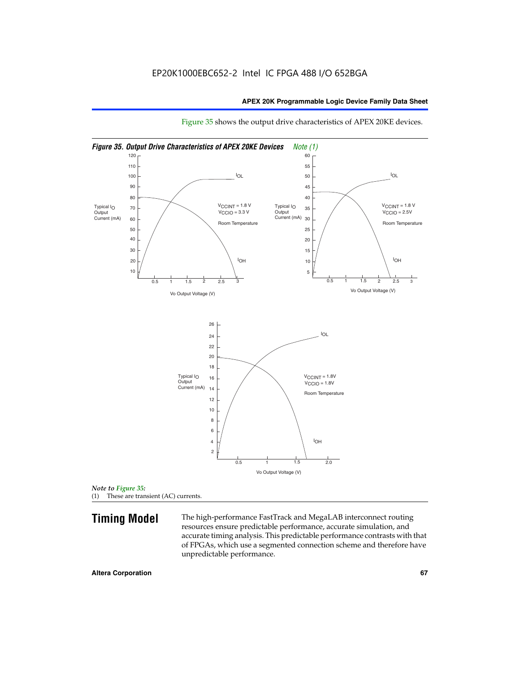

Figure 35 shows the output drive characteristics of APEX 20KE devices.

**Timing Model** The high-performance FastTrack and MegaLAB interconnect routing resources ensure predictable performance, accurate simulation, and accurate timing analysis. This predictable performance contrasts with that of FPGAs, which use a segmented connection scheme and therefore have unpredictable performance.

*Note to Figure 35:* (1) These are transient (AC) currents.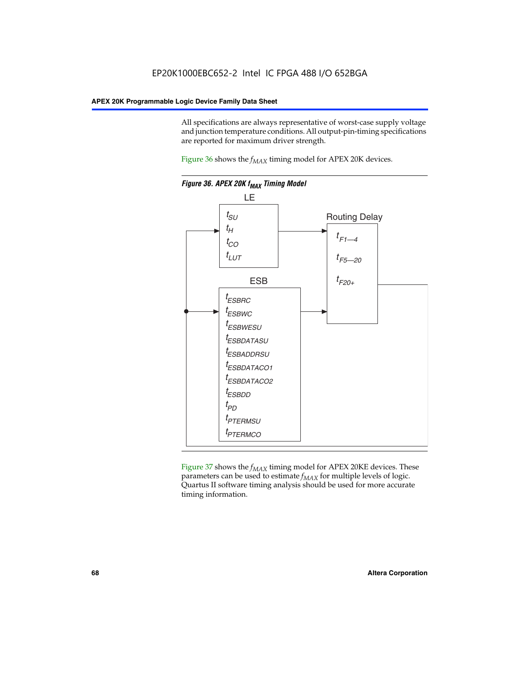All specifications are always representative of worst-case supply voltage and junction temperature conditions. All output-pin-timing specifications are reported for maximum driver strength.

Figure  $36$  shows the  $f_{MAX}$  timing model for APEX 20K devices.



Figure 37 shows the  $f_{MAX}$  timing model for APEX 20KE devices. These parameters can be used to estimate  $f_{MAX}$  for multiple levels of logic. Quartus II software timing analysis should be used for more accurate timing information.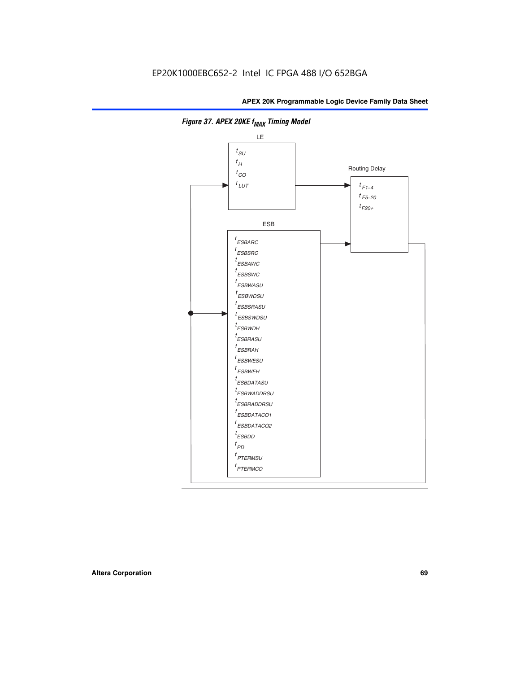

**Figure 37. APEX 20KE f<sub>MAX</sub> Timing Model**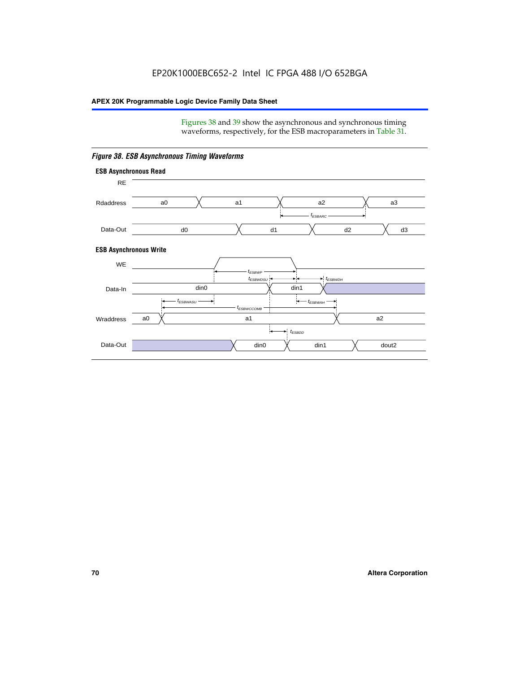Figures 38 and 39 show the asynchronous and synchronous timing waveforms, respectively, for the ESB macroparameters in Table 31.



*Figure 38. ESB Asynchronous Timing Waveforms*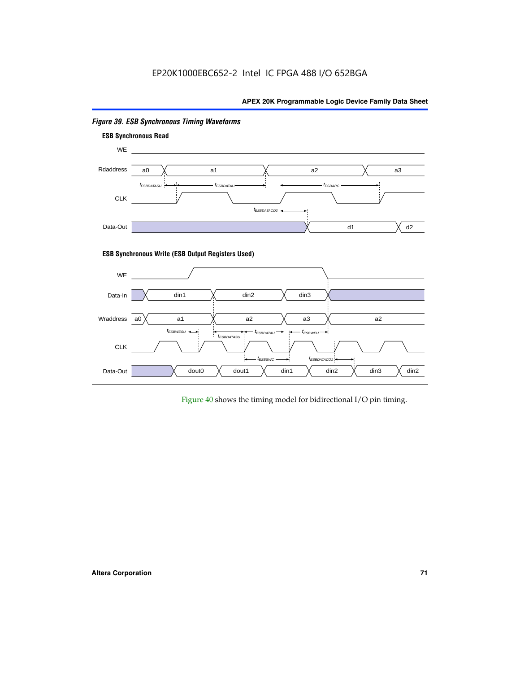

# *Figure 39. ESB Synchronous Timing Waveforms*

#### **ESB Synchronous Write (ESB Output Registers Used)**



Figure 40 shows the timing model for bidirectional I/O pin timing.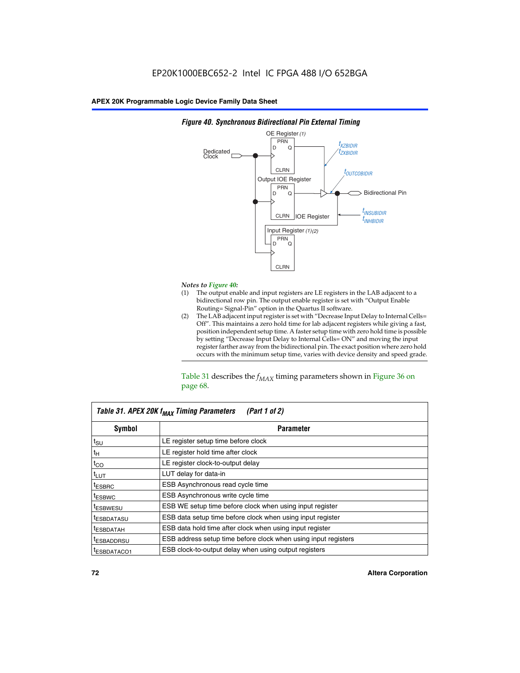

## *Figure 40. Synchronous Bidirectional Pin External Timing*

# *Notes to Figure 40:*

- The output enable and input registers are LE registers in the LAB adjacent to a bidirectional row pin. The output enable register is set with "Output Enable Routing= Signal-Pin" option in the Quartus II software.
- (2) The LAB adjacent input register is set with "Decrease Input Delay to Internal Cells= Off". This maintains a zero hold time for lab adjacent registers while giving a fast, position independent setup time. A faster setup time with zero hold time is possible by setting "Decrease Input Delay to Internal Cells= ON" and moving the input register farther away from the bidirectional pin. The exact position where zero hold occurs with the minimum setup time, varies with device density and speed grade.

Table 31 describes the  $f_{MAX}$  timing parameters shown in Figure 36 on page 68.

| Table 31. APEX 20K f <sub>MAX</sub> Timing Parameters<br>(Part 1 of 2) |                                                                |  |  |  |  |
|------------------------------------------------------------------------|----------------------------------------------------------------|--|--|--|--|
| Symbol                                                                 | <b>Parameter</b><br>LE register setup time before clock        |  |  |  |  |
| $t_{\text{SU}}$                                                        |                                                                |  |  |  |  |
| $t_H$                                                                  | LE register hold time after clock                              |  |  |  |  |
| $t_{CO}$                                                               | LE register clock-to-output delay                              |  |  |  |  |
| $t_{LUT}$                                                              | LUT delay for data-in                                          |  |  |  |  |
| <sup>t</sup> ESBRC                                                     | ESB Asynchronous read cycle time                               |  |  |  |  |
| <sup>t</sup> ESBWC                                                     | ESB Asynchronous write cycle time                              |  |  |  |  |
| <sup>t</sup> ESBWESU                                                   | ESB WE setup time before clock when using input register       |  |  |  |  |
| <sup>t</sup> ESBDATASU                                                 | ESB data setup time before clock when using input register     |  |  |  |  |
| <sup>t</sup> ESBDATAH                                                  | ESB data hold time after clock when using input register       |  |  |  |  |
| <sup>I</sup> ESBADDRSU                                                 | ESB address setup time before clock when using input registers |  |  |  |  |
| ESBDATACO1                                                             | ESB clock-to-output delay when using output registers          |  |  |  |  |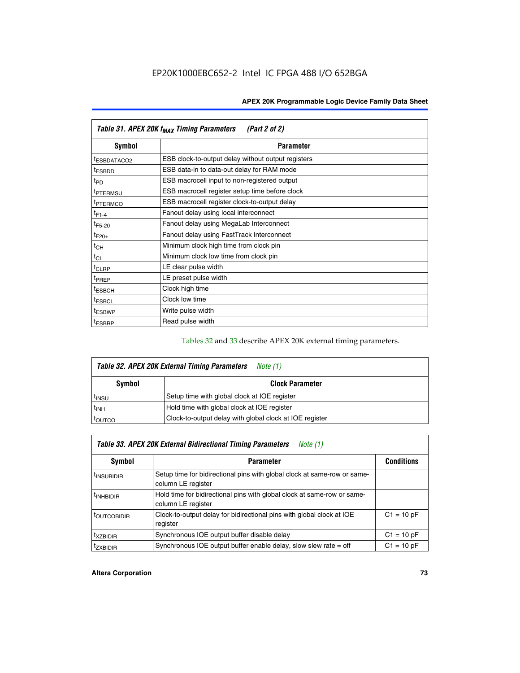| Table 31. APEX 20K f <sub>MAX</sub> Timing Parameters<br>(Part 2 of 2) |                                                    |  |  |  |  |
|------------------------------------------------------------------------|----------------------------------------------------|--|--|--|--|
| Symbol                                                                 | <b>Parameter</b>                                   |  |  |  |  |
| t <sub>ESBDATACO2</sub>                                                | ESB clock-to-output delay without output registers |  |  |  |  |
| <sup>t</sup> ESBDD                                                     | ESB data-in to data-out delay for RAM mode         |  |  |  |  |
| t <sub>PD</sub>                                                        | ESB macrocell input to non-registered output       |  |  |  |  |
| <sup>t</sup> PTERMSU                                                   | ESB macrocell register setup time before clock     |  |  |  |  |
| <sup>t</sup> PTERMCO                                                   | ESB macrocell register clock-to-output delay       |  |  |  |  |
| $t_{F1-4}$                                                             | Fanout delay using local interconnect              |  |  |  |  |
| $t_{F5-20}$                                                            | Fanout delay using MegaLab Interconnect            |  |  |  |  |
| $t_{F20+}$                                                             | Fanout delay using FastTrack Interconnect          |  |  |  |  |
| $t_{CH}$                                                               | Minimum clock high time from clock pin             |  |  |  |  |
| $t_{CL}$                                                               | Minimum clock low time from clock pin              |  |  |  |  |
| $t_{CLRP}$                                                             | LE clear pulse width                               |  |  |  |  |
| t <sub>PREP</sub>                                                      | LE preset pulse width                              |  |  |  |  |
| <sup>t</sup> ESBCH                                                     | Clock high time                                    |  |  |  |  |
| <sup>t</sup> ESBCL                                                     | Clock low time                                     |  |  |  |  |
| <sup>t</sup> ESBWP                                                     | Write pulse width                                  |  |  |  |  |
| <sup>t</sup> ESBRP                                                     | Read pulse width                                   |  |  |  |  |

## Tables 32 and 33 describe APEX 20K external timing parameters.

| Table 32. APEX 20K External Timing Parameters<br>Note (1) |                                                         |  |  |  |  |
|-----------------------------------------------------------|---------------------------------------------------------|--|--|--|--|
| Symbol                                                    | <b>Clock Parameter</b>                                  |  |  |  |  |
| <sup>t</sup> insu                                         | Setup time with global clock at IOE register            |  |  |  |  |
| $t_{\mathsf{INH}}$                                        | Hold time with global clock at IOE register             |  |  |  |  |
| toutco                                                    | Clock-to-output delay with global clock at IOE register |  |  |  |  |

| Table 33. APEX 20K External Bidirectional Timing Parameters<br>Note (1) |                                                                                                |              |  |  |  |
|-------------------------------------------------------------------------|------------------------------------------------------------------------------------------------|--------------|--|--|--|
| Symbol<br><b>Conditions</b><br><b>Parameter</b>                         |                                                                                                |              |  |  |  |
| <sup>I</sup> INSUBIDIR                                                  | Setup time for bidirectional pins with global clock at same-row or same-<br>column LE register |              |  |  |  |
| <sup>t</sup> INHBIDIR                                                   | Hold time for bidirectional pins with global clock at same-row or same-<br>column LE register  |              |  |  |  |
| <sup>t</sup> OUTCOBIDIR                                                 | Clock-to-output delay for bidirectional pins with global clock at IOE<br>register              | $C1 = 10 pF$ |  |  |  |
| <sup>T</sup> XZBIDIR                                                    | Synchronous IOE output buffer disable delay                                                    | $C1 = 10 pF$ |  |  |  |
| <sup>I</sup> ZXBIDIR                                                    | Synchronous IOE output buffer enable delay, slow slew rate $=$ off                             | $C1 = 10 pF$ |  |  |  |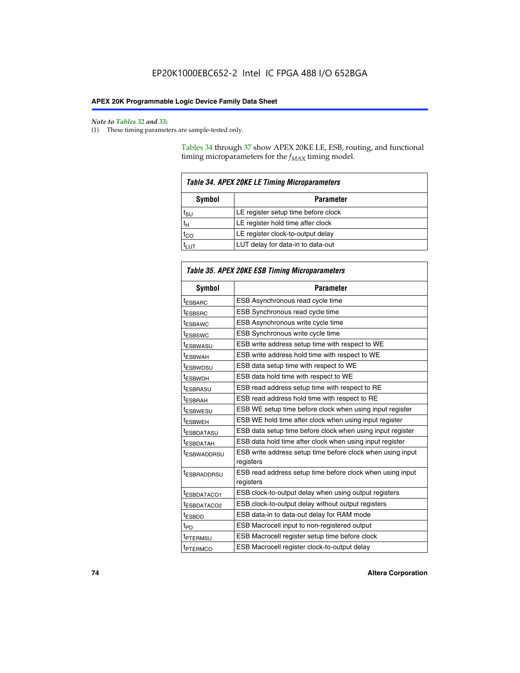$\mathbf{r}$ 

#### *Note to Tables 32 and 33:*

(1) These timing parameters are sample-tested only.

Tables 34 through 37 show APEX 20KE LE, ESB, routing, and functional timing microparameters for the  $f_{MAX}$  timing model.

| <b>Table 34. APEX 20KE LE Timing Microparameters</b> |                                     |  |  |  |  |
|------------------------------------------------------|-------------------------------------|--|--|--|--|
| Symbol<br><b>Parameter</b>                           |                                     |  |  |  |  |
| t <sub>SU</sub>                                      | LE register setup time before clock |  |  |  |  |
| $t_H$                                                | LE register hold time after clock   |  |  |  |  |
| $t_{CO}$                                             | LE register clock-to-output delay   |  |  |  |  |
|                                                      | LUT delay for data-in to data-out   |  |  |  |  |

| Table 35. APEX 20KE ESB Timing Microparameters |                                                                        |  |  |  |
|------------------------------------------------|------------------------------------------------------------------------|--|--|--|
| Symbol                                         | <b>Parameter</b>                                                       |  |  |  |
| t <sub>ESBARC</sub>                            | ESB Asynchronous read cycle time                                       |  |  |  |
| <sup>t</sup> ESBSRC                            | <b>ESB Synchronous read cycle time</b>                                 |  |  |  |
| t <sub>ESBAWC</sub>                            | ESB Asynchronous write cycle time                                      |  |  |  |
| t <sub>ESBSWC</sub>                            | ESB Synchronous write cycle time                                       |  |  |  |
| tESBWASU                                       | ESB write address setup time with respect to WE                        |  |  |  |
| <sup>t</sup> ESBWAH                            | ESB write address hold time with respect to WE                         |  |  |  |
| t <sub>ESBWDSU</sub>                           | ESB data setup time with respect to WE                                 |  |  |  |
| <sup>t</sup> ESBWDH                            | ESB data hold time with respect to WE                                  |  |  |  |
| tESBRASU                                       | ESB read address setup time with respect to RE                         |  |  |  |
| t <sub>ESBRAH</sub>                            | ESB read address hold time with respect to RE                          |  |  |  |
| <sup>t</sup> ESBWESU                           | ESB WE setup time before clock when using input register               |  |  |  |
| <sup>t</sup> ESBWEH                            | ESB WE hold time after clock when using input register                 |  |  |  |
| <sup>t</sup> ESBDATASU                         | ESB data setup time before clock when using input register             |  |  |  |
| t <sub>ESBDATAH</sub>                          | ESB data hold time after clock when using input register               |  |  |  |
| <sup>t</sup> ESBWADDRSU                        | ESB write address setup time before clock when using input             |  |  |  |
|                                                | registers                                                              |  |  |  |
| tESBRADDRSU                                    | ESB read address setup time before clock when using input<br>registers |  |  |  |
| t <sub>ESBDATACO1</sub>                        | ESB clock-to-output delay when using output registers                  |  |  |  |
| t <sub>ESBDATACO2</sub>                        | ESB clock-to-output delay without output registers                     |  |  |  |
| $t_{ESBDD}$                                    | ESB data-in to data-out delay for RAM mode                             |  |  |  |
| $t_{PD}$                                       | ESB Macrocell input to non-registered output                           |  |  |  |
| t <sub>PTERMSU</sub>                           | ESB Macrocell register setup time before clock                         |  |  |  |
| t <sub>PTERMCO</sub>                           | ESB Macrocell register clock-to-output delay                           |  |  |  |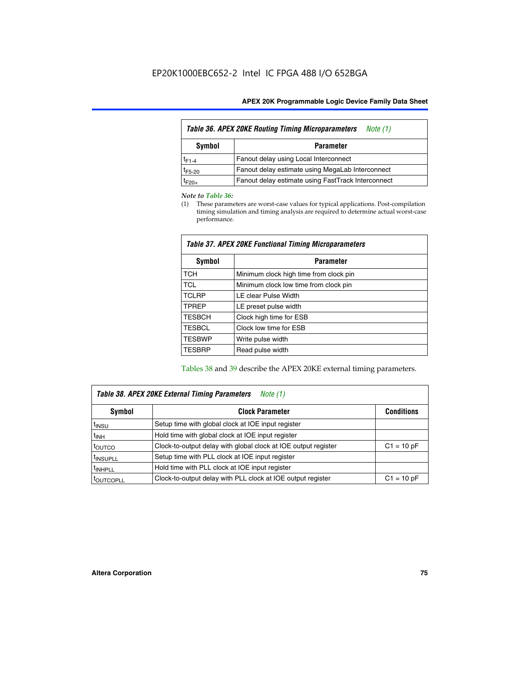| <b>Table 36. APEX 20KE Routing Timing Microparameters</b><br>Note (1) |                                                    |  |  |  |  |
|-----------------------------------------------------------------------|----------------------------------------------------|--|--|--|--|
| Symbol<br><b>Parameter</b>                                            |                                                    |  |  |  |  |
| $t_{F1-4}$                                                            | Fanout delay using Local Interconnect              |  |  |  |  |
| $t_{F5-20}$                                                           | Fanout delay estimate using MegaLab Interconnect   |  |  |  |  |
| $t_{F20+}$                                                            | Fanout delay estimate using FastTrack Interconnect |  |  |  |  |

#### *Note to Table 36:*

(1) These parameters are worst-case values for typical applications. Post-compilation timing simulation and timing analysis are required to determine actual worst-case performance.

| Symbol        | <b>Parameter</b>                       |
|---------------|----------------------------------------|
| <b>TCH</b>    | Minimum clock high time from clock pin |
| <b>TCL</b>    | Minimum clock low time from clock pin  |
| <b>TCLRP</b>  | LE clear Pulse Width                   |
| <b>TPREP</b>  | LE preset pulse width                  |
| <b>TESBCH</b> | Clock high time for ESB                |
| <b>TESBCL</b> | Clock low time for ESB                 |
| <b>TESBWP</b> | Write pulse width                      |
| <b>TESBRP</b> | Read pulse width                       |

## *Table 37. APEX 20KE Functional Timing Microparameters*

Tables 38 and 39 describe the APEX 20KE external timing parameters.

| Table 38. APEX 20KE External Timing Parameters<br><i>Note</i> $(1)$ |                                                                                |              |  |  |  |  |
|---------------------------------------------------------------------|--------------------------------------------------------------------------------|--------------|--|--|--|--|
| <b>Clock Parameter</b><br><b>Conditions</b><br>Symbol               |                                                                                |              |  |  |  |  |
| <sup>t</sup> insu                                                   | Setup time with global clock at IOE input register                             |              |  |  |  |  |
| $t_{\text{INH}}$                                                    | Hold time with global clock at IOE input register                              |              |  |  |  |  |
| t <sub>outco</sub>                                                  | Clock-to-output delay with global clock at IOE output register<br>$C1 = 10 pF$ |              |  |  |  |  |
| <sup>t</sup> INSUPLL                                                | Setup time with PLL clock at IOE input register                                |              |  |  |  |  |
| <sup>t</sup> INHPLL                                                 | Hold time with PLL clock at IOE input register                                 |              |  |  |  |  |
| <b><i>LOUTCOPLL</i></b>                                             | Clock-to-output delay with PLL clock at IOE output register                    | $C1 = 10 pF$ |  |  |  |  |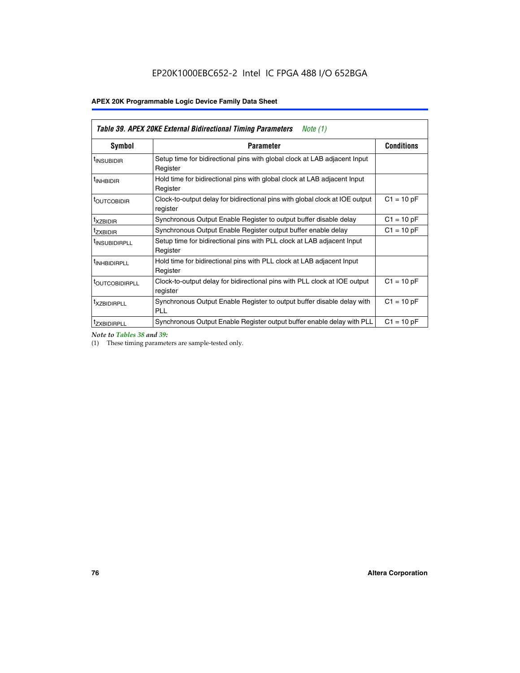| Table 39. APEX 20KE External Bidirectional Timing Parameters<br>Note $(1)$ |                                                                                                          |              |  |  |  |  |  |  |
|----------------------------------------------------------------------------|----------------------------------------------------------------------------------------------------------|--------------|--|--|--|--|--|--|
| <b>Symbol</b>                                                              | <b>Conditions</b><br><b>Parameter</b>                                                                    |              |  |  |  |  |  |  |
| <sup>t</sup> INSUBIDIR                                                     | Setup time for bidirectional pins with global clock at LAB adjacent Input<br>Register                    |              |  |  |  |  |  |  |
| <sup>t</sup> INHBIDIR                                                      | Hold time for bidirectional pins with global clock at LAB adjacent Input<br>Register                     |              |  |  |  |  |  |  |
| <b><i>LOUTCOBIDIR</i></b>                                                  | $C1 = 10 pF$<br>Clock-to-output delay for bidirectional pins with global clock at IOE output<br>register |              |  |  |  |  |  |  |
| t <sub>XZBIDIR</sub>                                                       | $C1 = 10 pF$<br>Synchronous Output Enable Register to output buffer disable delay                        |              |  |  |  |  |  |  |
| <sup>t</sup> zxbidir                                                       | Synchronous Output Enable Register output buffer enable delay                                            | $C1 = 10 pF$ |  |  |  |  |  |  |
| <sup>I</sup> INSUBIDIRPLL                                                  | Setup time for bidirectional pins with PLL clock at LAB adjacent Input<br>Register                       |              |  |  |  |  |  |  |
| <sup>t</sup> INHBIDIRPLL                                                   | Hold time for bidirectional pins with PLL clock at LAB adjacent Input<br>Register                        |              |  |  |  |  |  |  |
| <b><i>LOUTCOBIDIRPLL</i></b>                                               | Clock-to-output delay for bidirectional pins with PLL clock at IOE output<br>register                    | $C1 = 10 pF$ |  |  |  |  |  |  |
| <sup>t</sup> XZBIDIRPLL                                                    | Synchronous Output Enable Register to output buffer disable delay with<br><b>PLL</b>                     | $C1 = 10 pF$ |  |  |  |  |  |  |
| <sup>I</sup> ZXBIDIRPLL                                                    | Synchronous Output Enable Register output buffer enable delay with PLL                                   | $C1 = 10 pF$ |  |  |  |  |  |  |

*Note to Tables 38 and 39:*

(1) These timing parameters are sample-tested only.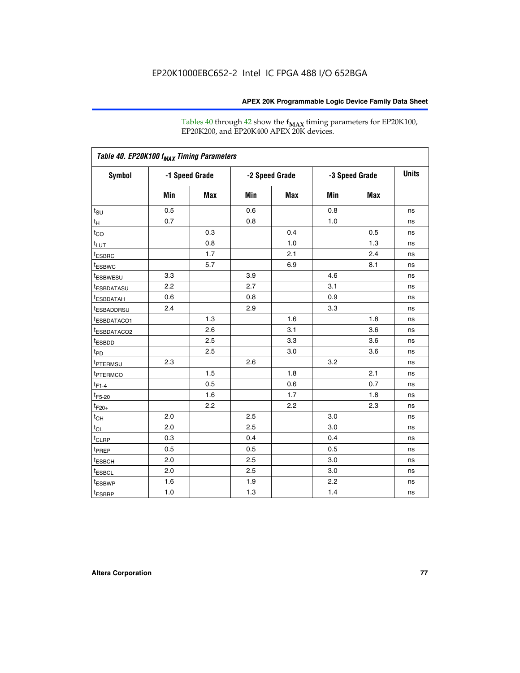Tables 40 through 42 show the **f<sub>MAX</sub>** timing parameters for EP20K100, EP20K200, and EP20K400 APEX 20K devices.

|                         |     |                |     |                |     |                | <b>Units</b> |
|-------------------------|-----|----------------|-----|----------------|-----|----------------|--------------|
| <b>Symbol</b>           |     | -1 Speed Grade |     | -2 Speed Grade |     | -3 Speed Grade |              |
|                         | Min | Max            | Min | Max            | Min | <b>Max</b>     |              |
| $t_{\text{SU}}$         | 0.5 |                | 0.6 |                | 0.8 |                | ns           |
| $t_H$                   | 0.7 |                | 0.8 |                | 1.0 |                | ns           |
| $t_{CO}$                |     | 0.3            |     | 0.4            |     | 0.5            | ns           |
| $t_{LUT}$               |     | 0.8            |     | 1.0            |     | 1.3            | ns           |
| <sup>t</sup> ESBRC      |     | 1.7            |     | 2.1            |     | 2.4            | ns           |
| t <sub>ESBWC</sub>      |     | 5.7            |     | 6.9            |     | 8.1            | ns           |
| <sup>t</sup> ESBWESU    | 3.3 |                | 3.9 |                | 4.6 |                | ns           |
| <sup>t</sup> ESBDATASU  | 2.2 |                | 2.7 |                | 3.1 |                | ns           |
| <sup>t</sup> ESBDATAH   | 0.6 |                | 0.8 |                | 0.9 |                | ns           |
| <sup>t</sup> ESBADDRSU  | 2.4 |                | 2.9 |                | 3.3 |                | ns           |
| <sup>t</sup> ESBDATACO1 |     | 1.3            |     | 1.6            |     | 1.8            | ns           |
| t <sub>ESBDATACO2</sub> |     | 2.6            |     | 3.1            |     | 3.6            | ns           |
| t <sub>ESBDD</sub>      |     | 2.5            |     | 3.3            |     | 3.6            | ns           |
| t <sub>PD</sub>         |     | 2.5            |     | 3.0            |     | 3.6            | ns           |
| <sup>t</sup> PTERMSU    | 2.3 |                | 2.6 |                | 3.2 |                | ns           |
| t <sub>PTERMCO</sub>    |     | 1.5            |     | 1.8            |     | 2.1            | ns           |
| $t_{F1-4}$              |     | 0.5            |     | 0.6            |     | 0.7            | ns           |
| $t_{F5-20}$             |     | 1.6            |     | 1.7            |     | 1.8            | ns           |
| $t_{F20+}$              |     | 2.2            |     | 2.2            |     | 2.3            | ns           |
| $t_{\mathsf{CH}}$       | 2.0 |                | 2.5 |                | 3.0 |                | ns           |
| $t_{CL}$                | 2.0 |                | 2.5 |                | 3.0 |                | ns           |
| t <sub>CLRP</sub>       | 0.3 |                | 0.4 |                | 0.4 |                | ns           |
| t <sub>PREP</sub>       | 0.5 |                | 0.5 |                | 0.5 |                | ns           |
| t <sub>ESBCH</sub>      | 2.0 |                | 2.5 |                | 3.0 |                | ns           |
| t <sub>ESBCL</sub>      | 2.0 |                | 2.5 |                | 3.0 |                | ns           |
| t <sub>ESBWP</sub>      | 1.6 |                | 1.9 |                | 2.2 |                | ns           |
| $t_{ESBRP}$             | 1.0 |                | 1.3 |                | 1.4 |                | ns           |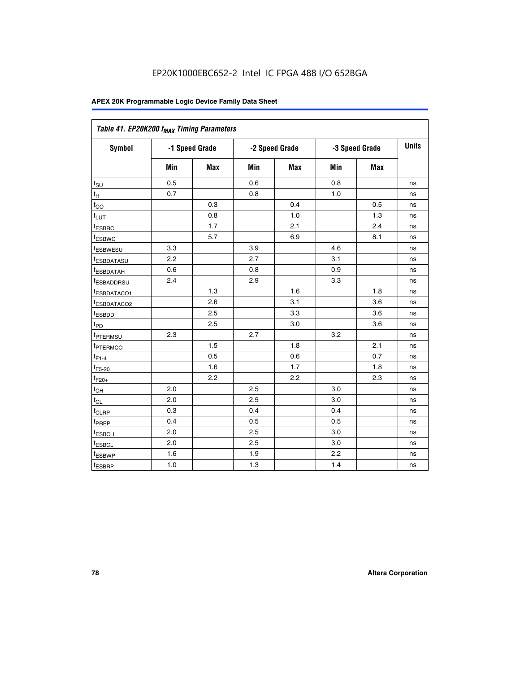| Table 41. EP20K200 f <sub>MAX</sub> Timing Parameters |                |     |     |                |     |                |    |
|-------------------------------------------------------|----------------|-----|-----|----------------|-----|----------------|----|
| Symbol                                                | -1 Speed Grade |     |     | -2 Speed Grade |     | -3 Speed Grade |    |
|                                                       | Min            | Max | Min | <b>Max</b>     | Min | Max            |    |
| $t_{\text{SU}}$                                       | 0.5            |     | 0.6 |                | 0.8 |                | ns |
| $t_H$                                                 | 0.7            |     | 0.8 |                | 1.0 |                | ns |
| $t_{CO}$                                              |                | 0.3 |     | 0.4            |     | 0.5            | ns |
| $t_{LUT}$                                             |                | 0.8 |     | 1.0            |     | 1.3            | ns |
| t <sub>ESBRC</sub>                                    |                | 1.7 |     | 2.1            |     | 2.4            | ns |
| t <sub>ESBWC</sub>                                    |                | 5.7 |     | 6.9            |     | 8.1            | ns |
| t <sub>ESBWESU</sub>                                  | 3.3            |     | 3.9 |                | 4.6 |                | ns |
| <sup>t</sup> ESBDATASU                                | 2.2            |     | 2.7 |                | 3.1 |                | ns |
| t <sub>ESBDATAH</sub>                                 | 0.6            |     | 0.8 |                | 0.9 |                | ns |
| t <sub>ESBADDRSU</sub>                                | 2.4            |     | 2.9 |                | 3.3 |                | ns |
| <u>t<sub>ESBDATACO1</sub></u>                         |                | 1.3 |     | 1.6            |     | 1.8            | ns |
| <sup>t</sup> ESBDATACO2                               |                | 2.6 |     | 3.1            |     | 3.6            | ns |
| t <sub>ESBDD</sub>                                    |                | 2.5 |     | 3.3            |     | 3.6            | ns |
| t <sub>PD</sub>                                       |                | 2.5 |     | 3.0            |     | 3.6            | ns |
| t <sub>PTERMSU</sub>                                  | 2.3            |     | 2.7 |                | 3.2 |                | ns |
| t <sub>PTERMCO</sub>                                  |                | 1.5 |     | 1.8            |     | 2.1            | ns |
| $t_{F1-4}$                                            |                | 0.5 |     | 0.6            |     | 0.7            | ns |
| $t_{F5-20}$                                           |                | 1.6 |     | 1.7            |     | 1.8            | ns |
| $t_{F20+}$                                            |                | 2.2 |     | 2.2            |     | 2.3            | ns |
| $\textnormal{t}_{\textnormal{CH}}$                    | 2.0            |     | 2.5 |                | 3.0 |                | ns |
| $t_{CL}$                                              | 2.0            |     | 2.5 |                | 3.0 |                | ns |
| t <sub>CLRP</sub>                                     | 0.3            |     | 0.4 |                | 0.4 |                | ns |
| t <sub>PREP</sub>                                     | 0.4            |     | 0.5 |                | 0.5 |                | ns |
| t <sub>ESBCH</sub>                                    | 2.0            |     | 2.5 |                | 3.0 |                | ns |
| t <sub>ESBCL</sub>                                    | 2.0            |     | 2.5 |                | 3.0 |                | ns |
| t <sub>ESBWP</sub>                                    | 1.6            |     | 1.9 |                | 2.2 |                | ns |
| t <sub>ESBRP</sub>                                    | 1.0            |     | 1.3 |                | 1.4 |                | ns |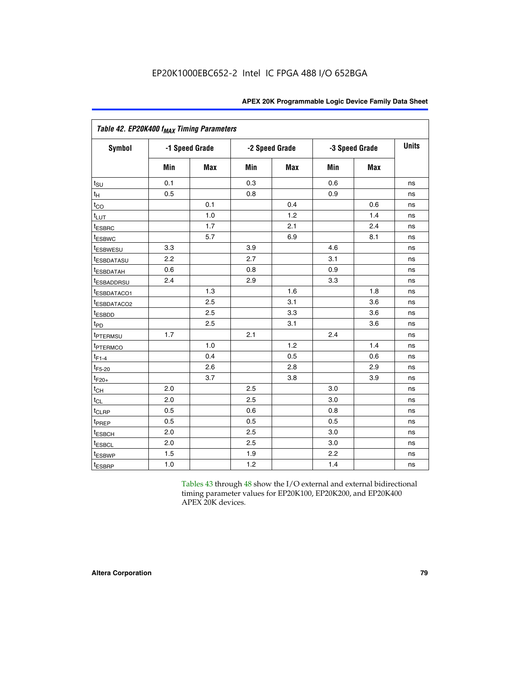| Table 42. EP20K400 f <sub>MAX</sub> Timing Parameters |     |                |     |                |     |                |              |
|-------------------------------------------------------|-----|----------------|-----|----------------|-----|----------------|--------------|
| <b>Symbol</b>                                         |     | -1 Speed Grade |     | -2 Speed Grade |     | -3 Speed Grade | <b>Units</b> |
|                                                       | Min | <b>Max</b>     | Min | Max            | Min | <b>Max</b>     |              |
| $t_{\text{SU}}$                                       | 0.1 |                | 0.3 |                | 0.6 |                | ns           |
| $t_H$                                                 | 0.5 |                | 0.8 |                | 0.9 |                | ns           |
| $t_{CO}$                                              |     | 0.1            |     | 0.4            |     | 0.6            | ns           |
| $t_{LUT}$                                             |     | 1.0            |     | 1.2            |     | 1.4            | ns           |
| t <sub>ESBRC</sub>                                    |     | 1.7            |     | 2.1            |     | 2.4            | ns           |
| <b>t</b> <sub>ESBWC</sub>                             |     | 5.7            |     | 6.9            |     | 8.1            | ns           |
| <i>t</i> ESBWESU                                      | 3.3 |                | 3.9 |                | 4.6 |                | ns           |
| <sup>t</sup> ESBDATASU                                | 2.2 |                | 2.7 |                | 3.1 |                | ns           |
| <sup>t</sup> ESBDATAH                                 | 0.6 |                | 0.8 |                | 0.9 |                | ns           |
| <sup>t</sup> ESBADDRSU                                | 2.4 |                | 2.9 |                | 3.3 |                | ns           |
| t <sub>ESBDATACO1</sub>                               |     | 1.3            |     | 1.6            |     | 1.8            | ns           |
| t <sub>ESBDATACO2</sub>                               |     | 2.5            |     | 3.1            |     | 3.6            | ns           |
| t <sub>ESBDD</sub>                                    |     | 2.5            |     | 3.3            |     | 3.6            | ns           |
| t <sub>PD</sub>                                       |     | 2.5            |     | 3.1            |     | 3.6            | ns           |
| t <sub>PTERMSU</sub>                                  | 1.7 |                | 2.1 |                | 2.4 |                | ns           |
| t <sub>PTERMCO</sub>                                  |     | 1.0            |     | 1.2            |     | 1.4            | ns           |
| $t_{F1-4}$                                            |     | 0.4            |     | 0.5            |     | 0.6            | ns           |
| $t_{F5-20}$                                           |     | 2.6            |     | 2.8            |     | 2.9            | ns           |
| $t_{F20+}$                                            |     | 3.7            |     | 3.8            |     | 3.9            | ns           |
| $t_{CH}$                                              | 2.0 |                | 2.5 |                | 3.0 |                | ns           |
| $t_{CL}$                                              | 2.0 |                | 2.5 |                | 3.0 |                | ns           |
| t <sub>CLRP</sub>                                     | 0.5 |                | 0.6 |                | 0.8 |                | ns           |
| t <sub>PREP</sub>                                     | 0.5 |                | 0.5 |                | 0.5 |                | ns           |
| t <sub>ESBCH</sub>                                    | 2.0 |                | 2.5 |                | 3.0 |                | ns           |
| t <sub>ESBCL</sub>                                    | 2.0 |                | 2.5 |                | 3.0 |                | ns           |
| <sup>t</sup> ESBWP                                    | 1.5 |                | 1.9 |                | 2.2 |                | ns           |
| t <sub>ESBRP</sub>                                    | 1.0 |                | 1.2 |                | 1.4 |                | ns           |

Tables 43 through 48 show the I/O external and external bidirectional timing parameter values for EP20K100, EP20K200, and EP20K400 APEX 20K devices.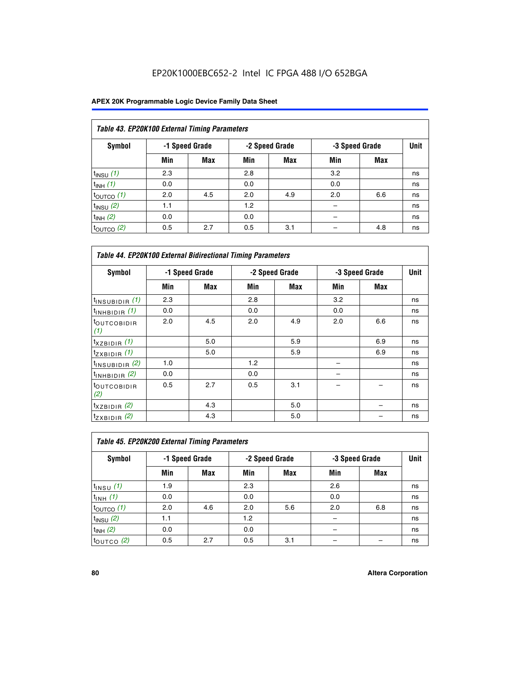## EP20K1000EBC652-2 Intel IC FPGA 488 I/O 652BGA

| Table 43. EP20K100 External Timing Parameters |     |                |     |                |     |                |      |  |  |  |  |
|-----------------------------------------------|-----|----------------|-----|----------------|-----|----------------|------|--|--|--|--|
| Symbol                                        |     | -1 Speed Grade |     | -2 Speed Grade |     | -3 Speed Grade | Unit |  |  |  |  |
|                                               | Min | <b>Max</b>     | Min | <b>Max</b>     | Min | Max            |      |  |  |  |  |
| $t_{INSU}$ (1)                                | 2.3 |                | 2.8 |                | 3.2 |                | ns   |  |  |  |  |
| $t_{INH}$ (1)                                 | 0.0 |                | 0.0 |                | 0.0 |                | ns   |  |  |  |  |
| $t_{\text{OUTCO}}(1)$                         | 2.0 | 4.5            | 2.0 | 4.9            | 2.0 | 6.6            | ns   |  |  |  |  |
| $t_{INSU}$ (2)                                | 1.1 |                | 1.2 |                |     |                | ns   |  |  |  |  |
| $t_{INH}$ (2)                                 | 0.0 |                | 0.0 |                |     |                | ns   |  |  |  |  |
| $t_{\text{OUTCO}}(2)$                         | 0.5 | 2.7            | 0.5 | 3.1            |     | 4.8            | ns   |  |  |  |  |

| <b>Table 44. EP20K100 External Bidirectional Timing Parameters</b> |                |     |     |                |     |                |    |
|--------------------------------------------------------------------|----------------|-----|-----|----------------|-----|----------------|----|
| Symbol                                                             | -1 Speed Grade |     |     | -2 Speed Grade |     | -3 Speed Grade |    |
|                                                                    | Min            | Max | Min | Max            | Min | Max            |    |
| $t_{\text{INSUBIDIR}}(1)$                                          | 2.3            |     | 2.8 |                | 3.2 |                | ns |
| $t_{INHBIDIR}$ (1)                                                 | 0.0            |     | 0.0 |                | 0.0 |                | ns |
| <sup>t</sup> OUTCOBIDIR<br>(1)                                     | 2.0            | 4.5 | 2.0 | 4.9            | 2.0 | 6.6            | ns |
| $t_{XZBIDIR}$ (1)                                                  |                | 5.0 |     | 5.9            |     | 6.9            | ns |
| $t_{ZXBIDIR}$ (1)                                                  |                | 5.0 |     | 5.9            |     | 6.9            | ns |
| $t_{INSUBIDIR}$ (2)                                                | 1.0            |     | 1.2 |                |     |                | ns |
| $t_{INHBIDIR}$ (2)                                                 | 0.0            |     | 0.0 |                |     |                | ns |
| <sup>t</sup> OUTCOBIDIR<br>(2)                                     | 0.5            | 2.7 | 0.5 | 3.1            |     |                | ns |
| $t_{XZBIDIR}$ (2)                                                  |                | 4.3 |     | 5.0            |     |                | ns |
| $t_{ZXBIDIR}$ (2)                                                  |                | 4.3 |     | 5.0            |     |                | ns |

| Table 45. EP20K200 External Timing Parameters |     |                |     |                |     |                |      |  |  |  |
|-----------------------------------------------|-----|----------------|-----|----------------|-----|----------------|------|--|--|--|
| Symbol                                        |     | -1 Speed Grade |     | -2 Speed Grade |     | -3 Speed Grade | Unit |  |  |  |
|                                               | Min | Max            | Min | Max            | Min | <b>Max</b>     |      |  |  |  |
| $t_{INSU}$ (1)                                | 1.9 |                | 2.3 |                | 2.6 |                | ns   |  |  |  |
| $t_{INH}$ (1)                                 | 0.0 |                | 0.0 |                | 0.0 |                | ns   |  |  |  |
| $t_{\text{OUTCO}}(1)$                         | 2.0 | 4.6            | 2.0 | 5.6            | 2.0 | 6.8            | ns   |  |  |  |
| $t_{\text{INSU}}(2)$                          | 1.1 |                | 1.2 |                |     |                | ns   |  |  |  |
| $t_{INH}$ (2)                                 | 0.0 |                | 0.0 |                |     |                | ns   |  |  |  |
| $t_{\text{OUTCO}}$ (2)                        | 0.5 | 2.7            | 0.5 | 3.1            |     |                | ns   |  |  |  |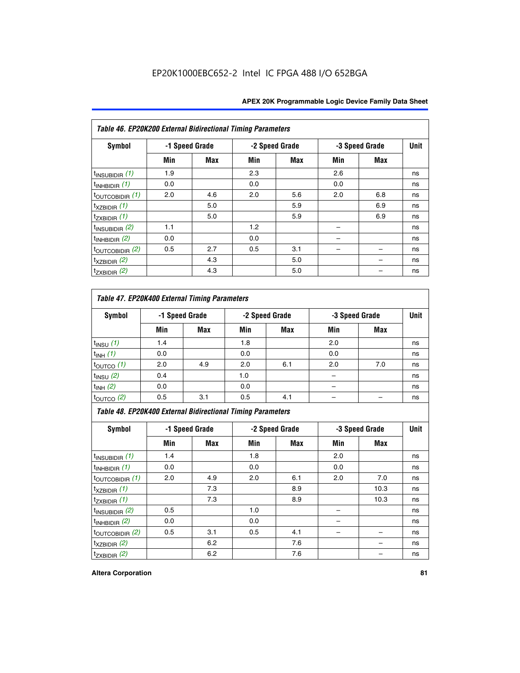| Table 46. EP20K200 External Bidirectional Timing Parameters |                |     |     |                |     |                |             |
|-------------------------------------------------------------|----------------|-----|-----|----------------|-----|----------------|-------------|
| Symbol                                                      | -1 Speed Grade |     |     | -2 Speed Grade |     | -3 Speed Grade | <b>Unit</b> |
|                                                             | Min            | Max | Min | Max            | Min | Max            |             |
| $t_{\text{INSUBIDIR}}(1)$                                   | 1.9            |     | 2.3 |                | 2.6 |                | ns          |
| $t_{INHBIDIR}$ (1)                                          | 0.0            |     | 0.0 |                | 0.0 |                | ns          |
| $t_{\text{OUTCOBIDIR}}(1)$                                  | 2.0            | 4.6 | 2.0 | 5.6            | 2.0 | 6.8            | ns          |
| $t_{XZBIDIR}$ (1)                                           |                | 5.0 |     | 5.9            |     | 6.9            | ns          |
| $t_{ZXBIDIR}$ (1)                                           |                | 5.0 |     | 5.9            |     | 6.9            | ns          |
| $t_{INSUBIDIR}$ (2)                                         | 1.1            |     | 1.2 |                |     |                | ns          |
| $t_{INHBIDIR}$ (2)                                          | 0.0            |     | 0.0 |                |     |                | ns          |
| $t_{\text{OUTCOBIDIR}}$ (2)                                 | 0.5            | 2.7 | 0.5 | 3.1            |     |                | ns          |
| $t_{XZBIDIR}$ (2)                                           |                | 4.3 |     | 5.0            |     |                | ns          |
| $t_{ZXBIDIR}$ (2)                                           |                | 4.3 |     | 5.0            |     |                | ns          |

## *Table 47. EP20K400 External Timing Parameters*

| Symbol                |     | -1 Speed Grade |     | -2 Speed Grade |     | -3 Speed Grade |    |  |
|-----------------------|-----|----------------|-----|----------------|-----|----------------|----|--|
|                       | Min | <b>Max</b>     | Min | <b>Max</b>     | Min | Max            |    |  |
| $t_{INSU}$ (1)        | 1.4 |                | 1.8 |                | 2.0 |                | ns |  |
| $t_{INH}$ (1)         | 0.0 |                | 0.0 |                | 0.0 |                | ns |  |
| $t_{\text{OUTCO}}(1)$ | 2.0 | 4.9            | 2.0 | 6.1            | 2.0 | 7.0            | ns |  |
| $t_{INSU}$ (2)        | 0.4 |                | 1.0 |                |     |                | ns |  |
| $t_{INH}$ (2)         | 0.0 |                | 0.0 |                | -   |                | ns |  |
| $t_{\text{OUTCO}}(2)$ | 0.5 | 3.1            | 0.5 | 4.1            |     |                | ns |  |

*Table 48. EP20K400 External Bidirectional Timing Parameters*

| Symbol                      | -1 Speed Grade |     | -2 Speed Grade |     |     | -3 Speed Grade | <b>Unit</b> |
|-----------------------------|----------------|-----|----------------|-----|-----|----------------|-------------|
|                             | Min            | Max | Min            | Max | Min | Max            |             |
| $t_{\text{INSUBIDIR}}(1)$   | 1.4            |     | 1.8            |     | 2.0 |                | ns          |
| $t_{INHBIDIR}$ (1)          | 0.0            |     | 0.0            |     | 0.0 |                | ns          |
| $t_{\text{OUTCOBIDIR}}(1)$  | 2.0            | 4.9 | 2.0            | 6.1 | 2.0 | 7.0            | ns          |
| $t_{XZBIDIR}$ (1)           |                | 7.3 |                | 8.9 |     | 10.3           | ns          |
| $t_{ZXBIDIR}$ (1)           |                | 7.3 |                | 8.9 |     | 10.3           | ns          |
| $t_{\text{INSUBIDIR}}(2)$   | 0.5            |     | 1.0            |     |     |                | ns          |
| $t_{INHBIDIR}$ (2)          | 0.0            |     | 0.0            |     |     |                | ns          |
| $t_{\text{OUTCOBIDIR}}$ (2) | 0.5            | 3.1 | 0.5            | 4.1 |     |                | ns          |
| $t_{XZBIDIR}$ (2)           |                | 6.2 |                | 7.6 |     |                | ns          |
| $t_{ZXBIDIR}$ (2)           |                | 6.2 |                | 7.6 |     |                | ns          |

#### **Altera Corporation 81**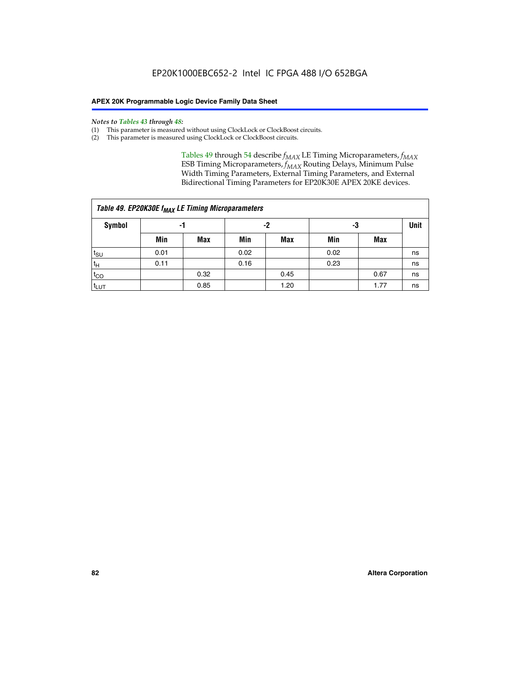#### *Notes to Tables 43 through 48:*

- (1) This parameter is measured without using ClockLock or ClockBoost circuits.
- (2) This parameter is measured using ClockLock or ClockBoost circuits.

Tables 49 through 54 describe  $f_{MAX}$  LE Timing Microparameters,  $f_{MAX}$ ESB Timing Microparameters, *f<sub>MAX</sub>* Routing Delays, Minimum Pulse Width Timing Parameters, External Timing Parameters, and External Bidirectional Timing Parameters for EP20K30E APEX 20KE devices.

|                  | Table 49. EP20K30E f <sub>MAX</sub> LE Timing Microparameters |      |      |            |      |      |    |  |  |  |  |  |
|------------------|---------------------------------------------------------------|------|------|------------|------|------|----|--|--|--|--|--|
| <b>Symbol</b>    | -1                                                            |      |      | -2         |      | -3   |    |  |  |  |  |  |
|                  | Min                                                           | Max  | Min  | <b>Max</b> | Min  | Max  |    |  |  |  |  |  |
| t <sub>SU</sub>  | 0.01                                                          |      | 0.02 |            | 0.02 |      | ns |  |  |  |  |  |
| 't <sub>H</sub>  | 0.11                                                          |      | 0.16 |            | 0.23 |      | ns |  |  |  |  |  |
| $t_{CO}$         |                                                               | 0.32 |      | 0.45       |      | 0.67 | ns |  |  |  |  |  |
| t <sub>LUT</sub> |                                                               | 0.85 |      | 1.20       |      | 1.77 | ns |  |  |  |  |  |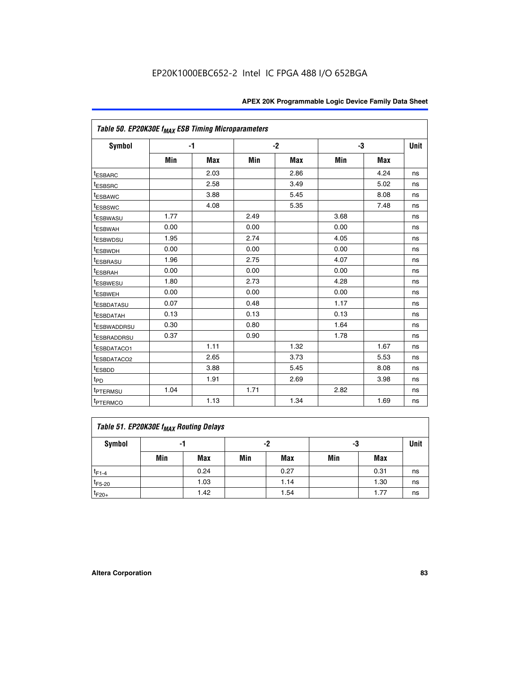| Table 50. EP20K30E f <sub>MAX</sub> ESB Timing Microparameters |      |      |      |      |      |            |             |
|----------------------------------------------------------------|------|------|------|------|------|------------|-------------|
| Symbol                                                         |      | $-1$ | $-2$ |      |      | -3         | <b>Unit</b> |
|                                                                | Min  | Max  | Min  | Max  | Min  | <b>Max</b> |             |
| <sup>t</sup> ESBARC                                            |      | 2.03 |      | 2.86 |      | 4.24       | ns          |
| <sup>t</sup> ESBSRC                                            |      | 2.58 |      | 3.49 |      | 5.02       | ns          |
| <sup>t</sup> ESBAWC                                            |      | 3.88 |      | 5.45 |      | 8.08       | ns          |
| <sup>t</sup> ESBSWC                                            |      | 4.08 |      | 5.35 |      | 7.48       | ns          |
| <sup>t</sup> ESBWASU                                           | 1.77 |      | 2.49 |      | 3.68 |            | ns          |
| <sup>t</sup> ESBWAH                                            | 0.00 |      | 0.00 |      | 0.00 |            | ns          |
| t <sub>ESBWDSU</sub>                                           | 1.95 |      | 2.74 |      | 4.05 |            | ns          |
| <sup>t</sup> ESBWDH                                            | 0.00 |      | 0.00 |      | 0.00 |            | ns          |
| <sup>t</sup> ESBRASU                                           | 1.96 |      | 2.75 |      | 4.07 |            | ns          |
| <sup>t</sup> ESBRAH                                            | 0.00 |      | 0.00 |      | 0.00 |            | ns          |
| <i>t</i> ESBWESU                                               | 1.80 |      | 2.73 |      | 4.28 |            | ns          |
| t <sub>ESBWEH</sub>                                            | 0.00 |      | 0.00 |      | 0.00 |            | ns          |
| <sup>t</sup> ESBDATASU                                         | 0.07 |      | 0.48 |      | 1.17 |            | ns          |
| <sup>I</sup> ESBDATAH                                          | 0.13 |      | 0.13 |      | 0.13 |            | ns          |
| <sup>t</sup> ESBWADDRSU                                        | 0.30 |      | 0.80 |      | 1.64 |            | ns          |
| <sup>I</sup> ESBRADDRSU                                        | 0.37 |      | 0.90 |      | 1.78 |            | ns          |
| ESBDATACO1                                                     |      | 1.11 |      | 1.32 |      | 1.67       | ns          |
| <sup>I</sup> ESBDATACO2                                        |      | 2.65 |      | 3.73 |      | 5.53       | ns          |
| t <sub>ESBDD</sub>                                             |      | 3.88 |      | 5.45 |      | 8.08       | ns          |
| t <sub>PD</sub>                                                |      | 1.91 |      | 2.69 |      | 3.98       | ns          |
| <sup>t</sup> PTERMSU                                           | 1.04 |      | 1.71 |      | 2.82 |            | ns          |
| t <sub>PTERMCO</sub>                                           |      | 1.13 |      | 1.34 |      | 1.69       | ns          |

## **Table 51. EP20K30E f<sub>MAX</sub> Routing Delays**

| Symbol      | - 1 |            | -2  |            | -3  |            | Unit |
|-------------|-----|------------|-----|------------|-----|------------|------|
|             | Min | <b>Max</b> | Min | <b>Max</b> | Min | <b>Max</b> |      |
| $t_{F1-4}$  |     | 0.24       |     | 0.27       |     | 0.31       | ns   |
| $t_{F5-20}$ |     | 1.03       |     | 1.14       |     | 1.30       | ns   |
| $t_{F20+}$  |     | 1.42       |     | 1.54       |     | 1.77       | ns   |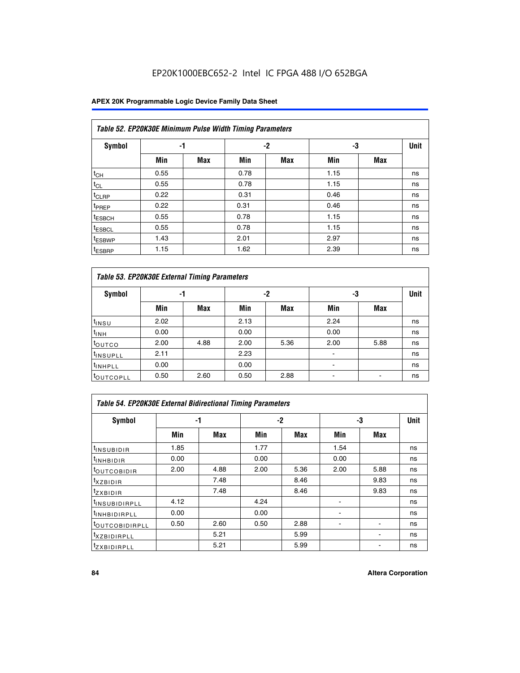## EP20K1000EBC652-2 Intel IC FPGA 488 I/O 652BGA

### **APEX 20K Programmable Logic Device Family Data Sheet**

|                    | Table 52. EP20K30E Minimum Pulse Width Timing Parameters |            |      |            |      |            |             |  |  |  |  |  |
|--------------------|----------------------------------------------------------|------------|------|------------|------|------------|-------------|--|--|--|--|--|
| <b>Symbol</b>      |                                                          | -1         |      | $-2$       | -3   |            | <b>Unit</b> |  |  |  |  |  |
|                    | Min                                                      | <b>Max</b> | Min  | <b>Max</b> | Min  | <b>Max</b> |             |  |  |  |  |  |
| $t_{CH}$           | 0.55                                                     |            | 0.78 |            | 1.15 |            | ns          |  |  |  |  |  |
| $t_{CL}$           | 0.55                                                     |            | 0.78 |            | 1.15 |            | ns          |  |  |  |  |  |
| $t_{CLRP}$         | 0.22                                                     |            | 0.31 |            | 0.46 |            | ns          |  |  |  |  |  |
| <sup>t</sup> PREP  | 0.22                                                     |            | 0.31 |            | 0.46 |            | ns          |  |  |  |  |  |
| <sup>t</sup> ESBCH | 0.55                                                     |            | 0.78 |            | 1.15 |            | ns          |  |  |  |  |  |
| <sup>t</sup> ESBCL | 0.55                                                     |            | 0.78 |            | 1.15 |            | ns          |  |  |  |  |  |
| <sup>t</sup> ESBWP | 1.43                                                     |            | 2.01 |            | 2.97 |            | ns          |  |  |  |  |  |
| <sup>t</sup> ESBRP | 1.15                                                     |            | 1.62 |            | 2.39 |            | ns          |  |  |  |  |  |

| Table 53. EP20K30E External Timing Parameters |      |            |      |            |                          |            |             |  |  |  |  |
|-----------------------------------------------|------|------------|------|------------|--------------------------|------------|-------------|--|--|--|--|
| <b>Symbol</b>                                 | -1   |            |      | -2         | -3                       |            | <b>Unit</b> |  |  |  |  |
|                                               | Min  | <b>Max</b> | Min  | <b>Max</b> | Min                      | <b>Max</b> |             |  |  |  |  |
| t <sub>INSU</sub>                             | 2.02 |            | 2.13 |            | 2.24                     |            | ns          |  |  |  |  |
| $t_{\text{INH}}$                              | 0.00 |            | 0.00 |            | 0.00                     |            | ns          |  |  |  |  |
| <sup>t</sup> outco                            | 2.00 | 4.88       | 2.00 | 5.36       | 2.00                     | 5.88       | ns          |  |  |  |  |
| <sup>t</sup> INSUPLL                          | 2.11 |            | 2.23 |            |                          |            | ns          |  |  |  |  |
| <sup>t</sup> INHPLL                           | 0.00 |            | 0.00 |            | $\overline{\phantom{a}}$ |            | ns          |  |  |  |  |
| <b>LOUTCOPLL</b>                              | 0.50 | 2.60       | 0.50 | 2.88       | -                        |            | ns          |  |  |  |  |

| Table 54. EP20K30E External Bidirectional Timing Parameters |      |      |      |      |                          |      |             |  |  |  |  |
|-------------------------------------------------------------|------|------|------|------|--------------------------|------|-------------|--|--|--|--|
| Symbol                                                      |      | -1   |      | $-2$ |                          | -3   | <b>Unit</b> |  |  |  |  |
|                                                             | Min  | Max  | Min  | Max  | Min                      | Max  |             |  |  |  |  |
| <sup>t</sup> INSUBIDIR                                      | 1.85 |      | 1.77 |      | 1.54                     |      | ns          |  |  |  |  |
| <b>INHBIDIR</b>                                             | 0.00 |      | 0.00 |      | 0.00                     |      | ns          |  |  |  |  |
| <b>LOUTCOBIDIR</b>                                          | 2.00 | 4.88 | 2.00 | 5.36 | 2.00                     | 5.88 | ns          |  |  |  |  |
| <sup>T</sup> XZBIDIR                                        |      | 7.48 |      | 8.46 |                          | 9.83 | ns          |  |  |  |  |
| <sup>t</sup> zxbidir                                        |      | 7.48 |      | 8.46 |                          | 9.83 | ns          |  |  |  |  |
| <sup>I</sup> INSUBIDIRPLL                                   | 4.12 |      | 4.24 |      | $\overline{\phantom{0}}$ |      | ns          |  |  |  |  |
| <b>INHBIDIRPLL</b>                                          | 0.00 |      | 0.00 |      |                          |      | ns          |  |  |  |  |
| <b><i>COUTCOBIDIRPLL</i></b>                                | 0.50 | 2.60 | 0.50 | 2.88 |                          |      | ns          |  |  |  |  |
| <sup>I</sup> XZBIDIRPLL                                     |      | 5.21 |      | 5.99 |                          |      | ns          |  |  |  |  |
| <sup>I</sup> ZXBIDIRPLL                                     |      | 5.21 |      | 5.99 |                          |      | ns          |  |  |  |  |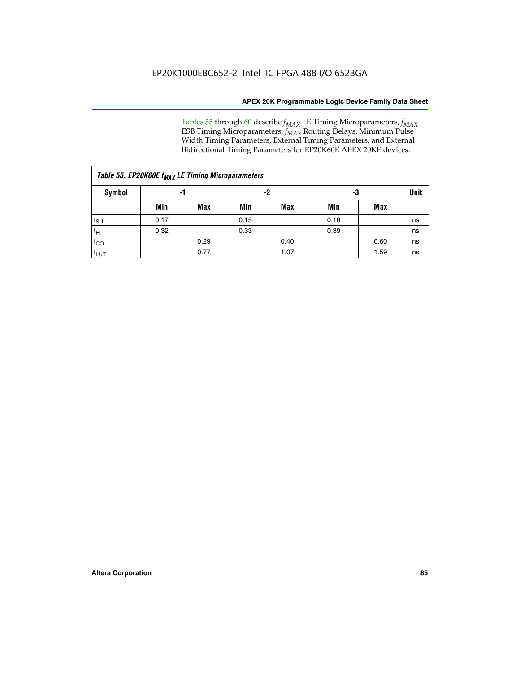Tables 55 through 60 describe *f<sub>MAX</sub>* LE Timing Microparameters, *f<sub>MAX</sub>* ESB Timing Microparameters, *f<sub>MAX</sub>* Routing Delays, Minimum Pulse Width Timing Parameters, External Timing Parameters, and External Bidirectional Timing Parameters for EP20K60E APEX 20KE devices.

| Table 55. EP20K60E f <sub>MAX</sub> LE Timing Microparameters |      |      |      |      |      |             |    |  |  |  |  |
|---------------------------------------------------------------|------|------|------|------|------|-------------|----|--|--|--|--|
| <b>Symbol</b>                                                 |      | -1   |      | -2   | -3   | <b>Unit</b> |    |  |  |  |  |
|                                                               | Min  | Max  | Min  | Max  | Min  | Max         |    |  |  |  |  |
| $t_{\text{SU}}$                                               | 0.17 |      | 0.15 |      | 0.16 |             | ns |  |  |  |  |
| $t_H$                                                         | 0.32 |      | 0.33 |      | 0.39 |             | ns |  |  |  |  |
| $t_{CO}$                                                      |      | 0.29 |      | 0.40 |      | 0.60        | ns |  |  |  |  |
| t <sub>lut</sub>                                              |      | 0.77 |      | 1.07 |      | 1.59        | ns |  |  |  |  |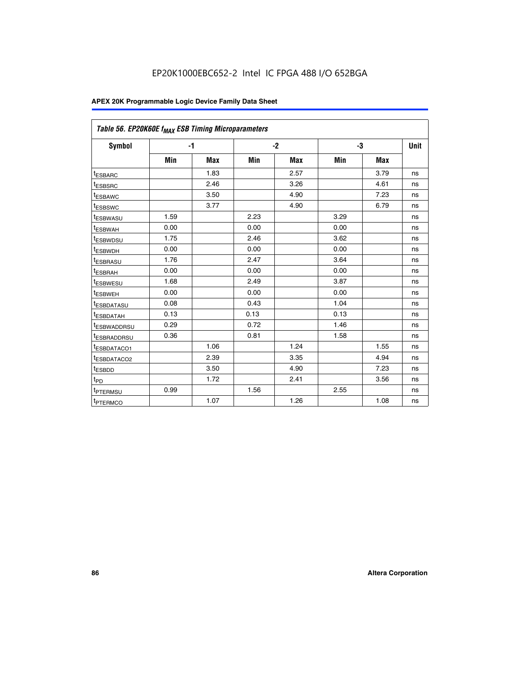| Table 56. EP20K60E f <sub>MAX</sub> ESB Timing Microparameters |      |            |      |            |      |            |      |
|----------------------------------------------------------------|------|------------|------|------------|------|------------|------|
| <b>Symbol</b>                                                  | $-1$ |            |      | $-2$       |      | -3         | Unit |
|                                                                | Min  | <b>Max</b> | Min  | <b>Max</b> | Min  | <b>Max</b> |      |
| t <sub>ESBARC</sub>                                            |      | 1.83       |      | 2.57       |      | 3.79       | ns   |
| t <sub>ESBSRC</sub>                                            |      | 2.46       |      | 3.26       |      | 4.61       | ns   |
| <sup>t</sup> ESBAWC                                            |      | 3.50       |      | 4.90       |      | 7.23       | ns   |
| t <sub>ESBSWC</sub>                                            |      | 3.77       |      | 4.90       |      | 6.79       | ns   |
| <sup>t</sup> ESBWASU                                           | 1.59 |            | 2.23 |            | 3.29 |            | ns   |
| t <sub>ESBWAH</sub>                                            | 0.00 |            | 0.00 |            | 0.00 |            | ns   |
| t <sub>ESBWDSU</sub>                                           | 1.75 |            | 2.46 |            | 3.62 |            | ns   |
| t <sub>ESBWDH</sub>                                            | 0.00 |            | 0.00 |            | 0.00 |            | ns   |
| t <sub>ESBRASU</sub>                                           | 1.76 |            | 2.47 |            | 3.64 |            | ns   |
| <sup>t</sup> ESBRAH                                            | 0.00 |            | 0.00 |            | 0.00 |            | ns   |
| t <sub>ESBWESU</sub>                                           | 1.68 |            | 2.49 |            | 3.87 |            | ns   |
| <sup>t</sup> ESBWEH                                            | 0.00 |            | 0.00 |            | 0.00 |            | ns   |
| <sup>t</sup> ESBDATASU                                         | 0.08 |            | 0.43 |            | 1.04 |            | ns   |
| <sup>t</sup> ESBDATAH                                          | 0.13 |            | 0.13 |            | 0.13 |            | ns   |
| <sup>t</sup> ESBWADDRSU                                        | 0.29 |            | 0.72 |            | 1.46 |            | ns   |
| <sup>t</sup> ESBRADDRSU                                        | 0.36 |            | 0.81 |            | 1.58 |            | ns   |
| <sup>t</sup> ESBDATACO1                                        |      | 1.06       |      | 1.24       |      | 1.55       | ns   |
| t <sub>ESBDATACO2</sub>                                        |      | 2.39       |      | 3.35       |      | 4.94       | ns   |
| <sup>t</sup> ESBDD                                             |      | 3.50       |      | 4.90       |      | 7.23       | ns   |
| t <sub>PD</sub>                                                |      | 1.72       |      | 2.41       |      | 3.56       | ns   |
| t <sub>PTERMSU</sub>                                           | 0.99 |            | 1.56 |            | 2.55 |            | ns   |
| t <sub>PTERMCO</sub>                                           |      | 1.07       |      | 1.26       |      | 1.08       | ns   |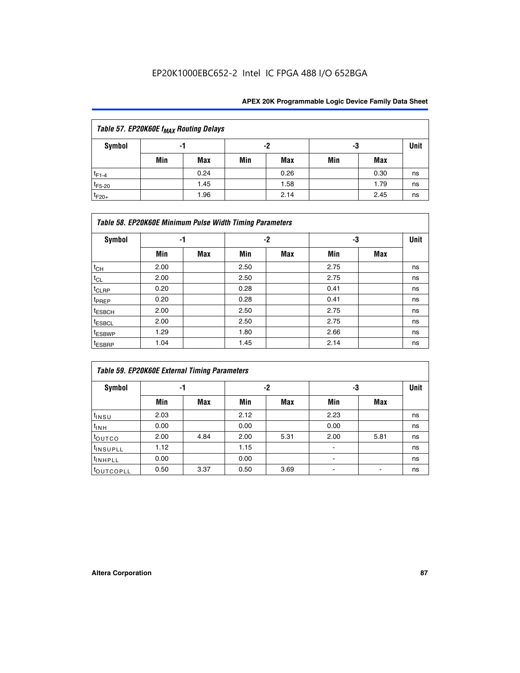## EP20K1000EBC652-2 Intel IC FPGA 488 I/O 652BGA

| Table 57. EP20K60E f <sub>MAX</sub> Routing Delays |     |      |     |      |     |      |             |  |  |  |
|----------------------------------------------------|-----|------|-----|------|-----|------|-------------|--|--|--|
| Symbol                                             |     | -1   |     | -2   |     | -3   | <b>Unit</b> |  |  |  |
|                                                    | Min | Max  | Min | Max  | Min | Max  |             |  |  |  |
| $t_{F1-4}$                                         |     | 0.24 |     | 0.26 |     | 0.30 | ns          |  |  |  |
| $t_{F5-20}$                                        |     | 1.45 |     | 1.58 |     | 1.79 | ns          |  |  |  |
| $t_{F20+}$                                         |     | 1.96 |     | 2.14 |     | 2.45 | ns          |  |  |  |

|                    | Table 58. EP20K60E Minimum Pulse Width Timing Parameters |     |      |      |      |     |             |  |  |  |  |  |
|--------------------|----------------------------------------------------------|-----|------|------|------|-----|-------------|--|--|--|--|--|
| Symbol             | -1                                                       |     |      | $-2$ |      | -3  | <b>Unit</b> |  |  |  |  |  |
|                    | Min                                                      | Max | Min  | Max  | Min  | Max |             |  |  |  |  |  |
| $t_{CH}$           | 2.00                                                     |     | 2.50 |      | 2.75 |     | ns          |  |  |  |  |  |
| $t_{CL}$           | 2.00                                                     |     | 2.50 |      | 2.75 |     | ns          |  |  |  |  |  |
| $t_{CLRP}$         | 0.20                                                     |     | 0.28 |      | 0.41 |     | ns          |  |  |  |  |  |
| t <sub>PREP</sub>  | 0.20                                                     |     | 0.28 |      | 0.41 |     | ns          |  |  |  |  |  |
| <sup>t</sup> ESBCH | 2.00                                                     |     | 2.50 |      | 2.75 |     | ns          |  |  |  |  |  |
| <sup>t</sup> ESBCL | 2.00                                                     |     | 2.50 |      | 2.75 |     | ns          |  |  |  |  |  |
| <sup>t</sup> ESBWP | 1.29                                                     |     | 1.80 |      | 2.66 |     | ns          |  |  |  |  |  |
| <sup>t</sup> ESBRP | 1.04                                                     |     | 1.45 |      | 2.14 |     | ns          |  |  |  |  |  |

|                      | <b>Table 59. EP20K60E External Timing Parameters</b> |      |      |      |      |      |      |  |  |  |  |  |
|----------------------|------------------------------------------------------|------|------|------|------|------|------|--|--|--|--|--|
| Symbol               | -1                                                   |      |      | -2   | -3   |      | Unit |  |  |  |  |  |
|                      | Min                                                  | Max  | Min  | Max  | Min  | Max  |      |  |  |  |  |  |
| $t_{INSU}$           | 2.03                                                 |      | 2.12 |      | 2.23 |      | ns   |  |  |  |  |  |
| $t_{INH}$            | 0.00                                                 |      | 0.00 |      | 0.00 |      | ns   |  |  |  |  |  |
| toutco               | 2.00                                                 | 4.84 | 2.00 | 5.31 | 2.00 | 5.81 | ns   |  |  |  |  |  |
| <sup>t</sup> INSUPLL | 1.12                                                 |      | 1.15 |      | ۰    |      | ns   |  |  |  |  |  |
| <sup>t</sup> INHPLL  | 0.00                                                 |      | 0.00 |      | ۰    |      | ns   |  |  |  |  |  |
| <b>COUTCOPLL</b>     | 0.50                                                 | 3.37 | 0.50 | 3.69 |      |      | ns   |  |  |  |  |  |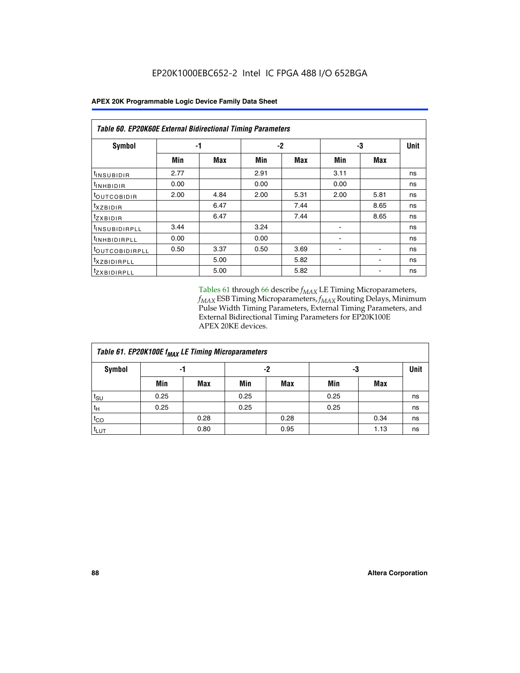| <b>Table 60. EP20K60E External Bidirectional Timing Parameters</b> |      |      |      |      |      |      |      |  |  |  |  |
|--------------------------------------------------------------------|------|------|------|------|------|------|------|--|--|--|--|
| Symbol                                                             |      | -1   |      | -2   |      | -3   | Unit |  |  |  |  |
|                                                                    | Min  | Max  | Min  | Max  | Min  | Max  |      |  |  |  |  |
| tINSUBIDIR                                                         | 2.77 |      | 2.91 |      | 3.11 |      | ns   |  |  |  |  |
| $t_{\rm INHBIDIR}$                                                 | 0.00 |      | 0.00 |      | 0.00 |      | ns   |  |  |  |  |
| <sup>t</sup> OUTCOBIDIR                                            | 2.00 | 4.84 | 2.00 | 5.31 | 2.00 | 5.81 | ns   |  |  |  |  |
| $t_{XZBIDIR}$                                                      |      | 6.47 |      | 7.44 |      | 8.65 | ns   |  |  |  |  |
| <sup>t</sup> zxbidir                                               |      | 6.47 |      | 7.44 |      | 8.65 | ns   |  |  |  |  |
| <sup>t</sup> INSUBIDIRPLL                                          | 3.44 |      | 3.24 |      |      |      | ns   |  |  |  |  |
| t <sub>INHBIDIRPLL</sub>                                           | 0.00 |      | 0.00 |      |      |      | ns   |  |  |  |  |
| <sup>t</sup> OUTCOBIDIRPLL                                         | 0.50 | 3.37 | 0.50 | 3.69 |      |      | ns   |  |  |  |  |
| <i>txzBIDIRPLL</i>                                                 |      | 5.00 |      | 5.82 |      |      | ns   |  |  |  |  |
| <sup>t</sup> ZXBIDIRPLL                                            |      | 5.00 |      | 5.82 |      |      | ns   |  |  |  |  |

Tables 61 through 66 describe  $f_{MAX}$  LE Timing Microparameters, *fMAX* ESB Timing Microparameters, *fMAX* Routing Delays, Minimum Pulse Width Timing Parameters, External Timing Parameters, and External Bidirectional Timing Parameters for EP20K100E APEX 20KE devices.

| Table 61. EP20K100E f <sub>MAX</sub> LE Timing Microparameters |      |      |      |            |      |            |             |  |  |  |  |
|----------------------------------------------------------------|------|------|------|------------|------|------------|-------------|--|--|--|--|
| <b>Symbol</b>                                                  |      | -1   | -2   |            |      | -3         | <b>Unit</b> |  |  |  |  |
|                                                                | Min  | Max  | Min  | <b>Max</b> | Min  | <b>Max</b> |             |  |  |  |  |
| $t_{\text{SU}}$                                                | 0.25 |      | 0.25 |            | 0.25 |            | ns          |  |  |  |  |
| tμ                                                             | 0.25 |      | 0.25 |            | 0.25 |            | ns          |  |  |  |  |
| $t_{CO}$                                                       |      | 0.28 |      | 0.28       |      | 0.34       | ns          |  |  |  |  |
| t <sub>LUT</sub>                                               |      | 0.80 |      | 0.95       |      | 1.13       | ns          |  |  |  |  |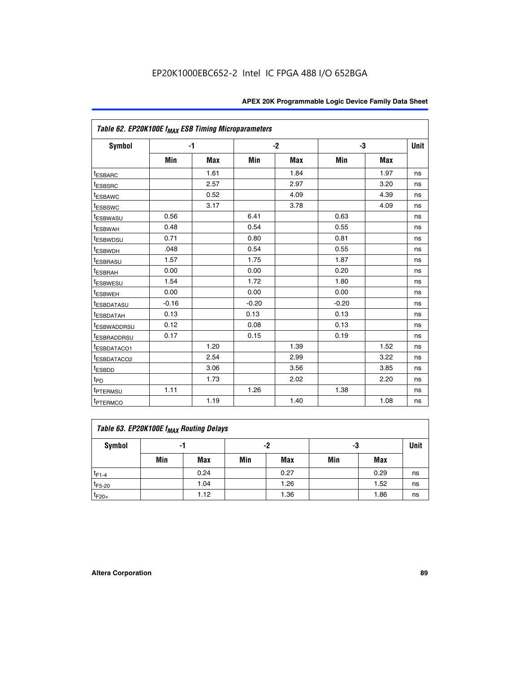|                         | Table 62. EP20K100E f <sub>MAX</sub> ESB Timing Microparameters |            |         |      |         |            |             |  |  |  |  |
|-------------------------|-----------------------------------------------------------------|------------|---------|------|---------|------------|-------------|--|--|--|--|
| <b>Symbol</b>           | $-1$                                                            |            |         | $-2$ |         | -3         | <b>Unit</b> |  |  |  |  |
|                         | Min                                                             | <b>Max</b> | Min     | Max  | Min     | <b>Max</b> |             |  |  |  |  |
| <sup>t</sup> ESBARC     |                                                                 | 1.61       |         | 1.84 |         | 1.97       | ns          |  |  |  |  |
| <sup>t</sup> ESBSRC     |                                                                 | 2.57       |         | 2.97 |         | 3.20       | ns          |  |  |  |  |
| <sup>t</sup> ESBAWC     |                                                                 | 0.52       |         | 4.09 |         | 4.39       | ns          |  |  |  |  |
| <sup>t</sup> ESBSWC     |                                                                 | 3.17       |         | 3.78 |         | 4.09       | ns          |  |  |  |  |
| <sup>t</sup> ESBWASU    | 0.56                                                            |            | 6.41    |      | 0.63    |            | ns          |  |  |  |  |
| <sup>t</sup> ESBWAH     | 0.48                                                            |            | 0.54    |      | 0.55    |            | ns          |  |  |  |  |
| <sup>t</sup> ESBWDSU    | 0.71                                                            |            | 0.80    |      | 0.81    |            | ns          |  |  |  |  |
| t <sub>ESBWDH</sub>     | .048                                                            |            | 0.54    |      | 0.55    |            | ns          |  |  |  |  |
| <sup>t</sup> ESBRASU    | 1.57                                                            |            | 1.75    |      | 1.87    |            | ns          |  |  |  |  |
| t <sub>ESBRAH</sub>     | 0.00                                                            |            | 0.00    |      | 0.20    |            | ns          |  |  |  |  |
| <b>ESBWESU</b>          | 1.54                                                            |            | 1.72    |      | 1.80    |            | ns          |  |  |  |  |
| t <sub>ESBWEH</sub>     | 0.00                                                            |            | 0.00    |      | 0.00    |            | ns          |  |  |  |  |
| <sup>t</sup> ESBDATASU  | $-0.16$                                                         |            | $-0.20$ |      | $-0.20$ |            | ns          |  |  |  |  |
| <sup>t</sup> ESBDATAH   | 0.13                                                            |            | 0.13    |      | 0.13    |            | ns          |  |  |  |  |
| <sup>t</sup> ESBWADDRSU | 0.12                                                            |            | 0.08    |      | 0.13    |            | ns          |  |  |  |  |
| <sup>t</sup> ESBRADDRSU | 0.17                                                            |            | 0.15    |      | 0.19    |            | ns          |  |  |  |  |
| ESBDATACO1              |                                                                 | 1.20       |         | 1.39 |         | 1.52       | ns          |  |  |  |  |
| <sup>t</sup> ESBDATACO2 |                                                                 | 2.54       |         | 2.99 |         | 3.22       | ns          |  |  |  |  |
| <sup>t</sup> ESBDD      |                                                                 | 3.06       |         | 3.56 |         | 3.85       | ns          |  |  |  |  |
| $t_{\mathsf{PD}}$       |                                                                 | 1.73       |         | 2.02 |         | 2.20       | ns          |  |  |  |  |
| t <sub>PTERMSU</sub>    | 1.11                                                            |            | 1.26    |      | 1.38    |            | ns          |  |  |  |  |
| <sup>t</sup> PTERMCO    |                                                                 | 1.19       |         | 1.40 |         | 1.08       | ns          |  |  |  |  |

| Table 63. EP20K100E f <sub>MAX</sub> Routing Delays |                |      |     |            |     |      |             |  |  |  |
|-----------------------------------------------------|----------------|------|-----|------------|-----|------|-------------|--|--|--|
| Symbol                                              | -2<br>-3<br>-1 |      |     |            |     |      | <b>Unit</b> |  |  |  |
|                                                     | Min            | Max  | Min | <b>Max</b> | Min | Max  |             |  |  |  |
| $t_{F1-4}$                                          |                | 0.24 |     | 0.27       |     | 0.29 | ns          |  |  |  |
| $t_{F5-20}$                                         |                | 1.04 |     | 1.26       |     | 1.52 | ns          |  |  |  |
| $t_{F20+}$                                          |                | 1.12 |     | 1.36       |     | 1.86 | ns          |  |  |  |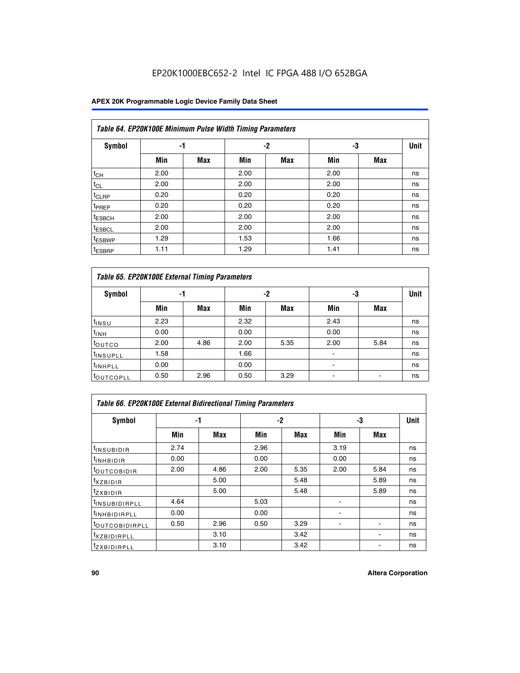## EP20K1000EBC652-2 Intel IC FPGA 488 I/O 652BGA

### **APEX 20K Programmable Logic Device Family Data Sheet**

| Table 64. EP20K100E Minimum Pulse Width Timing Parameters |      |            |      |            |      |            |             |  |  |  |  |
|-----------------------------------------------------------|------|------------|------|------------|------|------------|-------------|--|--|--|--|
| <b>Symbol</b>                                             | -1   |            |      | $-2$       | -3   |            | <b>Unit</b> |  |  |  |  |
|                                                           | Min  | <b>Max</b> | Min  | <b>Max</b> | Min  | <b>Max</b> |             |  |  |  |  |
| $t_{CH}$                                                  | 2.00 |            | 2.00 |            | 2.00 |            | ns          |  |  |  |  |
| $t_{CL}$                                                  | 2.00 |            | 2.00 |            | 2.00 |            | ns          |  |  |  |  |
| t <sub>CLRP</sub>                                         | 0.20 |            | 0.20 |            | 0.20 |            | ns          |  |  |  |  |
| t <sub>PREP</sub>                                         | 0.20 |            | 0.20 |            | 0.20 |            | ns          |  |  |  |  |
| <sup>t</sup> ESBCH                                        | 2.00 |            | 2.00 |            | 2.00 |            | ns          |  |  |  |  |
| <sup>t</sup> ESBCL                                        | 2.00 |            | 2.00 |            | 2.00 |            | ns          |  |  |  |  |
| <sup>t</sup> ESBWP                                        | 1.29 |            | 1.53 |            | 1.66 |            | ns          |  |  |  |  |
| <sup>t</sup> ESBRP                                        | 1.11 |            | 1.29 |            | 1.41 |            | ns          |  |  |  |  |

|                      | Table 65. EP20K100E External Timing Parameters |            |      |            |                |            |             |  |  |  |  |  |
|----------------------|------------------------------------------------|------------|------|------------|----------------|------------|-------------|--|--|--|--|--|
| <b>Symbol</b>        | -1                                             |            |      | -2         | -3             |            | <b>Unit</b> |  |  |  |  |  |
|                      | Min                                            | <b>Max</b> | Min  | <b>Max</b> | Min            | <b>Max</b> |             |  |  |  |  |  |
| $t_{INSU}$           | 2.23                                           |            | 2.32 |            | 2.43           |            | ns          |  |  |  |  |  |
| $t_{\rm INH}$        | 0.00                                           |            | 0.00 |            | 0.00           |            | ns          |  |  |  |  |  |
| toutco               | 2.00                                           | 4.86       | 2.00 | 5.35       | 2.00           | 5.84       | ns          |  |  |  |  |  |
| <sup>t</sup> INSUPLL | 1.58                                           |            | 1.66 |            |                |            | ns          |  |  |  |  |  |
| <sup>t</sup> INHPLL  | 0.00                                           |            | 0.00 |            | $\blacksquare$ |            | ns          |  |  |  |  |  |
| <b>LOUTCOPLL</b>     | 0.50                                           | 2.96       | 0.50 | 3.29       | -              |            | ns          |  |  |  |  |  |

|                              | <b>Table 66. EP20K100E External Bidirectional Timing Parameters</b> |      |      |      |                |      |    |  |  |  |  |  |
|------------------------------|---------------------------------------------------------------------|------|------|------|----------------|------|----|--|--|--|--|--|
| Symbol                       | -1                                                                  |      |      | $-2$ |                | -3   |    |  |  |  |  |  |
|                              | Min                                                                 | Max  | Min  | Max  | Min            | Max  |    |  |  |  |  |  |
| <sup>t</sup> INSUBIDIR       | 2.74                                                                |      | 2.96 |      | 3.19           |      | ns |  |  |  |  |  |
| <b>TINHBIDIR</b>             | 0.00                                                                |      | 0.00 |      | 0.00           |      | ns |  |  |  |  |  |
| <b>LOUTCOBIDIR</b>           | 2.00                                                                | 4.86 | 2.00 | 5.35 | 2.00           | 5.84 | ns |  |  |  |  |  |
| <sup>T</sup> XZBIDIR         |                                                                     | 5.00 |      | 5.48 |                | 5.89 | ns |  |  |  |  |  |
| <sup>T</sup> ZXBIDIR         |                                                                     | 5.00 |      | 5.48 |                | 5.89 | ns |  |  |  |  |  |
| <sup>t</sup> INSUBIDIRPLL    | 4.64                                                                |      | 5.03 |      |                |      | ns |  |  |  |  |  |
| <sup>I</sup> INHBIDIRPLL     | 0.00                                                                |      | 0.00 |      | $\blacksquare$ |      | ns |  |  |  |  |  |
| <b><i>LOUTCOBIDIRPLL</i></b> | 0.50                                                                | 2.96 | 0.50 | 3.29 |                |      | ns |  |  |  |  |  |
| <sup>T</sup> XZBIDIRPLL      |                                                                     | 3.10 |      | 3.42 |                |      | ns |  |  |  |  |  |
| <sup>I</sup> ZXBIDIRPLL      |                                                                     | 3.10 |      | 3.42 |                |      | ns |  |  |  |  |  |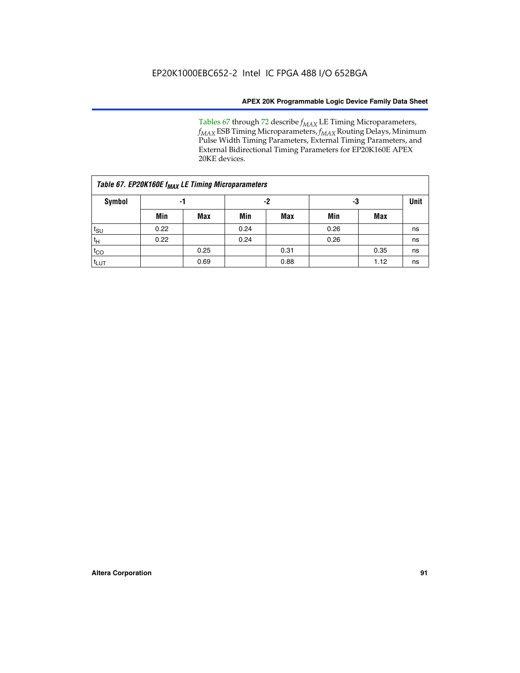Tables 67 through 72 describe *f<sub>MAX</sub>* LE Timing Microparameters, *f<sub>MAX</sub>* ESB Timing Microparameters, *f<sub>MAX</sub>* Routing Delays, Minimum Pulse Width Timing Parameters, External Timing Parameters, and External Bidirectional Timing Parameters for EP20K160E APEX 20KE devices.

|                  | Table 67. EP20K160E f <sub>MAX</sub> LE Timing Microparameters |            |      |            |      |      |    |  |  |  |  |  |
|------------------|----------------------------------------------------------------|------------|------|------------|------|------|----|--|--|--|--|--|
| Symbol           | -1                                                             |            |      | -2         |      | -3   |    |  |  |  |  |  |
|                  | Min                                                            | <b>Max</b> | Min  | <b>Max</b> | Min  | Max  |    |  |  |  |  |  |
| $t_{\text{SU}}$  | 0.22                                                           |            | 0.24 |            | 0.26 |      | ns |  |  |  |  |  |
| $t_H$            | 0.22                                                           |            | 0.24 |            | 0.26 |      | ns |  |  |  |  |  |
| $t_{CO}$         |                                                                | 0.25       |      | 0.31       |      | 0.35 | ns |  |  |  |  |  |
| t <sub>lut</sub> |                                                                | 0.69       |      | 0.88       |      | 1.12 | ns |  |  |  |  |  |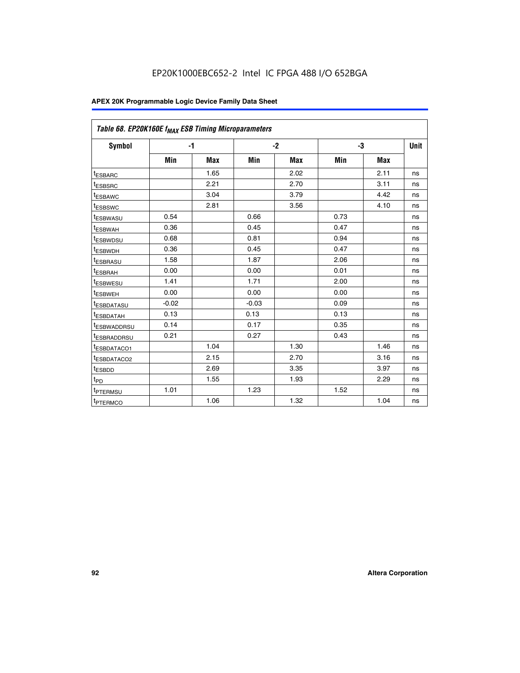| Table 68. EP20K160E f <sub>MAX</sub> ESB Timing Microparameters |         |            |         |            |      |      |             |
|-----------------------------------------------------------------|---------|------------|---------|------------|------|------|-------------|
| <b>Symbol</b>                                                   |         | $-1$       |         | $-2$       |      | -3   | <b>Unit</b> |
|                                                                 | Min     | <b>Max</b> | Min     | <b>Max</b> | Min  | Max  |             |
| <sup>t</sup> ESBARC                                             |         | 1.65       |         | 2.02       |      | 2.11 | ns          |
| t <sub>ESBSRC</sub>                                             |         | 2.21       |         | 2.70       |      | 3.11 | ns          |
| <sup>t</sup> ESBAWC                                             |         | 3.04       |         | 3.79       |      | 4.42 | ns          |
| <sup>t</sup> ESBSWC                                             |         | 2.81       |         | 3.56       |      | 4.10 | ns          |
| t <sub>ESBWASU</sub>                                            | 0.54    |            | 0.66    |            | 0.73 |      | ns          |
| <sup>t</sup> ESBWAH                                             | 0.36    |            | 0.45    |            | 0.47 |      | ns          |
| t <sub>ESBWDSU</sub>                                            | 0.68    |            | 0.81    |            | 0.94 |      | ns          |
| t <sub>ESBWDH</sub>                                             | 0.36    |            | 0.45    |            | 0.47 |      | ns          |
| t <sub>ESBRASU</sub>                                            | 1.58    |            | 1.87    |            | 2.06 |      | ns          |
| <sup>t</sup> ESBRAH                                             | 0.00    |            | 0.00    |            | 0.01 |      | ns          |
| <sup>t</sup> ESBWESU                                            | 1.41    |            | 1.71    |            | 2.00 |      | ns          |
| <sup>t</sup> ESBWEH                                             | 0.00    |            | 0.00    |            | 0.00 |      | ns          |
| <sup>t</sup> ESBDATASU                                          | $-0.02$ |            | $-0.03$ |            | 0.09 |      | ns          |
| t <sub>esbdatah</sub>                                           | 0.13    |            | 0.13    |            | 0.13 |      | ns          |
| t <sub>ESBWADDRSU</sub>                                         | 0.14    |            | 0.17    |            | 0.35 |      | ns          |
| <sup>t</sup> ESBRADDRSU                                         | 0.21    |            | 0.27    |            | 0.43 |      | ns          |
| t <sub>ESBDATACO1</sub>                                         |         | 1.04       |         | 1.30       |      | 1.46 | ns          |
| t <sub>ESBDATACO2</sub>                                         |         | 2.15       |         | 2.70       |      | 3.16 | ns          |
| <sup>t</sup> ESBDD                                              |         | 2.69       |         | 3.35       |      | 3.97 | ns          |
| t <sub>PD</sub>                                                 |         | 1.55       |         | 1.93       |      | 2.29 | ns          |
| t <sub>PTERMSU</sub>                                            | 1.01    |            | 1.23    |            | 1.52 |      | ns          |
| t <sub>PTERMCO</sub>                                            |         | 1.06       |         | 1.32       |      | 1.04 | ns          |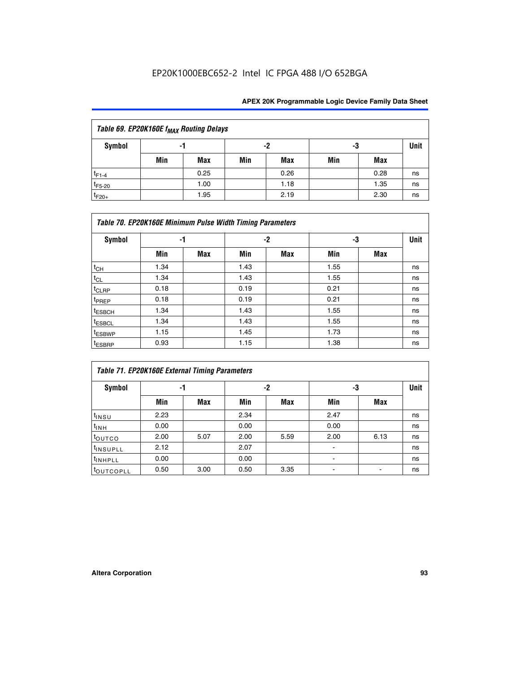| Table 69. EP20K160E f <sub>MAX</sub> Routing Delays |     |      |     |      |     |      |    |  |  |  |  |
|-----------------------------------------------------|-----|------|-----|------|-----|------|----|--|--|--|--|
| Symbol                                              | -1  |      |     | -2   |     | -3   |    |  |  |  |  |
|                                                     | Min | Max  | Min | Max  | Min | Max  |    |  |  |  |  |
| $t_{F1-4}$                                          |     | 0.25 |     | 0.26 |     | 0.28 | ns |  |  |  |  |
| $t_{F5-20}$                                         |     | 1.00 |     | 1.18 |     | 1.35 | ns |  |  |  |  |
| $t_{F20+}$                                          |     | 1.95 |     | 2.19 |     | 2.30 | ns |  |  |  |  |

| <b>Symbol</b>      | -1   |     |      | $-2$ |      | -3  | <b>Unit</b> |
|--------------------|------|-----|------|------|------|-----|-------------|
|                    | Min  | Max | Min  | Max  | Min  | Max |             |
| $t_{CH}$           | 1.34 |     | 1.43 |      | 1.55 |     | ns          |
| $t_{CL}$           | 1.34 |     | 1.43 |      | 1.55 |     | ns          |
| $t_{CLRP}$         | 0.18 |     | 0.19 |      | 0.21 |     | ns          |
| t <sub>PREP</sub>  | 0.18 |     | 0.19 |      | 0.21 |     | ns          |
| <sup>t</sup> ESBCH | 1.34 |     | 1.43 |      | 1.55 |     | ns          |
| <sup>t</sup> ESBCL | 1.34 |     | 1.43 |      | 1.55 |     | ns          |
| <sup>t</sup> ESBWP | 1.15 |     | 1.45 |      | 1.73 |     | ns          |
| <sup>t</sup> ESBRP | 0.93 |     | 1.15 |      | 1.38 |     | ns          |

|                      | Table 71. EP20K160E External Timing Parameters |      |      |      |      |      |    |  |  |  |  |  |
|----------------------|------------------------------------------------|------|------|------|------|------|----|--|--|--|--|--|
| Symbol               | -1                                             |      |      | -2   | -3   | Unit |    |  |  |  |  |  |
|                      | Min                                            | Max  | Min  | Max  | Min  | Max  |    |  |  |  |  |  |
| $t_{INSU}$           | 2.23                                           |      | 2.34 |      | 2.47 |      | ns |  |  |  |  |  |
| $t_{INH}$            | 0.00                                           |      | 0.00 |      | 0.00 |      | ns |  |  |  |  |  |
| toutco               | 2.00                                           | 5.07 | 2.00 | 5.59 | 2.00 | 6.13 | ns |  |  |  |  |  |
| <sup>t</sup> INSUPLL | 2.12                                           |      | 2.07 |      | ۰    |      | ns |  |  |  |  |  |
| <sup>t</sup> INHPLL  | 0.00                                           |      | 0.00 |      | ۰    |      | ns |  |  |  |  |  |
| toutcopll            | 0.50                                           | 3.00 | 0.50 | 3.35 |      |      | ns |  |  |  |  |  |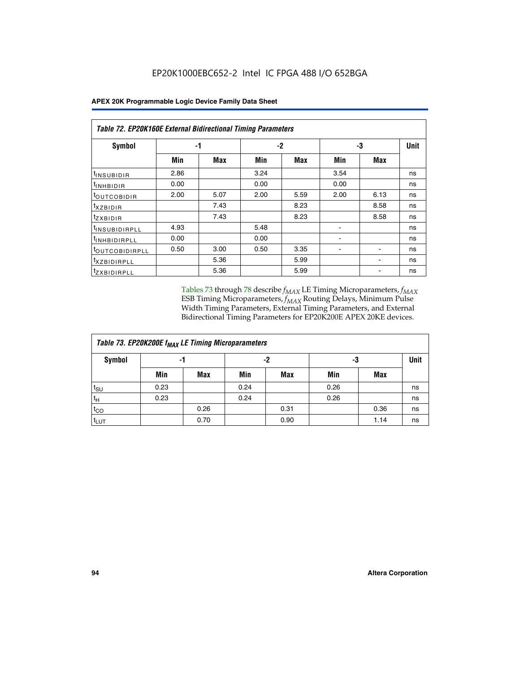|                                | <b>Table 72. EP20K160E External Bidirectional Timing Parameters</b> |      |      |      |                          |                          |    |  |  |  |  |  |
|--------------------------------|---------------------------------------------------------------------|------|------|------|--------------------------|--------------------------|----|--|--|--|--|--|
| Symbol                         | -1                                                                  |      |      | -2   |                          | -3                       |    |  |  |  |  |  |
|                                | Min                                                                 | Max  | Min  | Max  | Min                      | Max                      |    |  |  |  |  |  |
| <sup>t</sup> INSUB <u>IDIR</u> | 2.86                                                                |      | 3.24 |      | 3.54                     |                          | ns |  |  |  |  |  |
| <b>UNHBIDIR</b>                | 0.00                                                                |      | 0.00 |      | 0.00                     |                          | ns |  |  |  |  |  |
| <b>LOUTCOBIDIR</b>             | 2.00                                                                | 5.07 | 2.00 | 5.59 | 2.00                     | 6.13                     | ns |  |  |  |  |  |
| KZBIDIR                        |                                                                     | 7.43 |      | 8.23 |                          | 8.58                     | ns |  |  |  |  |  |
| <sup>t</sup> zxbidir           |                                                                     | 7.43 |      | 8.23 |                          | 8.58                     | ns |  |  |  |  |  |
| <sup>t</sup> INSUBIDIRPLL      | 4.93                                                                |      | 5.48 |      |                          |                          | ns |  |  |  |  |  |
| <b>INHBIDIRPLL</b>             | 0.00                                                                |      | 0.00 |      | $\overline{\phantom{0}}$ |                          | ns |  |  |  |  |  |
| <b><i>LOUTCOBIDIRPLL</i></b>   | 0.50                                                                | 3.00 | 0.50 | 3.35 | ٠                        | $\overline{\phantom{0}}$ | ns |  |  |  |  |  |
| <sup>T</sup> XZBIDIRPLL        |                                                                     | 5.36 |      | 5.99 |                          |                          | ns |  |  |  |  |  |
| <sup>I</sup> ZXBIDIRPLL        |                                                                     | 5.36 |      | 5.99 |                          |                          | ns |  |  |  |  |  |

Tables 73 through 78 describe  $f_{MAX}$  LE Timing Microparameters,  $f_{MAX}$ ESB Timing Microparameters, *f<sub>MAX</sub>* Routing Delays, Minimum Pulse Width Timing Parameters, External Timing Parameters, and External Bidirectional Timing Parameters for EP20K200E APEX 20KE devices.

|                  | Table 73. EP20K200E f <sub>MAX</sub> LE Timing Microparameters |      |      |            |      |            |    |  |  |  |  |  |
|------------------|----------------------------------------------------------------|------|------|------------|------|------------|----|--|--|--|--|--|
| <b>Symbol</b>    | -1                                                             |      |      | -2         |      | -3         |    |  |  |  |  |  |
|                  | Min                                                            | Max  | Min  | <b>Max</b> | Min  | <b>Max</b> |    |  |  |  |  |  |
| $t_{\text{SU}}$  | 0.23                                                           |      | 0.24 |            | 0.26 |            | ns |  |  |  |  |  |
| $t_H$            | 0.23                                                           |      | 0.24 |            | 0.26 |            | ns |  |  |  |  |  |
| $t_{CO}$         |                                                                | 0.26 |      | 0.31       |      | 0.36       | ns |  |  |  |  |  |
| t <sub>LUT</sub> |                                                                | 0.70 |      | 0.90       |      | 1.14       | ns |  |  |  |  |  |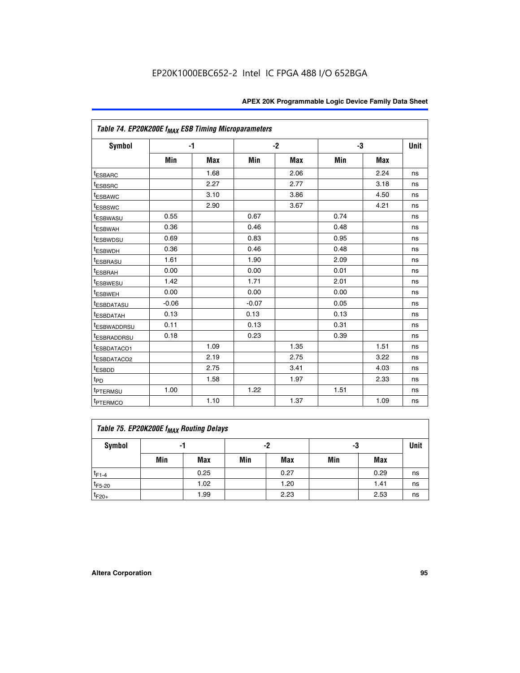|                         | Table 74. EP20K200E f <sub>MAX</sub> ESB Timing Microparameters |      |         |            |      |            |             |  |  |  |  |
|-------------------------|-----------------------------------------------------------------|------|---------|------------|------|------------|-------------|--|--|--|--|
| Symbol                  |                                                                 | $-1$ |         | $-2$       | -3   |            | <b>Unit</b> |  |  |  |  |
|                         | Min                                                             | Max  | Min     | <b>Max</b> | Min  | <b>Max</b> |             |  |  |  |  |
| <sup>t</sup> ESBARC     |                                                                 | 1.68 |         | 2.06       |      | 2.24       | ns          |  |  |  |  |
| <sup>t</sup> ESBSRC     |                                                                 | 2.27 |         | 2.77       |      | 3.18       | ns          |  |  |  |  |
| <sup>t</sup> ESBAWC     |                                                                 | 3.10 |         | 3.86       |      | 4.50       | ns          |  |  |  |  |
| <sup>t</sup> ESBSWC     |                                                                 | 2.90 |         | 3.67       |      | 4.21       | ns          |  |  |  |  |
| <sup>t</sup> ESBWASU    | 0.55                                                            |      | 0.67    |            | 0.74 |            | ns          |  |  |  |  |
| <b><i>LESBWAH</i></b>   | 0.36                                                            |      | 0.46    |            | 0.48 |            | ns          |  |  |  |  |
| <sup>t</sup> ESBWDSU    | 0.69                                                            |      | 0.83    |            | 0.95 |            | ns          |  |  |  |  |
| t <sub>ESBWDH</sub>     | 0.36                                                            |      | 0.46    |            | 0.48 |            | ns          |  |  |  |  |
| <sup>t</sup> ESBRASU    | 1.61                                                            |      | 1.90    |            | 2.09 |            | ns          |  |  |  |  |
| <sup>t</sup> ESBRAH     | 0.00                                                            |      | 0.00    |            | 0.01 |            | ns          |  |  |  |  |
| t <sub>ESBWESU</sub>    | 1.42                                                            |      | 1.71    |            | 2.01 |            | ns          |  |  |  |  |
| <sup>I</sup> ESBWEH     | 0.00                                                            |      | 0.00    |            | 0.00 |            | ns          |  |  |  |  |
| <sup>t</sup> ESBDATASU  | $-0.06$                                                         |      | $-0.07$ |            | 0.05 |            | ns          |  |  |  |  |
| <sup>I</sup> ESBDATAH   | 0.13                                                            |      | 0.13    |            | 0.13 |            | ns          |  |  |  |  |
| <sup>t</sup> ESBWADDRSU | 0.11                                                            |      | 0.13    |            | 0.31 |            | ns          |  |  |  |  |
| <sup>I</sup> ESBRADDRSU | 0.18                                                            |      | 0.23    |            | 0.39 |            | ns          |  |  |  |  |
| ESBDATACO1              |                                                                 | 1.09 |         | 1.35       |      | 1.51       | ns          |  |  |  |  |
| <sup>t</sup> ESBDATACO2 |                                                                 | 2.19 |         | 2.75       |      | 3.22       | ns          |  |  |  |  |
| t <sub>ESBDD</sub>      |                                                                 | 2.75 |         | 3.41       |      | 4.03       | ns          |  |  |  |  |
| t <sub>PD</sub>         |                                                                 | 1.58 |         | 1.97       |      | 2.33       | ns          |  |  |  |  |
| t <sub>PTERMSU</sub>    | 1.00                                                            |      | 1.22    |            | 1.51 |            | ns          |  |  |  |  |
| t <sub>PTERMCO</sub>    |                                                                 | 1.10 |         | 1.37       |      | 1.09       | ns          |  |  |  |  |

| Table 75. EP20K200E f <sub>MAX</sub> Routing Delays |     |      |     |      |     |      |    |  |  |  |  |
|-----------------------------------------------------|-----|------|-----|------|-----|------|----|--|--|--|--|
| Symbol                                              | -1  |      |     | -2   |     | -3   |    |  |  |  |  |
|                                                     | Min | Max  | Min | Max  | Min | Max  |    |  |  |  |  |
| $t_{F1-4}$                                          |     | 0.25 |     | 0.27 |     | 0.29 | ns |  |  |  |  |
| $t_{F5-20}$                                         |     | 1.02 |     | 1.20 |     | 1.41 | ns |  |  |  |  |
| $t_{F20+}$                                          |     | 1.99 |     | 2.23 |     | 2.53 | ns |  |  |  |  |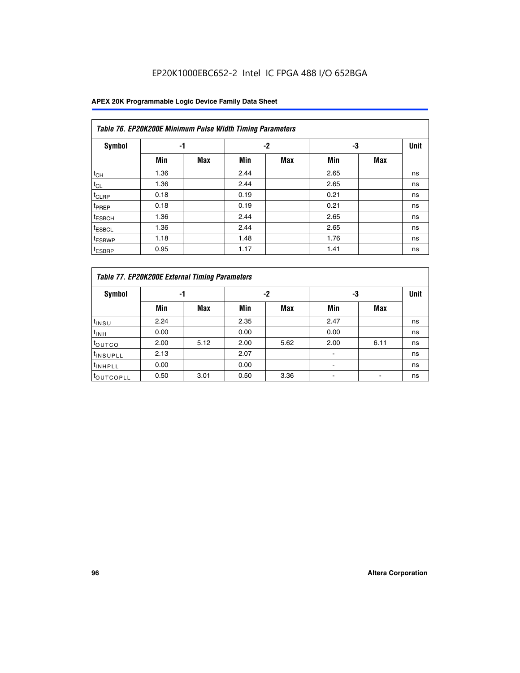## EP20K1000EBC652-2 Intel IC FPGA 488 I/O 652BGA

|                    | Table 76. EP20K200E Minimum Pulse Width Timing Parameters |            |      |            |      |            |             |  |  |  |  |  |
|--------------------|-----------------------------------------------------------|------------|------|------------|------|------------|-------------|--|--|--|--|--|
| <b>Symbol</b>      | -1                                                        |            |      | $-2$       | -3   |            | <b>Unit</b> |  |  |  |  |  |
|                    | Min                                                       | <b>Max</b> | Min  | <b>Max</b> | Min  | <b>Max</b> |             |  |  |  |  |  |
| $t_{CH}$           | 1.36                                                      |            | 2.44 |            | 2.65 |            | ns          |  |  |  |  |  |
| $t_{CL}$           | 1.36                                                      |            | 2.44 |            | 2.65 |            | ns          |  |  |  |  |  |
| $t_{CLRP}$         | 0.18                                                      |            | 0.19 |            | 0.21 |            | ns          |  |  |  |  |  |
| t <sub>PREP</sub>  | 0.18                                                      |            | 0.19 |            | 0.21 |            | ns          |  |  |  |  |  |
| <sup>t</sup> ESBCH | 1.36                                                      |            | 2.44 |            | 2.65 |            | ns          |  |  |  |  |  |
| <sup>t</sup> ESBCL | 1.36                                                      |            | 2.44 |            | 2.65 |            | ns          |  |  |  |  |  |
| t <sub>ESBWP</sub> | 1.18                                                      |            | 1.48 |            | 1.76 |            | ns          |  |  |  |  |  |
| <sup>t</sup> ESBRP | 0.95                                                      |            | 1.17 |            | 1.41 |            | ns          |  |  |  |  |  |

|                       | Table 77. EP20K200E External Timing Parameters |            |      |            |      |      |             |  |  |  |  |  |
|-----------------------|------------------------------------------------|------------|------|------------|------|------|-------------|--|--|--|--|--|
| <b>Symbol</b>         |                                                | -1         |      | -2         |      | -3   | <b>Unit</b> |  |  |  |  |  |
|                       | Min                                            | <b>Max</b> | Min  | <b>Max</b> | Min  | Max  |             |  |  |  |  |  |
| t <sub>INSU</sub>     | 2.24                                           |            | 2.35 |            | 2.47 |      | ns          |  |  |  |  |  |
| $t_{\text{INH}}$      | 0.00                                           |            | 0.00 |            | 0.00 |      | ns          |  |  |  |  |  |
| toutco                | 2.00                                           | 5.12       | 2.00 | 5.62       | 2.00 | 6.11 | ns          |  |  |  |  |  |
| <sup>t</sup> INSUPLL  | 2.13                                           |            | 2.07 |            |      |      | ns          |  |  |  |  |  |
| <sup>t</sup> INHPLL   | 0.00                                           |            | 0.00 |            |      |      | ns          |  |  |  |  |  |
| <sup>I</sup> OUTCOPLL | 0.50                                           | 3.01       | 0.50 | 3.36       |      |      | ns          |  |  |  |  |  |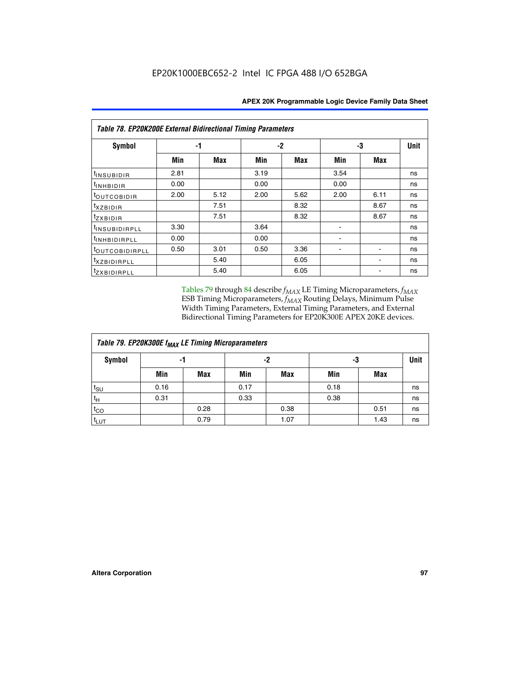| <b>Table 78. EP20K200E External Bidirectional Timing Parameters</b> |      |      |      |      |      |             |    |  |  |  |  |
|---------------------------------------------------------------------|------|------|------|------|------|-------------|----|--|--|--|--|
| Symbol                                                              |      | -1   |      | -2   | -3   | <b>Unit</b> |    |  |  |  |  |
|                                                                     | Min  | Max  | Min  | Max  | Min  | Max         |    |  |  |  |  |
| t <sub>INSUBIDIR</sub>                                              | 2.81 |      | 3.19 |      | 3.54 |             | ns |  |  |  |  |
| t <sub>INHBIDIR</sub>                                               | 0.00 |      | 0.00 |      | 0.00 |             | ns |  |  |  |  |
| toutcobidir                                                         | 2.00 | 5.12 | 2.00 | 5.62 | 2.00 | 6.11        | ns |  |  |  |  |
| <i>txzbidir</i>                                                     |      | 7.51 |      | 8.32 |      | 8.67        | ns |  |  |  |  |
| tzxbidir                                                            |      | 7.51 |      | 8.32 |      | 8.67        | ns |  |  |  |  |
| t <sub>INSUBIDIRPLL</sub>                                           | 3.30 |      | 3.64 |      |      |             | ns |  |  |  |  |
| tINHBIDIRPLL                                                        | 0.00 |      | 0.00 |      |      |             | ns |  |  |  |  |
| toutco <u>bidirpll</u>                                              | 0.50 | 3.01 | 0.50 | 3.36 |      |             | ns |  |  |  |  |
| <i>txzBIDIRPLL</i>                                                  |      | 5.40 |      | 6.05 |      |             | ns |  |  |  |  |
| tzxbidirpll                                                         |      | 5.40 |      | 6.05 |      |             | ns |  |  |  |  |

Tables 79 through 84 describe  $f_{MAX}$  LE Timing Microparameters,  $f_{MAX}$ ESB Timing Microparameters, *f<sub>MAX</sub>* Routing Delays, Minimum Pulse Width Timing Parameters, External Timing Parameters, and External Bidirectional Timing Parameters for EP20K300E APEX 20KE devices.

| Table 79. EP20K300E f <sub>MAX</sub> LE Timing Microparameters |      |            |      |            |      |            |    |  |  |  |
|----------------------------------------------------------------|------|------------|------|------------|------|------------|----|--|--|--|
| <b>Symbol</b>                                                  |      | -1         |      | -2         |      | -3         |    |  |  |  |
|                                                                | Min  | <b>Max</b> | Min  | <b>Max</b> | Min  | <b>Max</b> |    |  |  |  |
| $t_{\text{SU}}$                                                | 0.16 |            | 0.17 |            | 0.18 |            | ns |  |  |  |
| $t_H$                                                          | 0.31 |            | 0.33 |            | 0.38 |            | ns |  |  |  |
| $t_{CO}$                                                       |      | 0.28       |      | 0.38       |      | 0.51       | ns |  |  |  |
| t <sub>LUT</sub>                                               |      | 0.79       |      | 1.07       |      | 1.43       | ns |  |  |  |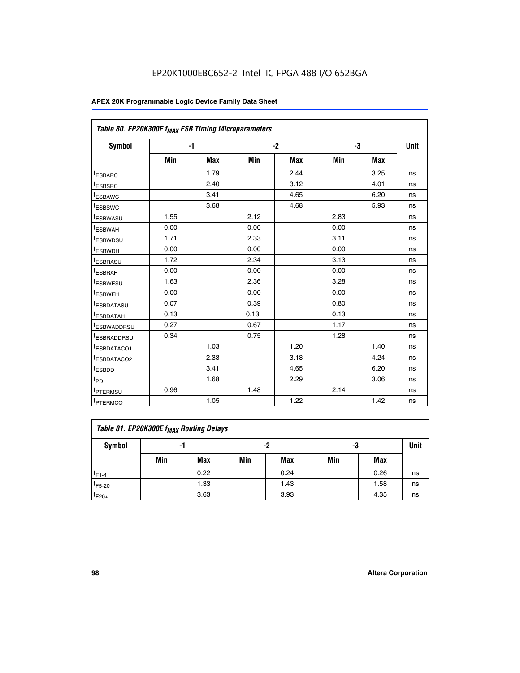| Table 80. EP20K300E f <sub>MAX</sub> ESB Timing Microparameters |      |      |      |      |      |            |             |
|-----------------------------------------------------------------|------|------|------|------|------|------------|-------------|
| <b>Symbol</b>                                                   |      | $-1$ |      | $-2$ |      | -3         | <b>Unit</b> |
|                                                                 | Min  | Max  | Min  | Max  | Min  | <b>Max</b> |             |
| t <sub>ESBARC</sub>                                             |      | 1.79 |      | 2.44 |      | 3.25       | ns          |
| t <sub>ESBSRC</sub>                                             |      | 2.40 |      | 3.12 |      | 4.01       | ns          |
| <sup>t</sup> ESBAWC                                             |      | 3.41 |      | 4.65 |      | 6.20       | ns          |
| t <sub>ESBSWC</sub>                                             |      | 3.68 |      | 4.68 |      | 5.93       | ns          |
| <sup>t</sup> ESBWASU                                            | 1.55 |      | 2.12 |      | 2.83 |            | ns          |
| <sup>t</sup> ESBWAH                                             | 0.00 |      | 0.00 |      | 0.00 |            | ns          |
| <sup>t</sup> ESBWDSU                                            | 1.71 |      | 2.33 |      | 3.11 |            | ns          |
| <sup>t</sup> ESBWDH                                             | 0.00 |      | 0.00 |      | 0.00 |            | ns          |
| <sup>t</sup> ESBRASU                                            | 1.72 |      | 2.34 |      | 3.13 |            | ns          |
| t <sub>ESBRAH</sub>                                             | 0.00 |      | 0.00 |      | 0.00 |            | ns          |
| <sup>t</sup> ESBWESU                                            | 1.63 |      | 2.36 |      | 3.28 |            | ns          |
| <sup>t</sup> ESBWEH                                             | 0.00 |      | 0.00 |      | 0.00 |            | ns          |
| t <sub>ESBDATASU</sub>                                          | 0.07 |      | 0.39 |      | 0.80 |            | ns          |
| <sup>t</sup> ESBDATAH                                           | 0.13 |      | 0.13 |      | 0.13 |            | ns          |
| <sup>t</sup> ESBWADDRSU                                         | 0.27 |      | 0.67 |      | 1.17 |            | ns          |
| <sup>t</sup> ESBRADDRSU                                         | 0.34 |      | 0.75 |      | 1.28 |            | ns          |
| <sup>I</sup> ESBDATACO1                                         |      | 1.03 |      | 1.20 |      | 1.40       | ns          |
| <sup>t</sup> ESBDATACO2                                         |      | 2.33 |      | 3.18 |      | 4.24       | ns          |
| <sup>t</sup> ESBDD                                              |      | 3.41 |      | 4.65 |      | 6.20       | ns          |
| t <sub>PD</sub>                                                 |      | 1.68 |      | 2.29 |      | 3.06       | ns          |
| <sup>t</sup> PTERMSU                                            | 0.96 |      | 1.48 |      | 2.14 |            | ns          |
| t <sub>PTERMCO</sub>                                            |      | 1.05 |      | 1.22 |      | 1.42       | ns          |

| Table 81. EP20K300E f <sub>MAX</sub> Routing Delays |     |      |     |            |     |      |    |  |  |  |
|-----------------------------------------------------|-----|------|-----|------------|-----|------|----|--|--|--|
| Symbol                                              | -1  |      |     | -2         |     | -3   |    |  |  |  |
|                                                     | Min | Max  | Min | <b>Max</b> | Min | Max  |    |  |  |  |
| $t_{F1-4}$                                          |     | 0.22 |     | 0.24       |     | 0.26 | ns |  |  |  |
| $t_{F5-20}$                                         |     | 1.33 |     | 1.43       |     | 1.58 | ns |  |  |  |
| $t_{F20+}$                                          |     | 3.63 |     | 3.93       |     | 4.35 | ns |  |  |  |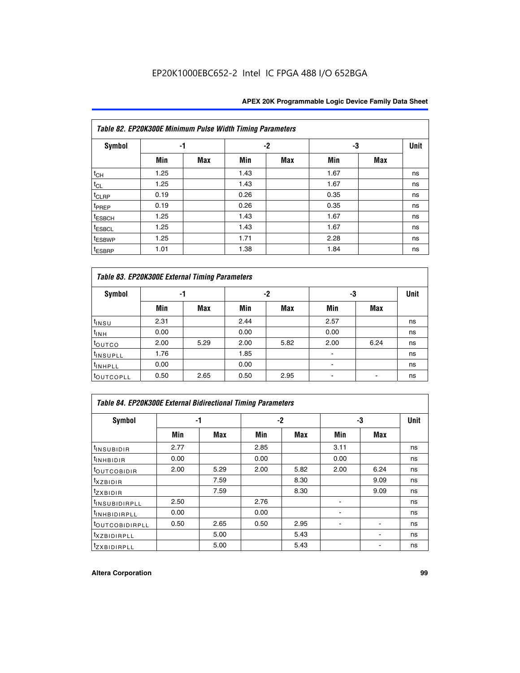|                    | Table 82. EP20K300E Minimum Pulse Width Timing Parameters |            |      |     |      |     |             |  |  |  |  |  |
|--------------------|-----------------------------------------------------------|------------|------|-----|------|-----|-------------|--|--|--|--|--|
| <b>Symbol</b>      | -1                                                        |            |      | -2  | -3   |     | <b>Unit</b> |  |  |  |  |  |
|                    | Min                                                       | <b>Max</b> | Min  | Max | Min  | Max |             |  |  |  |  |  |
| $t_{CH}$           | 1.25                                                      |            | 1.43 |     | 1.67 |     | ns          |  |  |  |  |  |
| $t_{CL}$           | 1.25                                                      |            | 1.43 |     | 1.67 |     | ns          |  |  |  |  |  |
| $t_{CLRP}$         | 0.19                                                      |            | 0.26 |     | 0.35 |     | ns          |  |  |  |  |  |
| t <sub>PREP</sub>  | 0.19                                                      |            | 0.26 |     | 0.35 |     | ns          |  |  |  |  |  |
| <sup>t</sup> ESBCH | 1.25                                                      |            | 1.43 |     | 1.67 |     | ns          |  |  |  |  |  |
| <sup>t</sup> ESBCL | 1.25                                                      |            | 1.43 |     | 1.67 |     | ns          |  |  |  |  |  |
| <sup>t</sup> ESBWP | 1.25                                                      |            | 1.71 |     | 2.28 |     | ns          |  |  |  |  |  |
| <sup>t</sup> ESBRP | 1.01                                                      |            | 1.38 |     | 1.84 |     | ns          |  |  |  |  |  |

|                       | Table 83. EP20K300E External Timing Parameters |      |      |      |      |            |             |  |  |  |  |  |  |
|-----------------------|------------------------------------------------|------|------|------|------|------------|-------------|--|--|--|--|--|--|
| Symbol                |                                                | -1   |      | -2   |      | -3         | <b>Unit</b> |  |  |  |  |  |  |
|                       | Min                                            | Max  | Min  | Max  | Min  | <b>Max</b> |             |  |  |  |  |  |  |
| t <sub>INSU</sub>     | 2.31                                           |      | 2.44 |      | 2.57 |            | ns          |  |  |  |  |  |  |
| $t_{INH}$             | 0.00                                           |      | 0.00 |      | 0.00 |            | ns          |  |  |  |  |  |  |
| toutco                | 2.00                                           | 5.29 | 2.00 | 5.82 | 2.00 | 6.24       | ns          |  |  |  |  |  |  |
| <sup>t</sup> INSUPLL  | 1.76                                           |      | 1.85 |      |      |            | ns          |  |  |  |  |  |  |
| <sup>t</sup> INHPLL   | 0.00                                           |      | 0.00 |      | -    |            | ns          |  |  |  |  |  |  |
| <sup>t</sup> OUTCOPLL | 0.50                                           | 2.65 | 0.50 | 2.95 |      |            | ns          |  |  |  |  |  |  |

| Table 84. EP20K300E External Bidirectional Timing Parameters |      |      |      |      |      |             |    |  |  |  |  |
|--------------------------------------------------------------|------|------|------|------|------|-------------|----|--|--|--|--|
| Symbol                                                       | -1   |      | -2   |      | -3   | <b>Unit</b> |    |  |  |  |  |
|                                                              | Min  | Max  | Min  | Max  | Min  | Max         |    |  |  |  |  |
| <sup>t</sup> INSUBIDIR                                       | 2.77 |      | 2.85 |      | 3.11 |             | ns |  |  |  |  |
| <b>TINHBIDIR</b>                                             | 0.00 |      | 0.00 |      | 0.00 |             | ns |  |  |  |  |
| <sup>t</sup> OUTCOBIDIR                                      | 2.00 | 5.29 | 2.00 | 5.82 | 2.00 | 6.24        | ns |  |  |  |  |
| KZBIDIR                                                      |      | 7.59 |      | 8.30 |      | 9.09        | ns |  |  |  |  |
| $t_{Z}$ <i>x</i> BIDIR                                       |      | 7.59 |      | 8.30 |      | 9.09        | ns |  |  |  |  |
| <sup>I</sup> INSUBIDIRPLL                                    | 2.50 |      | 2.76 |      |      |             | ns |  |  |  |  |
| <sup>t</sup> INHBIDIRPLL                                     | 0.00 |      | 0.00 |      |      |             | ns |  |  |  |  |
| <b><i>LOUTCOBIDIRPLL</i></b>                                 | 0.50 | 2.65 | 0.50 | 2.95 |      |             | ns |  |  |  |  |
| <sup>T</sup> XZBIDIRPLL                                      |      | 5.00 |      | 5.43 |      |             | ns |  |  |  |  |
| <sup>t</sup> ZXBIDIRPLL                                      |      | 5.00 |      | 5.43 |      |             | ns |  |  |  |  |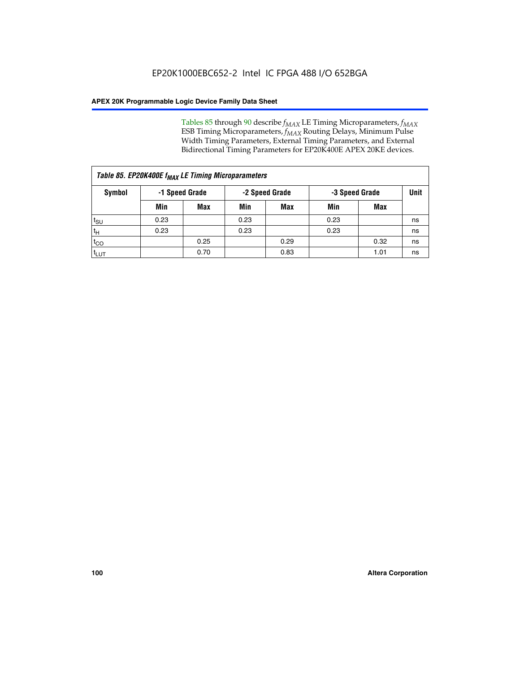Tables 85 through 90 describe  $f_{MAX}$  LE Timing Microparameters,  $f_{MAX}$ ESB Timing Microparameters, *f<sub>MAX</sub>* Routing Delays, Minimum Pulse Width Timing Parameters, External Timing Parameters, and External Bidirectional Timing Parameters for EP20K400E APEX 20KE devices.

|                    | Table 85. EP20K400E f <sub>MAX</sub> LE Timing Microparameters |            |                |            |                |      |      |  |  |  |  |
|--------------------|----------------------------------------------------------------|------------|----------------|------------|----------------|------|------|--|--|--|--|
| Symbol             | -1 Speed Grade                                                 |            | -2 Speed Grade |            | -3 Speed Grade |      | Unit |  |  |  |  |
|                    | Min                                                            | <b>Max</b> | Min            | <b>Max</b> | Min            | Max  |      |  |  |  |  |
| $t_{\text{SU}}$    | 0.23                                                           |            | 0.23           |            | 0.23           |      | ns   |  |  |  |  |
| $t_H$              | 0.23                                                           |            | 0.23           |            | 0.23           |      | ns   |  |  |  |  |
| $t_{CO}$           |                                                                | 0.25       |                | 0.29       |                | 0.32 | ns   |  |  |  |  |
| ι <sup>t</sup> ιυτ |                                                                | 0.70       |                | 0.83       |                | 1.01 | ns   |  |  |  |  |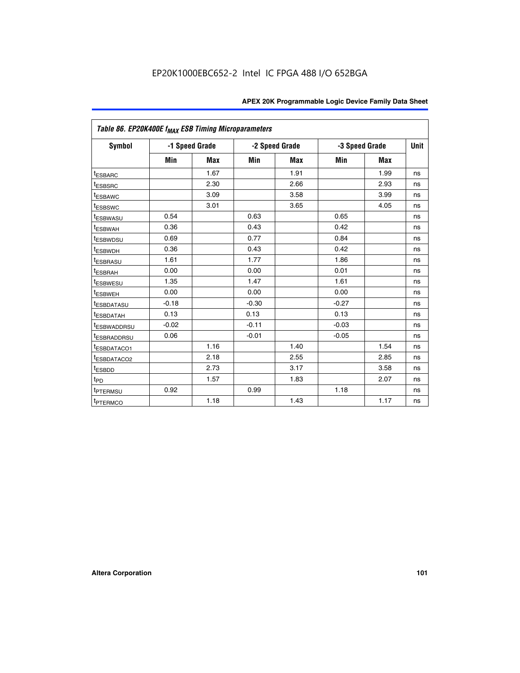|                         | Table 86. EP20K400E f <sub>MAX</sub> ESB Timing Microparameters |                |         |                |                |            |             |  |  |  |  |
|-------------------------|-----------------------------------------------------------------|----------------|---------|----------------|----------------|------------|-------------|--|--|--|--|
| <b>Symbol</b>           |                                                                 | -1 Speed Grade |         | -2 Speed Grade | -3 Speed Grade |            | <b>Unit</b> |  |  |  |  |
|                         | Min                                                             | <b>Max</b>     | Min     | Max            | Min            | <b>Max</b> |             |  |  |  |  |
| <b>tESBARC</b>          |                                                                 | 1.67           |         | 1.91           |                | 1.99       | ns          |  |  |  |  |
| <sup>t</sup> ESBSRC     |                                                                 | 2.30           |         | 2.66           |                | 2.93       | ns          |  |  |  |  |
| <sup>t</sup> ESBAWC     |                                                                 | 3.09           |         | 3.58           |                | 3.99       | ns          |  |  |  |  |
| <sup>t</sup> ESBSWC     |                                                                 | 3.01           |         | 3.65           |                | 4.05       | ns          |  |  |  |  |
| <sup>t</sup> ESBWASU    | 0.54                                                            |                | 0.63    |                | 0.65           |            | ns          |  |  |  |  |
| t <sub>ESBWAH</sub>     | 0.36                                                            |                | 0.43    |                | 0.42           |            | ns          |  |  |  |  |
| <sup>t</sup> ESBWDSU    | 0.69                                                            |                | 0.77    |                | 0.84           |            | ns          |  |  |  |  |
| <sup>I</sup> ESBWDH     | 0.36                                                            |                | 0.43    |                | 0.42           |            | ns          |  |  |  |  |
| t <sub>ESBRASU</sub>    | 1.61                                                            |                | 1.77    |                | 1.86           |            | ns          |  |  |  |  |
| t <sub>ESBRAH</sub>     | 0.00                                                            |                | 0.00    |                | 0.01           |            | ns          |  |  |  |  |
| <sup>t</sup> ESBWESU    | 1.35                                                            |                | 1.47    |                | 1.61           |            | ns          |  |  |  |  |
| t <sub>ESBWEH</sub>     | 0.00                                                            |                | 0.00    |                | 0.00           |            | ns          |  |  |  |  |
| <sup>I</sup> ESBDATASU  | $-0.18$                                                         |                | $-0.30$ |                | $-0.27$        |            | ns          |  |  |  |  |
| <b>ESBDATAH</b>         | 0.13                                                            |                | 0.13    |                | 0.13           |            | ns          |  |  |  |  |
| <sup>T</sup> ESBWADDRSU | $-0.02$                                                         |                | $-0.11$ |                | $-0.03$        |            | ns          |  |  |  |  |
| <sup>T</sup> ESBRADDRSU | 0.06                                                            |                | $-0.01$ |                | $-0.05$        |            | ns          |  |  |  |  |
| <sup>t</sup> ESBDATACO1 |                                                                 | 1.16           |         | 1.40           |                | 1.54       | ns          |  |  |  |  |
| <sup>t</sup> ESBDATACO2 |                                                                 | 2.18           |         | 2.55           |                | 2.85       | ns          |  |  |  |  |
| <sup>t</sup> ESBDD      |                                                                 | 2.73           |         | 3.17           |                | 3.58       | ns          |  |  |  |  |
| $t_{P\underline{D}}$    |                                                                 | 1.57           |         | 1.83           |                | 2.07       | ns          |  |  |  |  |
| t <sub>PTERMSU</sub>    | 0.92                                                            |                | 0.99    |                | 1.18           |            | ns          |  |  |  |  |
| <sup>t</sup> PTERMCO    |                                                                 | 1.18           |         | 1.43           |                | 1.17       | ns          |  |  |  |  |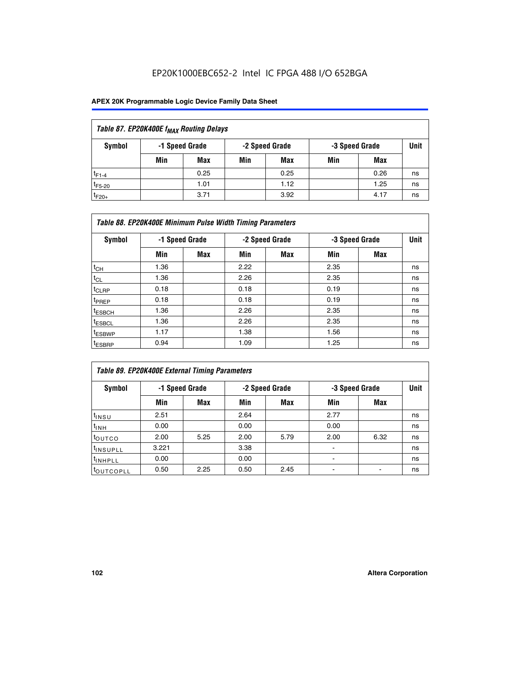## EP20K1000EBC652-2 Intel IC FPGA 488 I/O 652BGA

| Table 87. EP20K400E f <sub>MAX</sub> Routing Delays          |     |            |     |      |     |             |    |  |  |  |
|--------------------------------------------------------------|-----|------------|-----|------|-----|-------------|----|--|--|--|
| Symbol<br>-2 Speed Grade<br>-1 Speed Grade<br>-3 Speed Grade |     |            |     |      |     | <b>Unit</b> |    |  |  |  |
|                                                              | Min | <b>Max</b> | Min | Max  | Min | Max         |    |  |  |  |
| $t_{F1-4}$                                                   |     | 0.25       |     | 0.25 |     | 0.26        | ns |  |  |  |
| $t_{F5-20}$                                                  |     | 1.01       |     | 1.12 |     | 1.25        | ns |  |  |  |
| $t_{F20+}$                                                   |     | 3.71       |     | 3.92 |     | 4.17        | ns |  |  |  |

|                    | Table 88. EP20K400E Minimum Pulse Width Timing Parameters |                |      |                |      |                |             |  |  |  |  |
|--------------------|-----------------------------------------------------------|----------------|------|----------------|------|----------------|-------------|--|--|--|--|
| Symbol             |                                                           | -1 Speed Grade |      | -2 Speed Grade |      | -3 Speed Grade | <b>Unit</b> |  |  |  |  |
|                    | Min                                                       | <b>Max</b>     | Min  | <b>Max</b>     | Min  | Max            |             |  |  |  |  |
| $t_{CH}$           | 1.36                                                      |                | 2.22 |                | 2.35 |                | ns          |  |  |  |  |
| $t_{\rm CL}$       | 1.36                                                      |                | 2.26 |                | 2.35 |                | ns          |  |  |  |  |
| $t_{CLRP}$         | 0.18                                                      |                | 0.18 |                | 0.19 |                | ns          |  |  |  |  |
| <sup>t</sup> PREP  | 0.18                                                      |                | 0.18 |                | 0.19 |                | ns          |  |  |  |  |
| <sup>t</sup> ESBCH | 1.36                                                      |                | 2.26 |                | 2.35 |                | ns          |  |  |  |  |
| <sup>t</sup> ESBCL | 1.36                                                      |                | 2.26 |                | 2.35 |                | ns          |  |  |  |  |
| <sup>t</sup> ESBWP | 1.17                                                      |                | 1.38 |                | 1.56 |                | ns          |  |  |  |  |
| <sup>t</sup> ESBRP | 0.94                                                      |                | 1.09 |                | 1.25 |                | ns          |  |  |  |  |

| Table 89. EP20K400E External Timing Parameters |       |                |      |                |                          |                               |    |  |  |
|------------------------------------------------|-------|----------------|------|----------------|--------------------------|-------------------------------|----|--|--|
| Symbol                                         |       | -1 Speed Grade |      | -2 Speed Grade |                          | <b>Unit</b><br>-3 Speed Grade |    |  |  |
|                                                | Min   | Max            | Min  | <b>Max</b>     | Min                      | Max                           |    |  |  |
| $t_{INSU}$                                     | 2.51  |                | 2.64 |                | 2.77                     |                               | ns |  |  |
| $t_{INH}$                                      | 0.00  |                | 0.00 |                | 0.00                     |                               | ns |  |  |
| toutco                                         | 2.00  | 5.25           | 2.00 | 5.79           | 2.00                     | 6.32                          | ns |  |  |
| <sup>t</sup> INSUPLL                           | 3.221 |                | 3.38 |                | ٠                        |                               | ns |  |  |
| I <sup>t</sup> INHPLL                          | 0.00  |                | 0.00 |                | $\overline{\phantom{0}}$ |                               | ns |  |  |
| toutcopll                                      | 0.50  | 2.25           | 0.50 | 2.45           |                          |                               | ns |  |  |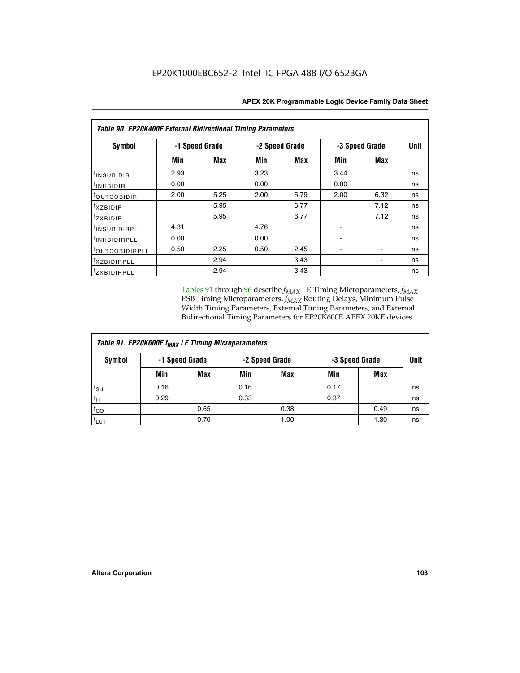| <b>Table 90. EP20K400E External Bidirectional Timing Parameters</b> |                |      |                |            |      |                |      |  |  |  |
|---------------------------------------------------------------------|----------------|------|----------------|------------|------|----------------|------|--|--|--|
| Symbol                                                              | -1 Speed Grade |      | -2 Speed Grade |            |      | -3 Speed Grade | Unit |  |  |  |
|                                                                     | Min            | Max  | Min            | <b>Max</b> | Min  | Max            |      |  |  |  |
| t <sub>INSUBIDIR</sub>                                              | 2.93           |      | 3.23           |            | 3.44 |                | ns   |  |  |  |
| t <sub>INHBIDIR</sub>                                               | 0.00           |      | 0.00           |            | 0.00 |                | ns   |  |  |  |
| t <sub>outcobidir</sub>                                             | 2.00           | 5.25 | 2.00           | 5.79       | 2.00 | 6.32           | ns   |  |  |  |
| <i>txzbidir</i>                                                     |                | 5.95 |                | 6.77       |      | 7.12           | ns   |  |  |  |
| tzxbidir                                                            |                | 5.95 |                | 6.77       |      | 7.12           | ns   |  |  |  |
| t <sub>INSUBIDIRPLL</sub>                                           | 4.31           |      | 4.76           |            |      |                | ns   |  |  |  |
| <sup>t</sup> INHBIDIRPLL                                            | 0.00           |      | 0.00           |            |      |                | ns   |  |  |  |
| tout COBIDIRPLL                                                     | 0.50           | 2.25 | 0.50           | 2.45       |      |                | ns   |  |  |  |
| <i>txzBIDIRPLL</i>                                                  |                | 2.94 |                | 3.43       |      |                | ns   |  |  |  |
| tzxBIDIRPLL                                                         |                | 2.94 |                | 3.43       |      |                | ns   |  |  |  |

Tables 91 through 96 describe  $f_{MAX}$  LE Timing Microparameters,  $f_{MAX}$ ESB Timing Microparameters, *f<sub>MAX</sub>* Routing Delays, Minimum Pulse Width Timing Parameters, External Timing Parameters, and External Bidirectional Timing Parameters for EP20K600E APEX 20KE devices.

| Table 91. EP20K600E f <sub>MAX</sub> LE Timing Microparameters |                                                    |            |      |            |      |      |    |  |  |
|----------------------------------------------------------------|----------------------------------------------------|------------|------|------------|------|------|----|--|--|
| Symbol                                                         | -2 Speed Grade<br>-1 Speed Grade<br>-3 Speed Grade |            |      | Unit       |      |      |    |  |  |
|                                                                | Min                                                | <b>Max</b> | Min  | <b>Max</b> | Min  | Max  |    |  |  |
| t <sub>SU</sub>                                                | 0.16                                               |            | 0.16 |            | 0.17 |      | ns |  |  |
| $t_H$                                                          | 0.29                                               |            | 0.33 |            | 0.37 |      | ns |  |  |
| $t_{CO}$                                                       |                                                    | 0.65       |      | 0.38       |      | 0.49 | ns |  |  |
| t <sub>LUT</sub>                                               |                                                    | 0.70       |      | 1.00       |      | 1.30 | ns |  |  |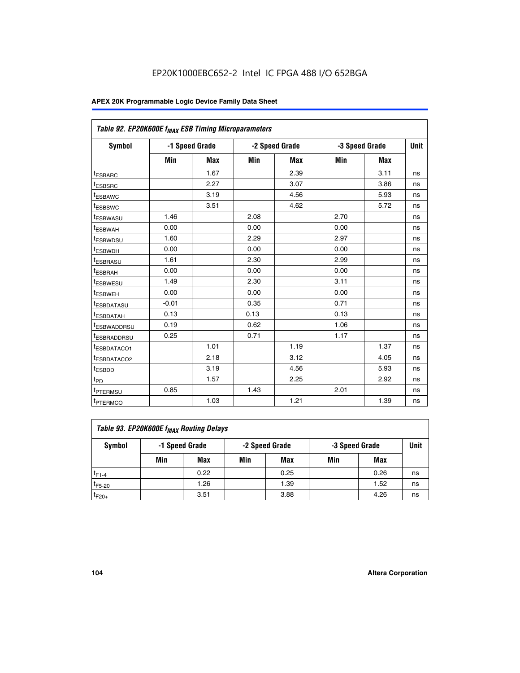| Table 92. EP20K600E f <sub>MAX</sub> ESB Timing Microparameters |                |            |      |                |      |                |             |
|-----------------------------------------------------------------|----------------|------------|------|----------------|------|----------------|-------------|
| <b>Symbol</b>                                                   | -1 Speed Grade |            |      | -2 Speed Grade |      | -3 Speed Grade | <b>Unit</b> |
|                                                                 | Min            | <b>Max</b> | Min  | <b>Max</b>     | Min  | <b>Max</b>     |             |
| t <sub>ESBARC</sub>                                             |                | 1.67       |      | 2.39           |      | 3.11           | ns          |
| t <sub>ESBSRC</sub>                                             |                | 2.27       |      | 3.07           |      | 3.86           | ns          |
| <sup>t</sup> ESBAWC                                             |                | 3.19       |      | 4.56           |      | 5.93           | ns          |
| t <sub>ESBSWC</sub>                                             |                | 3.51       |      | 4.62           |      | 5.72           | ns          |
| <sup>t</sup> ESBWASU                                            | 1.46           |            | 2.08 |                | 2.70 |                | ns          |
| t <sub>ESBWAH</sub>                                             | 0.00           |            | 0.00 |                | 0.00 |                | ns          |
| t <sub>ESBWDSU</sub>                                            | 1.60           |            | 2.29 |                | 2.97 |                | ns          |
| <sup>t</sup> ESBWDH                                             | 0.00           |            | 0.00 |                | 0.00 |                | ns          |
| <sup>t</sup> ESBRASU                                            | 1.61           |            | 2.30 |                | 2.99 |                | ns          |
| t <sub>ESBRAH</sub>                                             | 0.00           |            | 0.00 |                | 0.00 |                | ns          |
| t <sub>ESBWESU</sub>                                            | 1.49           |            | 2.30 |                | 3.11 |                | ns          |
| <sup>t</sup> ESBWEH                                             | 0.00           |            | 0.00 |                | 0.00 |                | ns          |
| <sup>t</sup> ESBDATASU                                          | $-0.01$        |            | 0.35 |                | 0.71 |                | ns          |
| <sup>t</sup> ESBDATAH                                           | 0.13           |            | 0.13 |                | 0.13 |                | ns          |
| <sup>t</sup> ESBWADDRSU                                         | 0.19           |            | 0.62 |                | 1.06 |                | ns          |
| <sup>t</sup> ESBRADDRSU                                         | 0.25           |            | 0.71 |                | 1.17 |                | ns          |
| <sup>I</sup> ESBDATACO1                                         |                | 1.01       |      | 1.19           |      | 1.37           | ns          |
| <sup>t</sup> ESBDATACO2                                         |                | 2.18       |      | 3.12           |      | 4.05           | ns          |
| <sup>t</sup> ESBDD                                              |                | 3.19       |      | 4.56           |      | 5.93           | ns          |
| t <sub>PD</sub>                                                 |                | 1.57       |      | 2.25           |      | 2.92           | ns          |
| <b>TPTERMSU</b>                                                 | 0.85           |            | 1.43 |                | 2.01 |                | ns          |
| t <sub>PTERMCO</sub>                                            |                | 1.03       |      | 1.21           |      | 1.39           | ns          |

| Table 93. EP20K600E f <sub>MAX</sub> Routing Delays |                                                    |      |     |      |      |      |    |  |  |
|-----------------------------------------------------|----------------------------------------------------|------|-----|------|------|------|----|--|--|
| Symbol                                              | -1 Speed Grade<br>-2 Speed Grade<br>-3 Speed Grade |      |     |      | Unit |      |    |  |  |
|                                                     | Min                                                | Max  | Min | Max  | Min  | Max  |    |  |  |
| $t_{F1-4}$                                          |                                                    | 0.22 |     | 0.25 |      | 0.26 | ns |  |  |
| $t_{F5-20}$                                         |                                                    | 1.26 |     | 1.39 |      | 1.52 | ns |  |  |
| $t_{F20+}$                                          |                                                    | 3.51 |     | 3.88 |      | 4.26 | ns |  |  |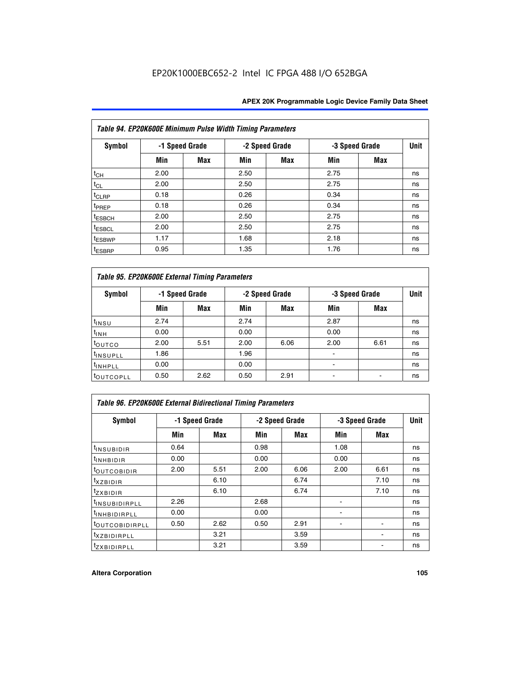|                    | Table 94. EP20K600E Minimum Pulse Width Timing Parameters |                |      |                |                |            |             |
|--------------------|-----------------------------------------------------------|----------------|------|----------------|----------------|------------|-------------|
| <b>Symbol</b>      |                                                           | -1 Speed Grade |      | -2 Speed Grade | -3 Speed Grade |            | <b>Unit</b> |
|                    | Min                                                       | Max            | Min  | Max            | Min            | <b>Max</b> |             |
| $t_{CH}$           | 2.00                                                      |                | 2.50 |                | 2.75           |            | ns          |
| $t_{CL}$           | 2.00                                                      |                | 2.50 |                | 2.75           |            | ns          |
| $t_{CLRP}$         | 0.18                                                      |                | 0.26 |                | 0.34           |            | ns          |
| t <sub>PREP</sub>  | 0.18                                                      |                | 0.26 |                | 0.34           |            | ns          |
| <sup>t</sup> ESBCH | 2.00                                                      |                | 2.50 |                | 2.75           |            | ns          |
| <sup>t</sup> ESBCL | 2.00                                                      |                | 2.50 |                | 2.75           |            | ns          |
| <sup>t</sup> ESBWP | 1.17                                                      |                | 1.68 |                | 2.18           |            | ns          |
| <sup>t</sup> ESBRP | 0.95                                                      |                | 1.35 |                | 1.76           |            | ns          |

| Table 95. EP20K600E External Timing Parameters |                |      |      |                |                          |                               |    |  |  |
|------------------------------------------------|----------------|------|------|----------------|--------------------------|-------------------------------|----|--|--|
| Symbol                                         | -1 Speed Grade |      |      | -2 Speed Grade |                          | <b>Unit</b><br>-3 Speed Grade |    |  |  |
|                                                | Min            | Max  | Min  | Max            | Min                      | Max                           |    |  |  |
| t <sub>insu</sub>                              | 2.74           |      | 2.74 |                | 2.87                     |                               | ns |  |  |
| $t_{INH}$                                      | 0.00           |      | 0.00 |                | 0.00                     |                               | ns |  |  |
| toutco                                         | 2.00           | 5.51 | 2.00 | 6.06           | 2.00                     | 6.61                          | ns |  |  |
| <sup>t</sup> INSUPLL                           | 1.86           |      | 1.96 |                |                          |                               | ns |  |  |
| <sup>t</sup> INHPLL                            | 0.00           |      | 0.00 |                | $\overline{\phantom{a}}$ |                               | ns |  |  |
| <b>LOUTCOPLL</b>                               | 0.50           | 2.62 | 0.50 | 2.91           |                          |                               | ns |  |  |

|                              | Table 96. EP20K600E External Bidirectional Timing Parameters |      |      |                |      |                |             |  |  |  |
|------------------------------|--------------------------------------------------------------|------|------|----------------|------|----------------|-------------|--|--|--|
| Symbol                       | -1 Speed Grade                                               |      |      | -2 Speed Grade |      | -3 Speed Grade | <b>Unit</b> |  |  |  |
|                              | Min                                                          | Max  | Min  | Max            | Min  | Max            |             |  |  |  |
| <sup>t</sup> INSUBIDIR       | 0.64                                                         |      | 0.98 |                | 1.08 |                | ns          |  |  |  |
| <sup>t</sup> INHBIDIR        | 0.00                                                         |      | 0.00 |                | 0.00 |                | ns          |  |  |  |
| <sup>t</sup> OUTCOBIDIR      | 2.00                                                         | 5.51 | 2.00 | 6.06           | 2.00 | 6.61           | ns          |  |  |  |
| $txz$ BIDIR                  |                                                              | 6.10 |      | 6.74           |      | 7.10           | ns          |  |  |  |
| $t_{ZXBIDIR}$                |                                                              | 6.10 |      | 6.74           |      | 7.10           | ns          |  |  |  |
| <sup>t</sup> INSUBIDIRPLL    | 2.26                                                         |      | 2.68 |                |      |                | ns          |  |  |  |
| <sup>t</sup> INHBIDIRPLL     | 0.00                                                         |      | 0.00 |                |      |                | ns          |  |  |  |
| <b><i>LOUTCOBIDIRPLL</i></b> | 0.50                                                         | 2.62 | 0.50 | 2.91           |      |                | ns          |  |  |  |
| <sup>t</sup> XZBIDIRPLL      |                                                              | 3.21 |      | 3.59           |      |                | ns          |  |  |  |
| <sup>t</sup> zxbidirpll      |                                                              | 3.21 |      | 3.59           |      |                | ns          |  |  |  |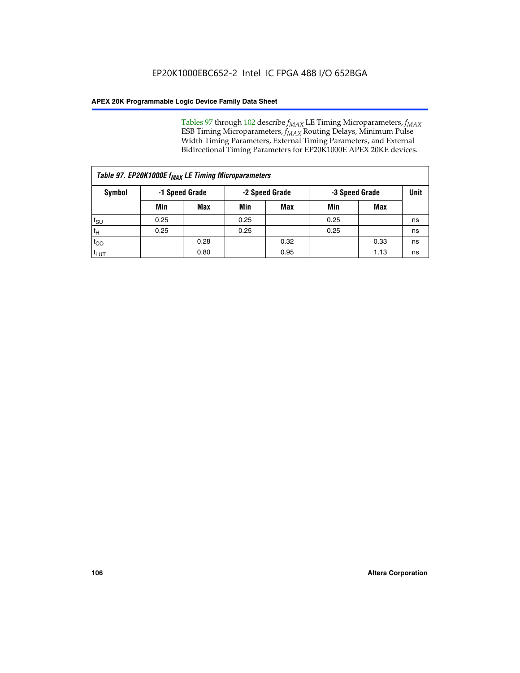Tables 97 through 102 describe  $f_{MAX}$  LE Timing Microparameters,  $f_{MAX}$ ESB Timing Microparameters, *f<sub>MAX</sub>* Routing Delays, Minimum Pulse Width Timing Parameters, External Timing Parameters, and External Bidirectional Timing Parameters for EP20K1000E APEX 20KE devices.

| Table 97. EP20K1000E f <sub>MAX</sub> LE Timing Microparameters |      |                |                                  |            |      |      |    |  |  |
|-----------------------------------------------------------------|------|----------------|----------------------------------|------------|------|------|----|--|--|
| Symbol                                                          |      | -1 Speed Grade | -2 Speed Grade<br>-3 Speed Grade |            |      | Unit |    |  |  |
|                                                                 | Min  | <b>Max</b>     | Min                              | <b>Max</b> | Min  | Max  |    |  |  |
| $t_{\text{SU}}$                                                 | 0.25 |                | 0.25                             |            | 0.25 |      | ns |  |  |
| $t_H$                                                           | 0.25 |                | 0.25                             |            | 0.25 |      | ns |  |  |
| $t_{CO}$                                                        |      | 0.28           |                                  | 0.32       |      | 0.33 | ns |  |  |
| t <sub>LUT</sub>                                                |      | 0.80           |                                  | 0.95       |      | 1.13 | ns |  |  |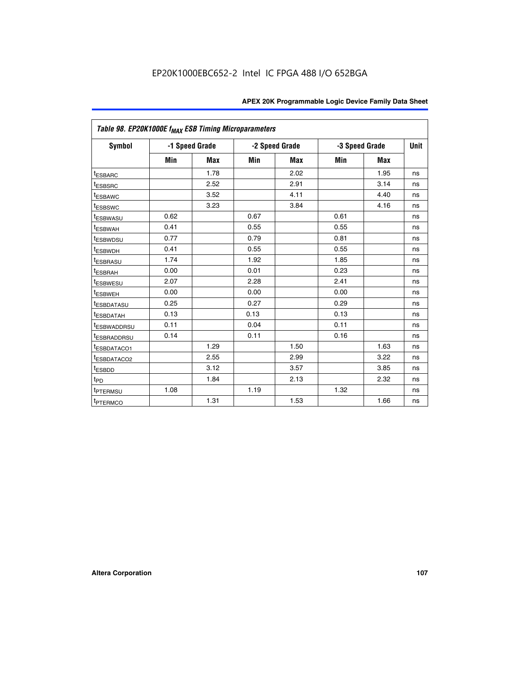| Table 98. EP20K1000E f <sub>MAX</sub> ESB Timing Microparameters |                |            |      |                |                |             |    |
|------------------------------------------------------------------|----------------|------------|------|----------------|----------------|-------------|----|
| Symbol                                                           | -1 Speed Grade |            |      | -2 Speed Grade | -3 Speed Grade | <b>Unit</b> |    |
|                                                                  | Min            | <b>Max</b> | Min  | Max            | Min            | Max         |    |
| <sup>t</sup> ESBARC                                              |                | 1.78       |      | 2.02           |                | 1.95        | ns |
| <sup>t</sup> ESBSRC                                              |                | 2.52       |      | 2.91           |                | 3.14        | ns |
| <sup>t</sup> ESBAWC                                              |                | 3.52       |      | 4.11           |                | 4.40        | ns |
| <sup>t</sup> ESBSWC                                              |                | 3.23       |      | 3.84           |                | 4.16        | ns |
| <sup>t</sup> ESBWASU                                             | 0.62           |            | 0.67 |                | 0.61           |             | ns |
| t <sub>ESBWAH</sub>                                              | 0.41           |            | 0.55 |                | 0.55           |             | ns |
| <sup>t</sup> ESBWDSU                                             | 0.77           |            | 0.79 |                | 0.81           |             | ns |
| <sup>t</sup> ESBWDH                                              | 0.41           |            | 0.55 |                | 0.55           |             | ns |
| <sup>t</sup> ESBRASU                                             | 1.74           |            | 1.92 |                | 1.85           |             | ns |
| t <sub>ESBRAH</sub>                                              | 0.00           |            | 0.01 |                | 0.23           |             | ns |
| <sup>t</sup> ESBWESU                                             | 2.07           |            | 2.28 |                | 2.41           |             | ns |
| <sup>I</sup> ESBWEH                                              | 0.00           |            | 0.00 |                | 0.00           |             | ns |
| <sup>I</sup> ESBDATASU                                           | 0.25           |            | 0.27 |                | 0.29           |             | ns |
| t <sub>esbdatah</sub>                                            | 0.13           |            | 0.13 |                | 0.13           |             | ns |
| <sup>I</sup> ESBWADDRSU                                          | 0.11           |            | 0.04 |                | 0.11           |             | ns |
| <sup>t</sup> ESBRADDRSU                                          | 0.14           |            | 0.11 |                | 0.16           |             | ns |
| <sup>t</sup> ESBDATACO1                                          |                | 1.29       |      | 1.50           |                | 1.63        | ns |
| <sup>t</sup> ESBDATACO2                                          |                | 2.55       |      | 2.99           |                | 3.22        | ns |
| <sup>t</sup> ESBDD                                               |                | 3.12       |      | 3.57           |                | 3.85        | ns |
| $t_{\mathsf{PD}}$                                                |                | 1.84       |      | 2.13           |                | 2.32        | ns |
| t <sub>PTERMSU</sub>                                             | 1.08           |            | 1.19 |                | 1.32           |             | ns |
| t <sub>PTERMCO</sub>                                             |                | 1.31       |      | 1.53           |                | 1.66        | ns |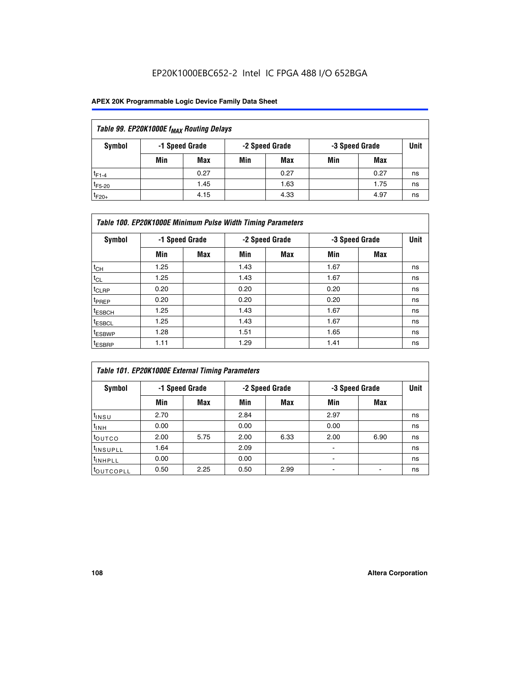## EP20K1000EBC652-2 Intel IC FPGA 488 I/O 652BGA

### **APEX 20K Programmable Logic Device Family Data Sheet**

| Table 99. EP20K1000E f <sub>MAX</sub> Routing Delays |                                                    |            |     |      |     |      |    |  |  |  |  |
|------------------------------------------------------|----------------------------------------------------|------------|-----|------|-----|------|----|--|--|--|--|
| Symbol                                               | -1 Speed Grade<br>-2 Speed Grade<br>-3 Speed Grade |            |     |      |     |      |    |  |  |  |  |
|                                                      | Min                                                | <b>Max</b> | Min | Max  | Min | Max  |    |  |  |  |  |
| $t_{F1-4}$                                           |                                                    | 0.27       |     | 0.27 |     | 0.27 | ns |  |  |  |  |
| $t_{F5-20}$                                          |                                                    | 1.45       |     | 1.63 |     | 1.75 | ns |  |  |  |  |
| $t_{F20+}$                                           |                                                    | 4.15       |     | 4.33 |     | 4.97 | ns |  |  |  |  |

| Table 100. EP20K1000E Minimum Pulse Width Timing Parameters |      |                |      |                |      |                |             |  |  |  |  |
|-------------------------------------------------------------|------|----------------|------|----------------|------|----------------|-------------|--|--|--|--|
| Symbol                                                      |      | -1 Speed Grade |      | -2 Speed Grade |      | -3 Speed Grade | <b>Unit</b> |  |  |  |  |
|                                                             | Min  | <b>Max</b>     | Min  | Max            | Min  | Max            |             |  |  |  |  |
| $t_{CH}$                                                    | 1.25 |                | 1.43 |                | 1.67 |                | ns          |  |  |  |  |
| $t_{CL}$                                                    | 1.25 |                | 1.43 |                | 1.67 |                | ns          |  |  |  |  |
| t <sub>CLRP</sub>                                           | 0.20 |                | 0.20 |                | 0.20 |                | ns          |  |  |  |  |
| <sup>t</sup> PREP                                           | 0.20 |                | 0.20 |                | 0.20 |                | ns          |  |  |  |  |
| <sup>t</sup> ESBCH                                          | 1.25 |                | 1.43 |                | 1.67 |                | ns          |  |  |  |  |
| <sup>t</sup> ESBCL                                          | 1.25 |                | 1.43 |                | 1.67 |                | ns          |  |  |  |  |
| <sup>t</sup> ESBWP                                          | 1.28 |                | 1.51 |                | 1.65 |                | ns          |  |  |  |  |
| <sup>t</sup> ESBRP                                          | 1.11 |                | 1.29 |                | 1.41 |                | ns          |  |  |  |  |

| Table 101. EP20K1000E External Timing Parameters |      |                |      |                |      |                |             |  |  |  |  |  |
|--------------------------------------------------|------|----------------|------|----------------|------|----------------|-------------|--|--|--|--|--|
| Symbol                                           |      | -1 Speed Grade |      | -2 Speed Grade |      | -3 Speed Grade | <b>Unit</b> |  |  |  |  |  |
|                                                  | Min  | <b>Max</b>     | Min  | <b>Max</b>     | Min  | Max            |             |  |  |  |  |  |
| t <sub>INSU</sub>                                | 2.70 |                | 2.84 |                | 2.97 |                | ns          |  |  |  |  |  |
| $t_{INH}$                                        | 0.00 |                | 0.00 |                | 0.00 |                | ns          |  |  |  |  |  |
| toutco                                           | 2.00 | 5.75           | 2.00 | 6.33           | 2.00 | 6.90           | ns          |  |  |  |  |  |
| tinsupll                                         | 1.64 |                | 2.09 |                |      |                | ns          |  |  |  |  |  |
| <sup>t</sup> INHPLL                              | 0.00 |                | 0.00 |                | -    |                | ns          |  |  |  |  |  |
| toutcopll                                        | 0.50 | 2.25           | 0.50 | 2.99           | -    |                | ns          |  |  |  |  |  |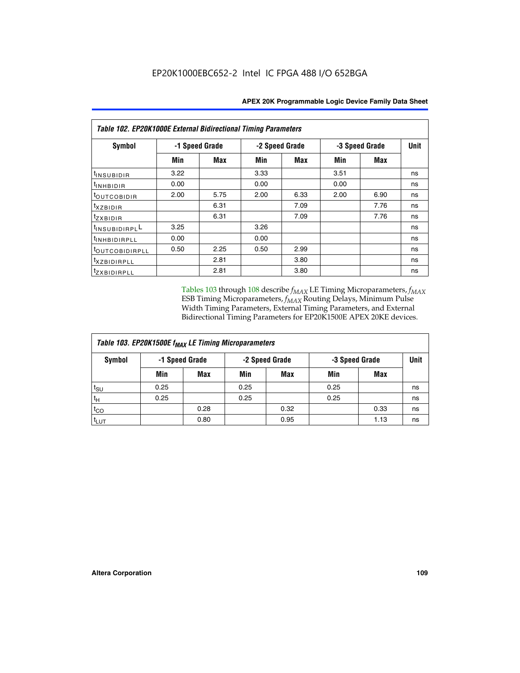| Table 102. EP20K1000E External Bidirectional Timing Parameters |                |      |                |      |                |             |    |  |  |  |
|----------------------------------------------------------------|----------------|------|----------------|------|----------------|-------------|----|--|--|--|
| Symbol                                                         | -1 Speed Grade |      | -2 Speed Grade |      | -3 Speed Grade | <b>Unit</b> |    |  |  |  |
|                                                                | Min            | Max  | Min            | Max  | Min            | Max         |    |  |  |  |
| t <sub>INSUBIDIR</sub>                                         | 3.22           |      | 3.33           |      | 3.51           |             | ns |  |  |  |
| <sup>t</sup> inhbidir                                          | 0.00           |      | 0.00           |      | 0.00           |             | ns |  |  |  |
| t <sub>outcobidir</sub>                                        | 2.00           | 5.75 | 2.00           | 6.33 | 2.00           | 6.90        | ns |  |  |  |
| <i>txzbidir</i>                                                |                | 6.31 |                | 7.09 |                | 7.76        | ns |  |  |  |
| tzxbidir                                                       |                | 6.31 |                | 7.09 |                | 7.76        | ns |  |  |  |
| t <sub>INSUBIDIRPL</sub> L                                     | 3.25           |      | 3.26           |      |                |             | ns |  |  |  |
| t <sub>INHBIDIRPLL</sub>                                       | 0.00           |      | 0.00           |      |                |             | ns |  |  |  |
| tout COBIDIRPLL                                                | 0.50           | 2.25 | 0.50           | 2.99 |                |             | ns |  |  |  |
| <i>txzBIDIRPLL</i>                                             |                | 2.81 |                | 3.80 |                |             | ns |  |  |  |
| <i>tzxBIDIRPLL</i>                                             |                | 2.81 |                | 3.80 |                |             | ns |  |  |  |

Tables 103 through 108 describe  $f_{MAX}$  LE Timing Microparameters,  $f_{MAX}$ ESB Timing Microparameters, *f<sub>MAX</sub>* Routing Delays, Minimum Pulse Width Timing Parameters, External Timing Parameters, and External Bidirectional Timing Parameters for EP20K1500E APEX 20KE devices.

| Table 103. EP20K1500E f <sub>MAX</sub> LE Timing Microparameters |      |                                  |      |            |      |                |      |  |  |  |  |
|------------------------------------------------------------------|------|----------------------------------|------|------------|------|----------------|------|--|--|--|--|
| Symbol                                                           |      | -1 Speed Grade<br>-2 Speed Grade |      |            |      | -3 Speed Grade | Unit |  |  |  |  |
|                                                                  | Min  | <b>Max</b>                       | Min  | <b>Max</b> | Min  | Max            |      |  |  |  |  |
| $t_{\text{SU}}$                                                  | 0.25 |                                  | 0.25 |            | 0.25 |                | ns   |  |  |  |  |
| $t_H$                                                            | 0.25 |                                  | 0.25 |            | 0.25 |                | ns   |  |  |  |  |
| $t_{CO}$                                                         |      | 0.28                             |      | 0.32       |      | 0.33           | ns   |  |  |  |  |
| t <sub>lut</sub>                                                 |      | 0.80                             |      | 0.95       |      | 1.13           | ns   |  |  |  |  |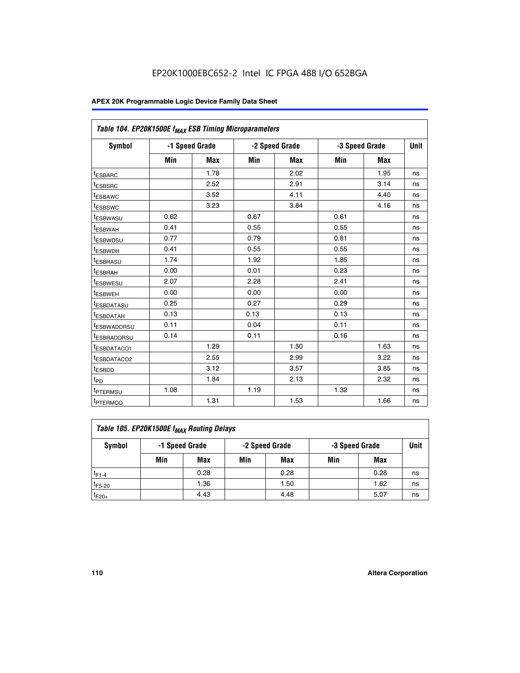|                         | Table 104. EP20K1500E f <sub>MAX</sub> ESB Timing Microparameters |            |            |                |      |                |             |  |  |  |  |  |
|-------------------------|-------------------------------------------------------------------|------------|------------|----------------|------|----------------|-------------|--|--|--|--|--|
| <b>Symbol</b>           | -1 Speed Grade                                                    |            |            | -2 Speed Grade |      | -3 Speed Grade | <b>Unit</b> |  |  |  |  |  |
|                         | Min                                                               | <b>Max</b> | <b>Min</b> | Max            | Min  | Max            |             |  |  |  |  |  |
| <sup>t</sup> ESBARC     |                                                                   | 1.78       |            | 2.02           |      | 1.95           | ns          |  |  |  |  |  |
| t <sub>ESBSRC</sub>     |                                                                   | 2.52       |            | 2.91           |      | 3.14           | ns          |  |  |  |  |  |
| <sup>t</sup> ESBAWC     |                                                                   | 3.52       |            | 4.11           |      | 4.40           | ns          |  |  |  |  |  |
| t <sub>ESBSWC</sub>     |                                                                   | 3.23       |            | 3.84           |      | 4.16           | ns          |  |  |  |  |  |
| t <sub>ESBWASU</sub>    | 0.62                                                              |            | 0.67       |                | 0.61 |                | ns          |  |  |  |  |  |
| t <sub>ESBWAH</sub>     | 0.41                                                              |            | 0.55       |                | 0.55 |                | ns          |  |  |  |  |  |
| <sup>t</sup> ESBWDSU    | 0.77                                                              |            | 0.79       |                | 0.81 |                | ns          |  |  |  |  |  |
| t <sub>ESBWDH</sub>     | 0.41                                                              |            | 0.55       |                | 0.55 |                | ns          |  |  |  |  |  |
| <sup>t</sup> ESBRASU    | 1.74                                                              |            | 1.92       |                | 1.85 |                | ns          |  |  |  |  |  |
| <sup>t</sup> ESBRAH     | 0.00                                                              |            | 0.01       |                | 0.23 |                | ns          |  |  |  |  |  |
| <sup>t</sup> ESBWESU    | 2.07                                                              |            | 2.28       |                | 2.41 |                | ns          |  |  |  |  |  |
| <sup>t</sup> ESBWEH     | 0.00                                                              |            | 0.00       |                | 0.00 |                | ns          |  |  |  |  |  |
| <sup>t</sup> ESBDATASU  | 0.25                                                              |            | 0.27       |                | 0.29 |                | ns          |  |  |  |  |  |
| <sup>t</sup> ESBDATAH   | 0.13                                                              |            | 0.13       |                | 0.13 |                | ns          |  |  |  |  |  |
| <sup>t</sup> ESBWADDRSU | 0.11                                                              |            | 0.04       |                | 0.11 |                | ns          |  |  |  |  |  |
| t <sub>ESBRADDRSU</sub> | 0.14                                                              |            | 0.11       |                | 0.16 |                | ns          |  |  |  |  |  |
| <sup>I</sup> ESBDATACO1 |                                                                   | 1.29       |            | 1.50           |      | 1.63           | ns          |  |  |  |  |  |
| <sup>t</sup> ESBDATACO2 |                                                                   | 2.55       |            | 2.99           |      | 3.22           | ns          |  |  |  |  |  |
| <sup>t</sup> ESBDD      |                                                                   | 3.12       |            | 3.57           |      | 3.85           | ns          |  |  |  |  |  |
| t <sub>PD</sub>         |                                                                   | 1.84       |            | 2.13           |      | 2.32           | ns          |  |  |  |  |  |
| t <sub>PTERMSU</sub>    | 1.08                                                              |            | 1.19       |                | 1.32 |                | ns          |  |  |  |  |  |
| t <sub>PTERMCO</sub>    |                                                                   | 1.31       |            | 1.53           |      | 1.66           | ns          |  |  |  |  |  |

| Table 105. EP20K1500E f <sub>MAX</sub> Routing Delays |                                                    |      |     |      |     |      |    |  |  |  |
|-------------------------------------------------------|----------------------------------------------------|------|-----|------|-----|------|----|--|--|--|
| Symbol                                                | -1 Speed Grade<br>-2 Speed Grade<br>-3 Speed Grade |      |     |      |     |      |    |  |  |  |
|                                                       | Min                                                | Max  | Min | Max  | Min | Max  |    |  |  |  |
| $t_{F1-4}$                                            |                                                    | 0.28 |     | 0.28 |     | 0.28 | ns |  |  |  |
| $t_{F5-20}$                                           |                                                    | 1.36 |     | 1.50 |     | 1.62 | ns |  |  |  |
| $t_{F20+}$                                            |                                                    | 4.43 |     | 4.48 |     | 5.07 | ns |  |  |  |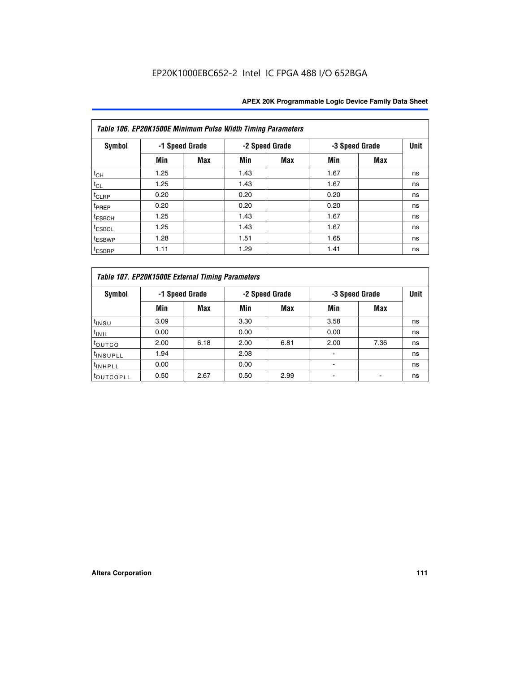|                    | Table 106. EP20K1500E Minimum Pulse Width Timing Parameters |            |      |                |                |            |             |  |  |  |  |  |  |
|--------------------|-------------------------------------------------------------|------------|------|----------------|----------------|------------|-------------|--|--|--|--|--|--|
| <b>Symbol</b>      | -1 Speed Grade                                              |            |      | -2 Speed Grade | -3 Speed Grade |            | <b>Unit</b> |  |  |  |  |  |  |
|                    | Min                                                         | <b>Max</b> | Min  | Max            | Min            | <b>Max</b> |             |  |  |  |  |  |  |
| $t_{CH}$           | 1.25                                                        |            | 1.43 |                | 1.67           |            | ns          |  |  |  |  |  |  |
| $t_{CL}$           | 1.25                                                        |            | 1.43 |                | 1.67           |            | ns          |  |  |  |  |  |  |
| $t_{CLRP}$         | 0.20                                                        |            | 0.20 |                | 0.20           |            | ns          |  |  |  |  |  |  |
| t <sub>PREP</sub>  | 0.20                                                        |            | 0.20 |                | 0.20           |            | ns          |  |  |  |  |  |  |
| <sup>t</sup> ESBCH | 1.25                                                        |            | 1.43 |                | 1.67           |            | ns          |  |  |  |  |  |  |
| <sup>t</sup> ESBCL | 1.25                                                        |            | 1.43 |                | 1.67           |            | ns          |  |  |  |  |  |  |
| <sup>t</sup> ESBWP | 1.28                                                        |            | 1.51 |                | 1.65           |            | ns          |  |  |  |  |  |  |
| <sup>t</sup> ESBRP | 1.11                                                        |            | 1.29 |                | 1.41           |            | ns          |  |  |  |  |  |  |

|                       | Table 107. EP20K1500E External Timing Parameters |      |      |                |                          |                |             |  |  |  |  |  |  |
|-----------------------|--------------------------------------------------|------|------|----------------|--------------------------|----------------|-------------|--|--|--|--|--|--|
| Symbol                | -1 Speed Grade                                   |      |      | -2 Speed Grade |                          | -3 Speed Grade | <b>Unit</b> |  |  |  |  |  |  |
|                       | Min                                              | Max  | Min  | <b>Max</b>     | Min                      | Max            |             |  |  |  |  |  |  |
| t <sub>insu</sub>     | 3.09                                             |      | 3.30 |                | 3.58                     |                | ns          |  |  |  |  |  |  |
| $t_{INH}$             | 0.00                                             |      | 0.00 |                | 0.00                     |                | ns          |  |  |  |  |  |  |
| toutco                | 2.00                                             | 6.18 | 2.00 | 6.81           | 2.00                     | 7.36           | ns          |  |  |  |  |  |  |
| <sup>t</sup> INSUPLL  | 1.94                                             |      | 2.08 |                |                          |                | ns          |  |  |  |  |  |  |
| <sup>t</sup> INHPLL   | 0.00                                             |      | 0.00 |                | $\overline{\phantom{0}}$ |                | ns          |  |  |  |  |  |  |
| <sup>t</sup> OUTCOPLL | 0.50                                             | 2.67 | 0.50 | 2.99           |                          |                | ns          |  |  |  |  |  |  |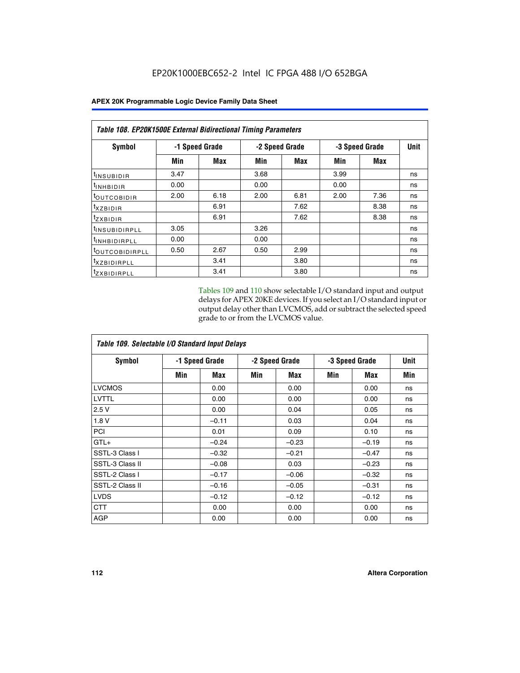| Table 108. EP20K1500E External Bidirectional Timing Parameters |                |      |                |      |                |             |    |  |  |  |  |
|----------------------------------------------------------------|----------------|------|----------------|------|----------------|-------------|----|--|--|--|--|
| Symbol                                                         | -1 Speed Grade |      | -2 Speed Grade |      | -3 Speed Grade | <b>Unit</b> |    |  |  |  |  |
|                                                                | Min            | Max  | Min            | Max  | Min            | Max         |    |  |  |  |  |
| <sup>t</sup> INSUBIDIR                                         | 3.47           |      | 3.68           |      | 3.99           |             | ns |  |  |  |  |
| $t_{\rm INHBIDIR}$                                             | 0.00           |      | 0.00           |      | 0.00           |             | ns |  |  |  |  |
| <sup>t</sup> OUTCOBIDIR                                        | 2.00           | 6.18 | 2.00           | 6.81 | 2.00           | 7.36        | ns |  |  |  |  |
| txzBIDIR                                                       |                | 6.91 |                | 7.62 |                | 8.38        | ns |  |  |  |  |
| <sup>t</sup> zxbidir                                           |                | 6.91 |                | 7.62 |                | 8.38        | ns |  |  |  |  |
| <sup>t</sup> INSUBIDIRPLL                                      | 3.05           |      | 3.26           |      |                |             | ns |  |  |  |  |
| <sup>t</sup> INHBIDIRPLL                                       | 0.00           |      | 0.00           |      |                |             | ns |  |  |  |  |
| <sup>t</sup> OUTCOBIDIRPLL                                     | 0.50           | 2.67 | 0.50           | 2.99 |                |             | ns |  |  |  |  |
| <sup>t</sup> XZBIDIRPLL                                        |                | 3.41 |                | 3.80 |                |             | ns |  |  |  |  |
| <sup>t</sup> zxbidirpll                                        |                | 3.41 |                | 3.80 |                |             | ns |  |  |  |  |

Tables 109 and 110 show selectable I/O standard input and output delays for APEX 20KE devices. If you select an I/O standard input or output delay other than LVCMOS, add or subtract the selected speed grade to or from the LVCMOS value.

| Table 109. Selectable I/O Standard Input Delays |                |         |     |                |     |                |     |  |  |  |
|-------------------------------------------------|----------------|---------|-----|----------------|-----|----------------|-----|--|--|--|
| <b>Symbol</b>                                   | -1 Speed Grade |         |     | -2 Speed Grade |     | -3 Speed Grade |     |  |  |  |
|                                                 | Min            | Max     | Min | Max            | Min | Max            | Min |  |  |  |
| <b>LVCMOS</b>                                   |                | 0.00    |     | 0.00           |     | 0.00           | ns  |  |  |  |
| <b>LVTTL</b>                                    |                | 0.00    |     | 0.00           |     | 0.00           | ns  |  |  |  |
| 2.5V                                            |                | 0.00    |     | 0.04           |     | 0.05           | ns  |  |  |  |
| 1.8V                                            |                | $-0.11$ |     | 0.03           |     | 0.04           | ns  |  |  |  |
| PCI                                             |                | 0.01    |     | 0.09           |     | 0.10           | ns  |  |  |  |
| $GTL+$                                          |                | $-0.24$ |     | $-0.23$        |     | $-0.19$        | ns  |  |  |  |
| SSTL-3 Class I                                  |                | $-0.32$ |     | $-0.21$        |     | $-0.47$        | ns  |  |  |  |
| SSTL-3 Class II                                 |                | $-0.08$ |     | 0.03           |     | $-0.23$        | ns  |  |  |  |
| SSTL-2 Class I                                  |                | $-0.17$ |     | $-0.06$        |     | $-0.32$        | ns  |  |  |  |
| SSTL-2 Class II                                 |                | $-0.16$ |     | $-0.05$        |     | $-0.31$        | ns  |  |  |  |
| <b>LVDS</b>                                     |                | $-0.12$ |     | $-0.12$        |     | $-0.12$        | ns  |  |  |  |
| <b>CTT</b>                                      |                | 0.00    |     | 0.00           |     | 0.00           | ns  |  |  |  |
| <b>AGP</b>                                      |                | 0.00    |     | 0.00           |     | 0.00           | ns  |  |  |  |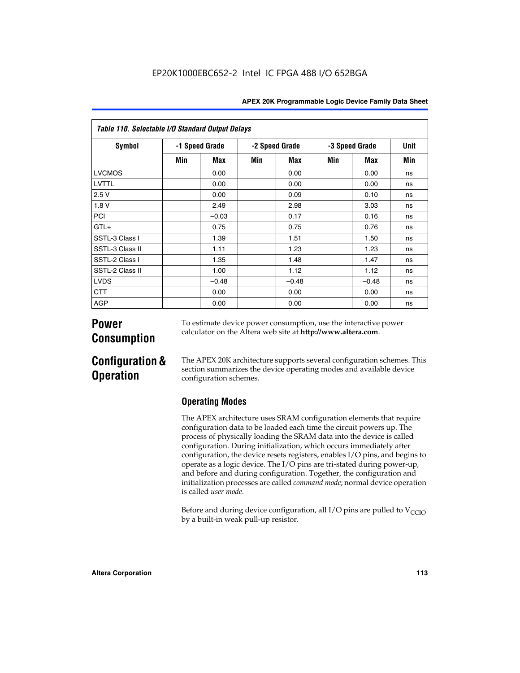| Table 110. Selectable I/O Standard Output Delays |                |         |     |                |     |                |             |  |  |  |  |
|--------------------------------------------------|----------------|---------|-----|----------------|-----|----------------|-------------|--|--|--|--|
| <b>Symbol</b>                                    | -1 Speed Grade |         |     | -2 Speed Grade |     | -3 Speed Grade | <b>Unit</b> |  |  |  |  |
|                                                  | Min            | Max     | Min | Max            | Min | Max            | Min         |  |  |  |  |
| <b>LVCMOS</b>                                    |                | 0.00    |     | 0.00           |     | 0.00           | ns          |  |  |  |  |
| LVTTL                                            |                | 0.00    |     | 0.00           |     | 0.00           | ns          |  |  |  |  |
| 2.5V                                             |                | 0.00    |     | 0.09           |     | 0.10           | ns          |  |  |  |  |
| 1.8 V                                            |                | 2.49    |     | 2.98           |     | 3.03           | ns          |  |  |  |  |
| PCI                                              |                | $-0.03$ |     | 0.17           |     | 0.16           | ns          |  |  |  |  |
| $GTL+$                                           |                | 0.75    |     | 0.75           |     | 0.76           | ns          |  |  |  |  |
| SSTL-3 Class I                                   |                | 1.39    |     | 1.51           |     | 1.50           | ns          |  |  |  |  |
| SSTL-3 Class II                                  |                | 1.11    |     | 1.23           |     | 1.23           | ns          |  |  |  |  |
| SSTL-2 Class I                                   |                | 1.35    |     | 1.48           |     | 1.47           | ns          |  |  |  |  |
| SSTL-2 Class II                                  |                | 1.00    |     | 1.12           |     | 1.12           | ns          |  |  |  |  |
| <b>LVDS</b>                                      |                | $-0.48$ |     | $-0.48$        |     | $-0.48$        | ns          |  |  |  |  |
| <b>CTT</b>                                       |                | 0.00    |     | 0.00           |     | 0.00           | ns          |  |  |  |  |
| <b>AGP</b>                                       |                | 0.00    |     | 0.00           |     | 0.00           | ns          |  |  |  |  |

# **Power Consumption**

To estimate device power consumption, use the interactive power calculator on the Altera web site at **http://www.altera.com**.

# **Configuration & Operation**

The APEX 20K architecture supports several configuration schemes. This section summarizes the device operating modes and available device configuration schemes.

## **Operating Modes**

The APEX architecture uses SRAM configuration elements that require configuration data to be loaded each time the circuit powers up. The process of physically loading the SRAM data into the device is called configuration. During initialization, which occurs immediately after configuration, the device resets registers, enables I/O pins, and begins to operate as a logic device. The I/O pins are tri-stated during power-up, and before and during configuration. Together, the configuration and initialization processes are called *command mode*; normal device operation is called *user mode*.

Before and during device configuration, all I/O pins are pulled to  $V_{\text{CCTO}}$ by a built-in weak pull-up resistor.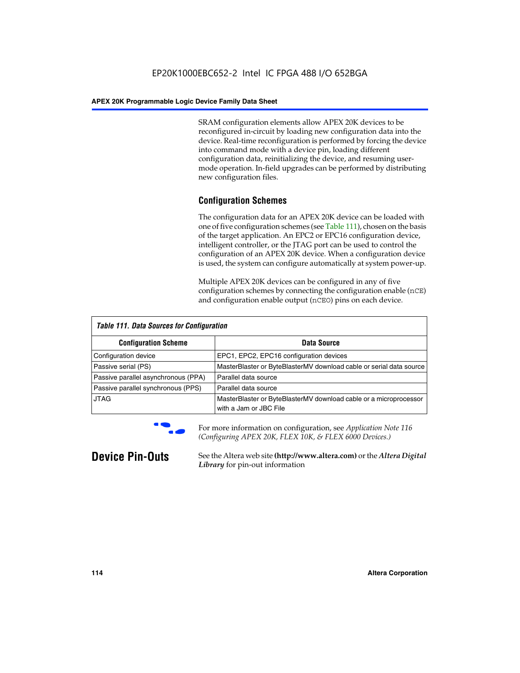SRAM configuration elements allow APEX 20K devices to be reconfigured in-circuit by loading new configuration data into the device. Real-time reconfiguration is performed by forcing the device into command mode with a device pin, loading different configuration data, reinitializing the device, and resuming usermode operation. In-field upgrades can be performed by distributing new configuration files.

## **Configuration Schemes**

The configuration data for an APEX 20K device can be loaded with one of five configuration schemes (see Table 111), chosen on the basis of the target application. An EPC2 or EPC16 configuration device, intelligent controller, or the JTAG port can be used to control the configuration of an APEX 20K device. When a configuration device is used, the system can configure automatically at system power-up.

Multiple APEX 20K devices can be configured in any of five configuration schemes by connecting the configuration enable (nCE) and configuration enable output (nCEO) pins on each device.

| <b>Table 111. Data Sources for Configuration</b> |                                                                                             |
|--------------------------------------------------|---------------------------------------------------------------------------------------------|
| <b>Configuration Scheme</b>                      | Data Source                                                                                 |
| Configuration device                             | EPC1, EPC2, EPC16 configuration devices                                                     |
| Passive serial (PS)                              | MasterBlaster or ByteBlasterMV download cable or serial data source                         |
| Passive parallel asynchronous (PPA)              | Parallel data source                                                                        |
| Passive parallel synchronous (PPS)               | Parallel data source                                                                        |
| <b>JTAG</b>                                      | MasterBlaster or ByteBlasterMV download cable or a microprocessor<br>with a Jam or JBC File |



**For more information on configuration, see Application Note 116** *(Configuring APEX 20K, FLEX 10K, & FLEX 6000 Devices.)*

**Device Pin-Outs** See the Altera web site **(http://www.altera.com)** or the *Altera Digital Library* for pin-out information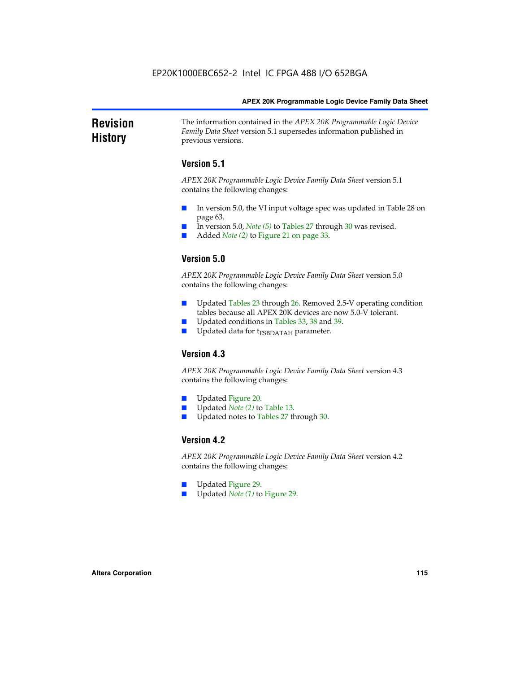### **Revision History** The information contained in the *APEX 20K Programmable Logic Device Family Data Sheet* version 5.1 supersedes information published in previous versions.

## **Version 5.1**

*APEX 20K Programmable Logic Device Family Data Sheet* version 5.1 contains the following changes:

- In version 5.0, the VI input voltage spec was updated in Table 28 on page 63.
- In version 5.0, *Note* (5) to Tables 27 through 30 was revised.
- Added *Note* (2) to Figure 21 on page 33.

## **Version 5.0**

*APEX 20K Programmable Logic Device Family Data Sheet* version 5.0 contains the following changes:

- Updated Tables 23 through 26. Removed 2.5-V operating condition tables because all APEX 20K devices are now 5.0-V tolerant.
- Updated conditions in Tables 33, 38 and 39.
- Updated data for t<sub>ESBDATAH</sub> parameter.

## **Version 4.3**

*APEX 20K Programmable Logic Device Family Data Sheet* version 4.3 contains the following changes:

- Updated Figure 20.
- Updated *Note (2)* to Table 13.
- Updated notes to Tables 27 through 30.

## **Version 4.2**

*APEX 20K Programmable Logic Device Family Data Sheet* version 4.2 contains the following changes:

- Updated Figure 29.
- Updated *Note (1)* to Figure 29.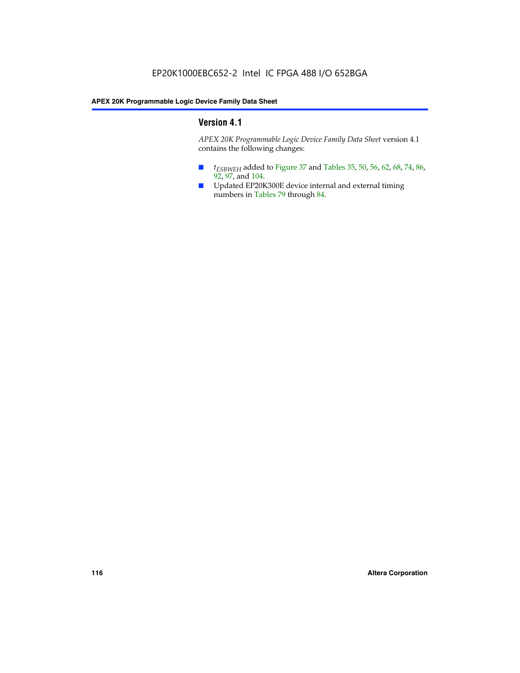## **Version 4.1**

*APEX 20K Programmable Logic Device Family Data Sheet* version 4.1 contains the following changes:

- *t<sub>ESBWEH</sub>* added to Figure 37 and Tables 35, 50, 56, 62, 68, 74, 86, 92, 97, and 104.
- Updated EP20K300E device internal and external timing numbers in Tables 79 through 84.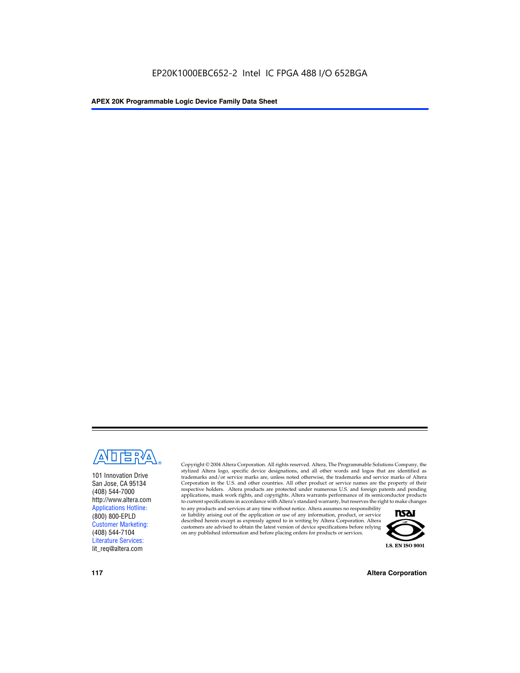

101 Innovation Drive San Jose, CA 95134 (408) 544-7000 http://www.altera.com Applications Hotline: (800) 800-EPLD Customer Marketing: (408) 544-7104 Literature Services: lit\_req@altera.com

Copyright © 2004 Altera Corporation. All rights reserved. Altera, The Programmable Solutions Company, the stylized Altera logo, specific device designations, and all other words and logos that are identified as trademarks and/or service marks are, unless noted otherwise, the trademarks and service marks of Altera Corporation in the U.S. and other countries. All other product or service names are the property of their respective holders. Altera products are protected under numerous U.S. and foreign patents and pending applications, mask work rights, and copyrights. Altera warrants performance of its semiconductor products to current specifications in accordance with Altera's standard warranty, but reserves the right to make changes

to any products and services at any time without notice. Altera assumes no responsibility or liability arising out of the application or use of any information, product, or service described herein except as expressly agreed to in writing by Altera Corporation. Altera customers are advised to obtain the latest version of device specifications before relying on any published information and before placing orders for products or services.



**117 Altera Corporation**